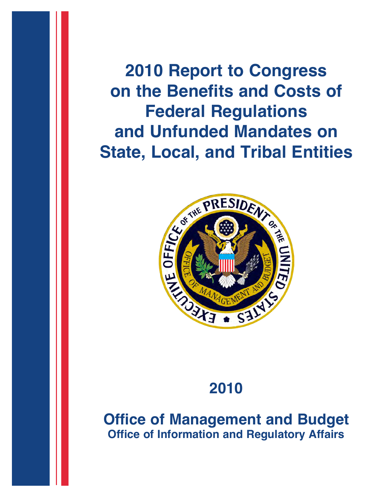**2010 Report to Congress on the Benefits and Costs of Federal Regulations State, Local, and Tribal Entities**



# **2010**

**Office of Management and Budget Office of Information and Regulatory Affairs**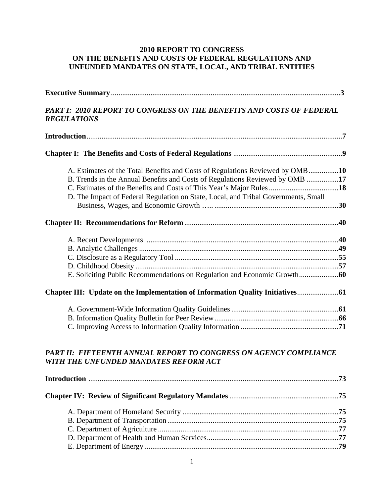## **2010 REPORT TO CONGRESS ON THE BENEFITS AND COSTS OF FEDERAL REGULATIONS AND UNFUNDED MANDATES ON STATE, LOCAL, AND TRIBAL ENTITIES**

| PART I: 2010 REPORT TO CONGRESS ON THE BENEFITS AND COSTS OF FEDERAL<br><b>REGULATIONS</b>                                                                                                                                                          |  |
|-----------------------------------------------------------------------------------------------------------------------------------------------------------------------------------------------------------------------------------------------------|--|
|                                                                                                                                                                                                                                                     |  |
|                                                                                                                                                                                                                                                     |  |
| A. Estimates of the Total Benefits and Costs of Regulations Reviewed by OMB10<br>B. Trends in the Annual Benefits and Costs of Regulations Reviewed by OMB 17<br>D. The Impact of Federal Regulation on State, Local, and Tribal Governments, Small |  |
|                                                                                                                                                                                                                                                     |  |
|                                                                                                                                                                                                                                                     |  |
|                                                                                                                                                                                                                                                     |  |
|                                                                                                                                                                                                                                                     |  |
| PART II: FIFTEENTH ANNUAL REPORT TO CONGRESS ON AGENCY COMPLIANCE<br>WITH THE UNFUNDED MANDATES REFORM ACT                                                                                                                                          |  |
|                                                                                                                                                                                                                                                     |  |
|                                                                                                                                                                                                                                                     |  |
|                                                                                                                                                                                                                                                     |  |
|                                                                                                                                                                                                                                                     |  |

E. Department of Energy .......................................................................................................**79**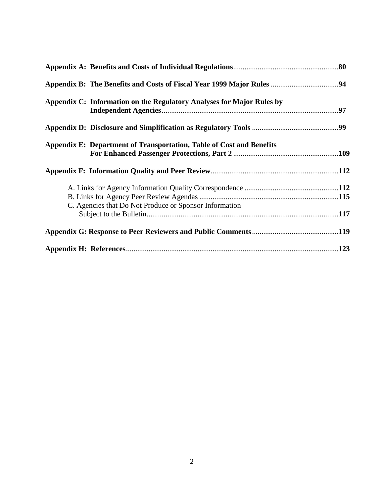| Appendix C: Information on the Regulatory Analyses for Major Rules by |  |
|-----------------------------------------------------------------------|--|
|                                                                       |  |
| Appendix E: Department of Transportation, Table of Cost and Benefits  |  |
|                                                                       |  |
|                                                                       |  |
| C. Agencies that Do Not Produce or Sponsor Information                |  |
|                                                                       |  |
|                                                                       |  |
|                                                                       |  |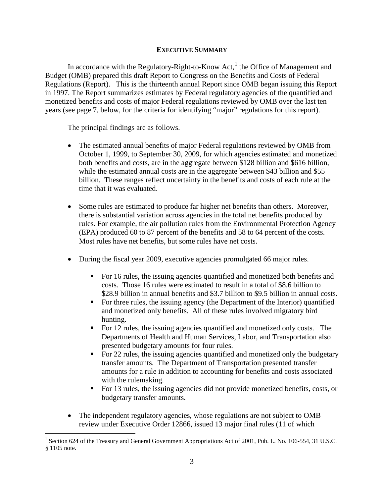## **EXECUTIVE SUMMARY**

In accordance with the Regulatory-Right-to-Know Act, $<sup>1</sup>$  $<sup>1</sup>$  $<sup>1</sup>$  the Office of Management and</sup> Budget (OMB) prepared this draft Report to Congress on the Benefits and Costs of Federal Regulations (Report). This is the thirteenth annual Report since OMB began issuing this Report in 1997. The Report summarizes estimates by Federal regulatory agencies of the quantified and monetized benefits and costs of major Federal regulations reviewed by OMB over the last ten years (see page 7, below, for the criteria for identifying "major" regulations for this report).

The principal findings are as follows.

- The estimated annual benefits of major Federal regulations reviewed by OMB from October 1, 1999, to September 30, 2009, for which agencies estimated and monetized both benefits and costs, are in the aggregate between \$128 billion and \$616 billion, while the estimated annual costs are in the aggregate between \$43 billion and \$55 billion. These ranges reflect uncertainty in the benefits and costs of each rule at the time that it was evaluated.
- Some rules are estimated to produce far higher net benefits than others. Moreover, there is substantial variation across agencies in the total net benefits produced by rules. For example, the air pollution rules from the Environmental Protection Agency (EPA) produced 60 to 87 percent of the benefits and 58 to 64 percent of the costs. Most rules have net benefits, but some rules have net costs.
- During the fiscal year 2009, executive agencies promulgated 66 major rules.
	- For 16 rules, the issuing agencies quantified and monetized both benefits and costs. Those 16 rules were estimated to result in a total of \$8.6 billion to \$28.9 billion in annual benefits and \$3.7 billion to \$9.5 billion in annual costs.
	- For three rules, the issuing agency (the Department of the Interior) quantified and monetized only benefits. All of these rules involved migratory bird hunting.
	- For 12 rules, the issuing agencies quantified and monetized only costs. The Departments of Health and Human Services, Labor, and Transportation also presented budgetary amounts for four rules.
	- For 22 rules, the issuing agencies quantified and monetized only the budgetary transfer amounts. The Department of Transportation presented transfer amounts for a rule in addition to accounting for benefits and costs associated with the rulemaking.
	- For 13 rules, the issuing agencies did not provide monetized benefits, costs, or budgetary transfer amounts.
- The independent regulatory agencies, whose regulations are not subject to OMB review under Executive Order 12866, issued 13 major final rules (11 of which

<span id="page-3-0"></span><sup>&</sup>lt;sup>1</sup> Section 624 of the Treasury and General Government Appropriations Act of 2001, Pub. L. No. 106-554, 31 U.S.C. § 1105 note.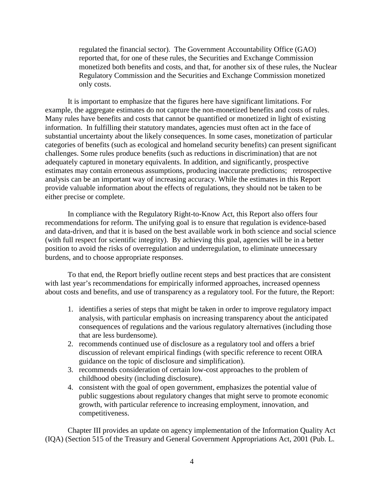regulated the financial sector). The Government Accountability Office (GAO) reported that, for one of these rules, the Securities and Exchange Commission monetized both benefits and costs, and that, for another six of these rules, the Nuclear Regulatory Commission and the Securities and Exchange Commission monetized only costs.

It is important to emphasize that the figures here have significant limitations. For example, the aggregate estimates do not capture the non-monetized benefits and costs of rules. Many rules have benefits and costs that cannot be quantified or monetized in light of existing information. In fulfilling their statutory mandates, agencies must often act in the face of substantial uncertainty about the likely consequences. In some cases, monetization of particular categories of benefits (such as ecological and homeland security benefits) can present significant challenges. Some rules produce benefits (such as reductions in discrimination) that are not adequately captured in monetary equivalents. In addition, and significantly, prospective estimates may contain erroneous assumptions, producing inaccurate predictions; retrospective analysis can be an important way of increasing accuracy. While the estimates in this Report provide valuable information about the effects of regulations, they should not be taken to be either precise or complete.

In compliance with the Regulatory Right-to-Know Act, this Report also offers four recommendations for reform. The unifying goal is to ensure that regulation is evidence-based and data-driven, and that it is based on the best available work in both science and social science (with full respect for scientific integrity). By achieving this goal, agencies will be in a better position to avoid the risks of overregulation and underregulation, to eliminate unnecessary burdens, and to choose appropriate responses.

To that end, the Report briefly outline recent steps and best practices that are consistent with last year's recommendations for empirically informed approaches, increased openness about costs and benefits, and use of transparency as a regulatory tool. For the future, the Report:

- 1. identifies a series of steps that might be taken in order to improve regulatory impact analysis, with particular emphasis on increasing transparency about the anticipated consequences of regulations and the various regulatory alternatives (including those that are less burdensome).
- 2. recommends continued use of disclosure as a regulatory tool and offers a brief discussion of relevant empirical findings (with specific reference to recent OIRA guidance on the topic of disclosure and simplification).
- 3. recommends consideration of certain low-cost approaches to the problem of childhood obesity (including disclosure).
- 4. consistent with the goal of open government, emphasizes the potential value of public suggestions about regulatory changes that might serve to promote economic growth, with particular reference to increasing employment, innovation, and competitiveness.

Chapter III provides an update on agency implementation of the Information Quality Act (IQA) (Section 515 of the Treasury and General Government Appropriations Act, 2001 (Pub. L.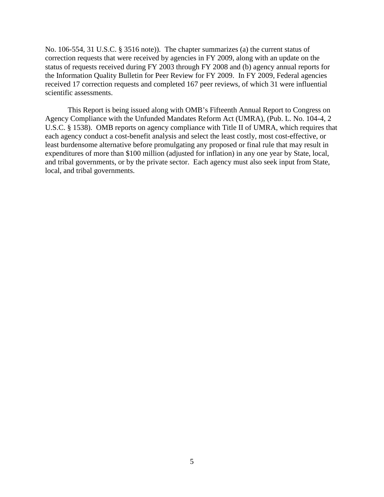No. 106-554, 31 U.S.C. § 3516 note)). The chapter summarizes (a) the current status of correction requests that were received by agencies in FY 2009, along with an update on the status of requests received during FY 2003 through FY 2008 and (b) agency annual reports for the Information Quality Bulletin for Peer Review for FY 2009. In FY 2009, Federal agencies received 17 correction requests and completed 167 peer reviews, of which 31 were influential scientific assessments.

This Report is being issued along with OMB's Fifteenth Annual Report to Congress on Agency Compliance with the Unfunded Mandates Reform Act (UMRA), (Pub. L. No. 104-4, 2 U.S.C. § 1538). OMB reports on agency compliance with Title II of UMRA, which requires that each agency conduct a cost-benefit analysis and select the least costly, most cost-effective, or least burdensome alternative before promulgating any proposed or final rule that may result in expenditures of more than \$100 million (adjusted for inflation) in any one year by State, local, and tribal governments, or by the private sector. Each agency must also seek input from State, local, and tribal governments.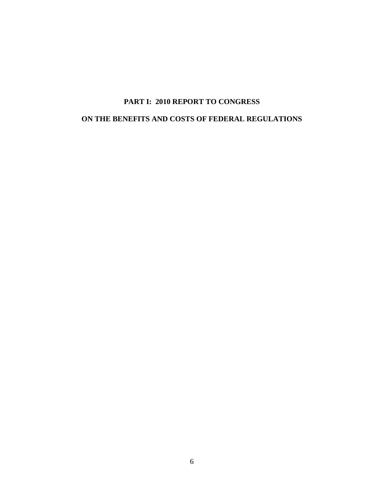# **PART I: 2010 REPORT TO CONGRESS**

# **ON THE BENEFITS AND COSTS OF FEDERAL REGULATIONS**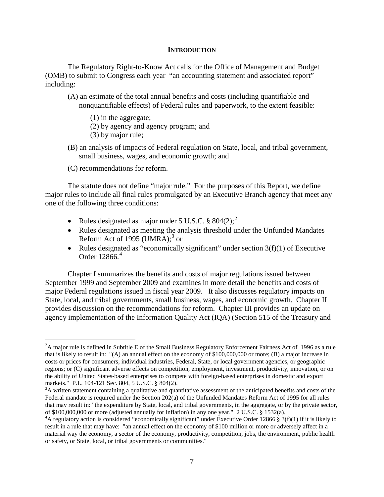#### **INTRODUCTION**

The Regulatory Right-to-Know Act calls for the Office of Management and Budget (OMB) to submit to Congress each year "an accounting statement and associated report" including:

- (A) an estimate of the total annual benefits and costs (including quantifiable and nonquantifiable effects) of Federal rules and paperwork, to the extent feasible:
	- (1) in the aggregate;
	- (2) by agency and agency program; and
	- (3) by major rule;
- (B) an analysis of impacts of Federal regulation on State, local, and tribal government, small business, wages, and economic growth; and
- (C) recommendations for reform.

 $\overline{a}$ 

The statute does not define "major rule." For the purposes of this Report, we define major rules to include all final rules promulgated by an Executive Branch agency that meet any one of the following three conditions:

- Rules designated as major under 5 U.S.C.  $\S 804(2)$  $\S 804(2)$  $\S 804(2)$ ;
- Rules designated as meeting the analysis threshold under the Unfunded Mandates Reform Act of 1995 (UMRA); $3$  or
- Rules designated as "economically significant" under section  $3(f)(1)$  of Executive Order 12866. [4](#page-7-2)

Chapter I summarizes the benefits and costs of major regulations issued between September 1999 and September 2009 and examines in more detail the benefits and costs of major Federal regulations issued in fiscal year 2009. It also discusses regulatory impacts on State, local, and tribal governments, small business, wages, and economic growth. Chapter II provides discussion on the recommendations for reform. Chapter III provides an update on agency implementation of the Information Quality Act (IQA) (Section 515 of the Treasury and

<span id="page-7-0"></span> $2A$  major rule is defined in Subtitle E of the Small Business Regulatory Enforcement Fairness Act of 1996 as a rule that is likely to result in: "(A) an annual effect on the economy of \$100,000,000 or more; (B) a major increase in costs or prices for consumers, individual industries, Federal, State, or local government agencies, or geographic regions; or (C) significant adverse effects on competition, employment, investment, productivity, innovation, or on the ability of United States-based enterprises to compete with foreign-based enterprises in domestic and export markets." P.L. 104-121 Sec. 804, 5 U.S.C. § 804(2).

<span id="page-7-1"></span> $A<sup>3</sup>A$  written statement containing a qualitative and quantitative assessment of the anticipated benefits and costs of the Federal mandate is required under the Section 202(a) of the Unfunded Mandates Reform Act of 1995 for all rules that may result in: "the expenditure by State, local, and tribal governments, in the aggregate, or by the private sector, of \$100,000,000 or more (adjusted annually for inflation) in any one year." 2 U.S.C. § 1532(a).

<span id="page-7-2"></span><sup>&</sup>lt;sup>4</sup>A regulatory action is considered "economically significant" under Executive Order 12866 § 3(f)(1) if it is likely to result in a rule that may have: "an annual effect on the economy of \$100 million or more or adversely affect in a material way the economy, a sector of the economy, productivity, competition, jobs, the environment, public health or safety, or State, local, or tribal governments or communities."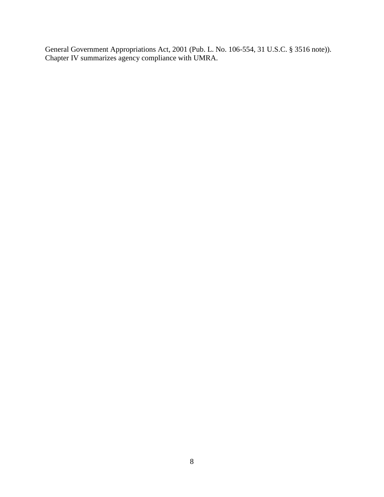General Government Appropriations Act, 2001 (Pub. L. No. 106-554, 31 U.S.C. § 3516 note)). Chapter IV summarizes agency compliance with UMRA.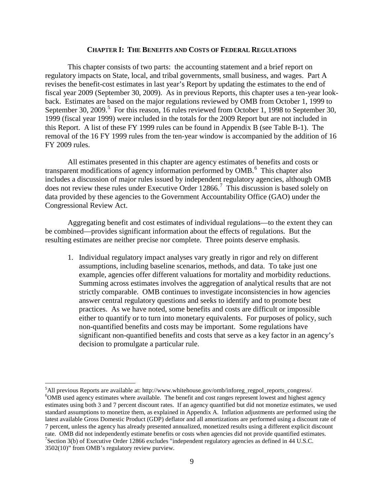#### **CHAPTER I: THE BENEFITS AND COSTS OF FEDERAL REGULATIONS**

This chapter consists of two parts: the accounting statement and a brief report on regulatory impacts on State, local, and tribal governments, small business, and wages. Part A revises the benefit-cost estimates in last year's Report by updating the estimates to the end of fiscal year 2009 (September 30, 2009). As in previous Reports, this chapter uses a ten-year lookback. Estimates are based on the major regulations reviewed by OMB from October 1, 1999 to September 30, 2009.<sup>[5](#page-9-0)</sup> For this reason, 16 rules reviewed from October 1, 1998 to September 30, 1999 (fiscal year 1999) were included in the totals for the 2009 Report but are not included in this Report. A list of these FY 1999 rules can be found in Appendix B (see Table B-1). The removal of the 16 FY 1999 rules from the ten-year window is accompanied by the addition of 16 FY 2009 rules.

All estimates presented in this chapter are agency estimates of benefits and costs or transparent modifications of agency information performed by OMB.<sup>[6](#page-9-1)</sup> This chapter also includes a discussion of major rules issued by independent regulatory agencies, although OMB does not review these rules under Executive Order 12866.<sup>[7](#page-9-2)</sup> This discussion is based solely on data provided by these agencies to the Government Accountability Office (GAO) under the Congressional Review Act.

Aggregating benefit and cost estimates of individual regulations—to the extent they can be combined—provides significant information about the effects of regulations. But the resulting estimates are neither precise nor complete. Three points deserve emphasis.

1. Individual regulatory impact analyses vary greatly in rigor and rely on different assumptions, including baseline scenarios, methods, and data. To take just one example, agencies offer different valuations for mortality and morbidity reductions. Summing across estimates involves the aggregation of analytical results that are not strictly comparable. OMB continues to investigate inconsistencies in how agencies answer central regulatory questions and seeks to identify and to promote best practices. As we have noted, some benefits and costs are difficult or impossible either to quantify or to turn into monetary equivalents. For purposes of policy, such non-quantified benefits and costs may be important. Some regulations have significant non-quantified benefits and costs that serve as a key factor in an agency's decision to promulgate a particular rule.

<span id="page-9-2"></span><span id="page-9-1"></span><span id="page-9-0"></span> ${}^{5}$ All previous Reports are available at: http://www.whitehouse.gov/omb/inforeg\_regpol\_reports\_congress/.  ${}^{6}$ OMB used agapay actimates where available. The banefit and gest ranges represent lowest and highest agapay <sup>6</sup>OMB used agency estimates where available. The benefit and cost ranges represent lowest and highest agency estimates using both 3 and 7 percent discount rates. If an agency quantified but did not monetize estimates, we used standard assumptions to monetize them, as explained in Appendix A. Inflation adjustments are performed using the latest available Gross Domestic Product (GDP) deflator and all amortizations are performed using a discount rate of 7 percent, unless the agency has already presented annualized, monetized results using a different explicit discount rate. OMB did not independently estimate benefits or costs when agencies did not provide quantified estimates. <sup>7</sup>Section 3(b) of Executive Order 12866 excludes "independent regulatory agencies as defined in 44 U.S.C. 3502(10)" from OMB's regulatory review purview.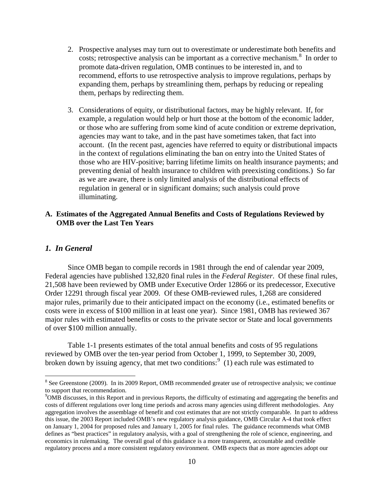- 2. Prospective analyses may turn out to overestimate or underestimate both benefits and costs; retrospective analysis can be important as a corrective mechanism.<sup>[8](#page-10-0)</sup> In order to promote data-driven regulation, OMB continues to be interested in, and to recommend, efforts to use retrospective analysis to improve regulations, perhaps by expanding them, perhaps by streamlining them, perhaps by reducing or repealing them, perhaps by redirecting them.
- 3. Considerations of equity, or distributional factors, may be highly relevant. If, for example, a regulation would help or hurt those at the bottom of the economic ladder, or those who are suffering from some kind of acute condition or extreme deprivation, agencies may want to take, and in the past have sometimes taken, that fact into account. (In the recent past, agencies have referred to equity or distributional impacts in the context of regulations eliminating the ban on entry into the United States of those who are HIV-positive; barring lifetime limits on health insurance payments; and preventing denial of health insurance to children with preexisting conditions.) So far as we are aware, there is only limited analysis of the distributional effects of regulation in general or in significant domains; such analysis could prove illuminating.

## **A. Estimates of the Aggregated Annual Benefits and Costs of Regulations Reviewed by OMB over the Last Ten Years**

## *1. In General*

 $\overline{a}$ 

Since OMB began to compile records in 1981 through the end of calendar year 2009, Federal agencies have published 132,820 final rules in the *Federal Register*. Of these final rules, 21,508 have been reviewed by OMB under Executive Order 12866 or its predecessor, Executive Order 12291 through fiscal year 2009. Of these OMB-reviewed rules, 1,268 are considered major rules, primarily due to their anticipated impact on the economy (i.e., estimated benefits or costs were in excess of \$100 million in at least one year). Since 1981, OMB has reviewed 367 major rules with estimated benefits or costs to the private sector or State and local governments of over \$100 million annually.

Table 1-1 presents estimates of the total annual benefits and costs of 95 regulations reviewed by OMB over the ten-year period from October 1, 1999, to September 30, 2009, broken down by issuing agency, that met two conditions:<sup>[9](#page-10-1)</sup> (1) each rule was estimated to

<span id="page-10-0"></span><sup>&</sup>lt;sup>8</sup> See Greenstone (2009). In its 2009 Report, OMB recommended greater use of retrospective analysis; we continue to support that recommendation.

<span id="page-10-1"></span><sup>&</sup>lt;sup>9</sup>OMB discusses, in this Report and in previous Reports, the difficulty of estimating and aggregating the benefits and costs of different regulations over long time periods and across many agencies using different methodologies. Any aggregation involves the assemblage of benefit and cost estimates that are not strictly comparable. In part to address this issue, the 2003 Report included OMB's new regulatory analysis guidance, OMB Circular A-4 that took effect on January 1, 2004 for proposed rules and January 1, 2005 for final rules. The guidance recommends what OMB defines as "best practices" in regulatory analysis, with a goal of strengthening the role of science, engineering, and economics in rulemaking. The overall goal of this guidance is a more transparent, accountable and credible regulatory process and a more consistent regulatory environment. OMB expects that as more agencies adopt our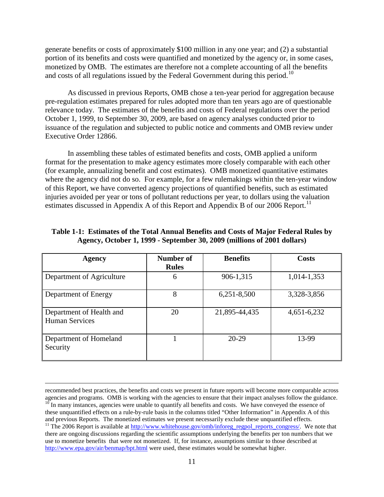generate benefits or costs of approximately \$100 million in any one year; and (2) a substantial portion of its benefits and costs were quantified and monetized by the agency or, in some cases, monetized by OMB. The estimates are therefore not a complete accounting of all the benefits and costs of all regulations issued by the Federal Government during this period.<sup>[10](#page-11-0)</sup>

As discussed in previous Reports, OMB chose a ten-year period for aggregation because pre-regulation estimates prepared for rules adopted more than ten years ago are of questionable relevance today. The estimates of the benefits and costs of Federal regulations over the period October 1, 1999, to September 30, 2009, are based on agency analyses conducted prior to issuance of the regulation and subjected to public notice and comments and OMB review under Executive Order 12866.

In assembling these tables of estimated benefits and costs, OMB applied a uniform format for the presentation to make agency estimates more closely comparable with each other (for example, annualizing benefit and cost estimates). OMB monetized quantitative estimates where the agency did not do so. For example, for a few rulemakings within the ten-year window of this Report, we have converted agency projections of quantified benefits, such as estimated injuries avoided per year or tons of pollutant reductions per year, to dollars using the valuation estimates discussed in Appendix A of this Report and Appendix B of our  $2006$  Report.<sup>[11](#page-11-1)</sup>

| <b>Agency</b>                                     | Number of<br><b>Rules</b> | <b>Benefits</b> | Costs       |
|---------------------------------------------------|---------------------------|-----------------|-------------|
| Department of Agriculture                         | 6                         | 906-1,315       | 1,014-1,353 |
| Department of Energy                              | 8                         | 6,251-8,500     | 3,328-3,856 |
| Department of Health and<br><b>Human Services</b> | 20                        | 21,895-44,435   | 4,651-6,232 |
| Department of Homeland<br>Security                |                           | $20-29$         | 13-99       |

#### **Table 1-1: Estimates of the Total Annual Benefits and Costs of Major Federal Rules by Agency, October 1, 1999 - September 30, 2009 (millions of 2001 dollars)**

<span id="page-11-1"></span><span id="page-11-0"></span>recommended best practices, the benefits and costs we present in future reports will become more comparable across agencies and programs. OMB is working with the agencies to ensure that their impact analyses follow the guidance.  $10$  In many instances, agencies were unable to quantify all benefits and costs. We have conveyed the essence of these unquantified effects on a rule-by-rule basis in the columns titled "Other Information" in Appendix A of this and previous Reports. The monetized estimates we present necessarily exclude these unquantified effects. <sup>11</sup> The 2006 Report is available a[t http://www.whitehouse.gov/omb/inforeg\\_regpol\\_reports\\_congress/.](http://www.whitehouse.gov/omb/inforeg_regpol_reports_congress/) We note that there are ongoing discussions regarding the scientific assumptions underlying the benefits per ton numbers that we use to monetize benefits that were not monetized. If, for instance, assumptions similar to those described at <http://www.epa.gov/air/benmap/bpt.html> were used, these estimates would be somewhat higher.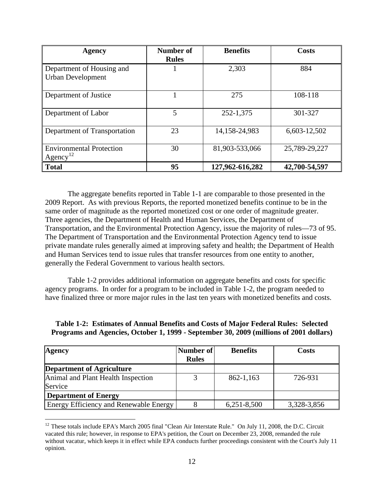| Agency                                                  | Number of<br><b>Rules</b> | <b>Benefits</b> | Costs         |  |
|---------------------------------------------------------|---------------------------|-----------------|---------------|--|
| Department of Housing and<br><b>Urban Development</b>   |                           | 2,303           | 884           |  |
| Department of Justice                                   |                           | 275             | 108-118       |  |
| Department of Labor                                     | 5                         | 252-1,375       | 301-327       |  |
| Department of Transportation                            | 23                        | 14,158-24,983   | 6,603-12,502  |  |
| <b>Environmental Protection</b><br>Agency <sup>12</sup> | 30                        | 81,903-533,066  | 25,789-29,227 |  |
| <b>Total</b>                                            | 95                        | 127,962-616,282 | 42,700-54,597 |  |

The aggregate benefits reported in Table 1-1 are comparable to those presented in the 2009 Report. As with previous Reports, the reported monetized benefits continue to be in the same order of magnitude as the reported monetized cost or one order of magnitude greater. Three agencies, the Department of Health and Human Services, the Department of Transportation, and the Environmental Protection Agency, issue the majority of rules—73 of 95. The Department of Transportation and the Environmental Protection Agency tend to issue private mandate rules generally aimed at improving safety and health; the Department of Health and Human Services tend to issue rules that transfer resources from one entity to another, generally the Federal Government to various health sectors.

Table 1-2 provides additional information on aggregate benefits and costs for specific agency programs. In order for a program to be included in Table 1-2, the program needed to have finalized three or more major rules in the last ten years with monetized benefits and costs.

| <b>Agency</b>                          | Number of    | <b>Benefits</b> | <b>Costs</b> |
|----------------------------------------|--------------|-----------------|--------------|
|                                        | <b>Rules</b> |                 |              |
| <b>Department of Agriculture</b>       |              |                 |              |
| Animal and Plant Health Inspection     |              | 862-1,163       | 726-931      |
| Service                                |              |                 |              |
| <b>Department of Energy</b>            |              |                 |              |
| Energy Efficiency and Renewable Energy |              | $6,251-8,500$   | 3,328-3,856  |

**Table 1-2: Estimates of Annual Benefits and Costs of Major Federal Rules: Selected Programs and Agencies, October 1, 1999 - September 30, 2009 (millions of 2001 dollars)** 

<span id="page-12-0"></span> $\overline{a}$  $12$  These totals include EPA's March 2005 final "Clean Air Interstate Rule." On July 11, 2008, the D.C. Circuit vacated this rule; however, in response to EPA's petition, the Court on December 23, 2008, remanded the rule without vacatur, which keeps it in effect while EPA conducts further proceedings consistent with the Court's July 11 opinion.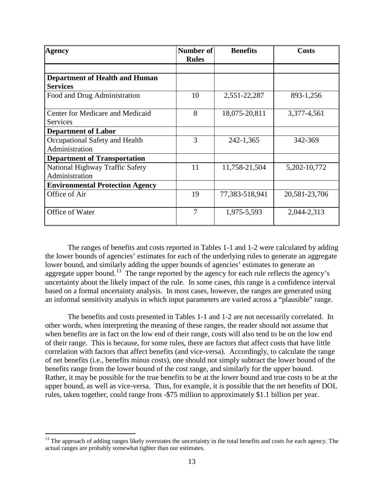| <b>Agency</b>                          | Number of<br><b>Rules</b> | <b>Benefits</b> | <b>Costs</b>     |
|----------------------------------------|---------------------------|-----------------|------------------|
|                                        |                           |                 |                  |
| <b>Department of Health and Human</b>  |                           |                 |                  |
| <b>Services</b>                        |                           |                 |                  |
| Food and Drug Administration           | 10                        | 2,551-22,287    | 893-1,256        |
| Center for Medicare and Medicaid       | 8                         | 18,075-20,811   | 3,377-4,561      |
| Services                               |                           |                 |                  |
| <b>Department of Labor</b>             |                           |                 |                  |
| Occupational Safety and Health         | 3                         | 242-1,365       | 342-369          |
| Administration                         |                           |                 |                  |
| <b>Department of Transportation</b>    |                           |                 |                  |
| National Highway Traffic Safety        | 11                        | 11,758-21,504   | 5, 202 - 10, 772 |
| Administration                         |                           |                 |                  |
| <b>Environmental Protection Agency</b> |                           |                 |                  |
| Office of Air                          | 19                        | 77,383-518,941  | 20,581-23,706    |
| Office of Water                        | $\overline{7}$            | 1,975-5,593     | 2,044-2,313      |

The ranges of benefits and costs reported in Tables 1-1 and 1-2 were calculated by adding the lower bounds of agencies' estimates for each of the underlying rules to generate an aggregate lower bound, and similarly adding the upper bounds of agencies' estimates to generate an aggregate upper bound.<sup>13</sup> The range reported by the agency for each rule reflects the agency's uncertainty about the likely impact of the rule. In some cases, this range is a confidence interval based on a formal uncertainty analysis. In most cases, however, the ranges are generated using an informal sensitivity analysis in which input parameters are varied across a "plausible" range.

The benefits and costs presented in Tables 1-1 and 1-2 are not necessarily correlated. In other words, when interpreting the meaning of these ranges, the reader should not assume that when benefits are in fact on the low end of their range, costs will also tend to be on the low end of their range. This is because, for some rules, there are factors that affect costs that have little correlation with factors that affect benefits (and vice-versa). Accordingly, to calculate the range of net benefits (i.e., benefits minus costs), one should not simply subtract the lower bound of the benefits range from the lower bound of the cost range, and similarly for the upper bound. Rather, it may be possible for the true benefits to be at the lower bound and true costs to be at the upper bound, as well as vice-versa. Thus, for example, it is possible that the net benefits of DOL rules, taken together, could range from -\$75 million to approximately \$1.1 billion per year.

<span id="page-13-0"></span> $\overline{a}$ <sup>13</sup> The approach of adding ranges likely overstates the uncertainty in the total benefits and costs for each agency. The actual ranges are probably somewhat tighter than our estimates.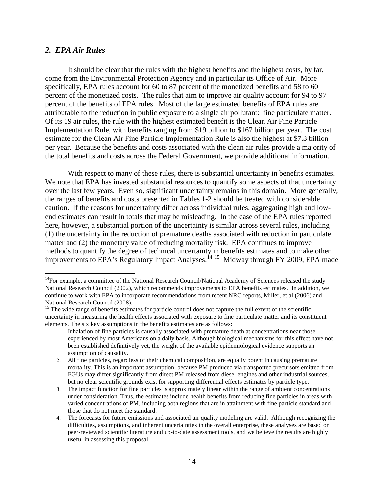#### *2. EPA Air Rules*

 $\overline{a}$ 

It should be clear that the rules with the highest benefits and the highest costs, by far, come from the Environmental Protection Agency and in particular its Office of Air. More specifically, EPA rules account for 60 to 87 percent of the monetized benefits and 58 to 60 percent of the monetized costs. The rules that aim to improve air quality account for 94 to 97 percent of the benefits of EPA rules. Most of the large estimated benefits of EPA rules are attributable to the reduction in public exposure to a single air pollutant: fine particulate matter. Of its 19 air rules, the rule with the highest estimated benefit is the Clean Air Fine Particle Implementation Rule, with benefits ranging from \$19 billion to \$167 billion per year. The cost estimate for the Clean Air Fine Particle Implementation Rule is also the highest at \$7.3 billion per year. Because the benefits and costs associated with the clean air rules provide a majority of the total benefits and costs across the Federal Government, we provide additional information.

With respect to many of these rules, there is substantial uncertainty in benefits estimates. We note that EPA has invested substantial resources to quantify some aspects of that uncertainty over the last few years. Even so, significant uncertainty remains in this domain. More generally, the ranges of benefits and costs presented in Tables 1-2 should be treated with considerable caution. If the reasons for uncertainty differ across individual rules, aggregating high and lowend estimates can result in totals that may be misleading. In the case of the EPA rules reported here, however, a substantial portion of the uncertainty is similar across several rules, including (1) the uncertainty in the reduction of premature deaths associated with reduction in particulate matter and (2) the monetary value of reducing mortality risk. EPA continues to improve methods to quantify the degree of technical uncertainty in benefits estimates and to make other improvements to EPA's Regulatory Impact Analyses.<sup>[14](#page-14-0) [15](#page-14-1)</sup> Midway through FY 2009, EPA made

<span id="page-14-0"></span><sup>&</sup>lt;sup>14</sup>For example, a committee of the National Research Council/National Academy of Sciences released the study National Research Council (2002), which recommends improvements to EPA benefits estimates. In addition, we continue to work with EPA to incorporate recommendations from recent NRC reports, Miller, et al (2006) and National Research Council (2008).

<span id="page-14-1"></span><sup>&</sup>lt;sup>15</sup> The wide range of benefits estimates for particle control does not capture the full extent of the scientific uncertainty in measuring the health effects associated with exposure to fine particulate matter and its constituent elements. The six key assumptions in the benefits estimates are as follows:

<sup>1.</sup> Inhalation of fine particles is causally associated with premature death at concentrations near those experienced by most Americans on a daily basis. Although biological mechanisms for this effect have not been established definitively yet, the weight of the available epidemiological evidence supports an assumption of causality.

<sup>2.</sup> All fine particles, regardless of their chemical composition, are equally potent in causing premature mortality. This is an important assumption, because PM produced via transported precursors emitted from EGUs may differ significantly from direct PM released from diesel engines and other industrial sources, but no clear scientific grounds exist for supporting differential effects estimates by particle type.

<sup>3.</sup> The impact function for fine particles is approximately linear within the range of ambient concentrations under consideration. Thus, the estimates include health benefits from reducing fine particles in areas with varied concentrations of PM, including both regions that are in attainment with fine particle standard and those that do not meet the standard.

<sup>4.</sup> The forecasts for future emissions and associated air quality modeling are valid. Although recognizing the difficulties, assumptions, and inherent uncertainties in the overall enterprise, these analyses are based on peer-reviewed scientific literature and up-to-date assessment tools, and we believe the results are highly useful in assessing this proposal.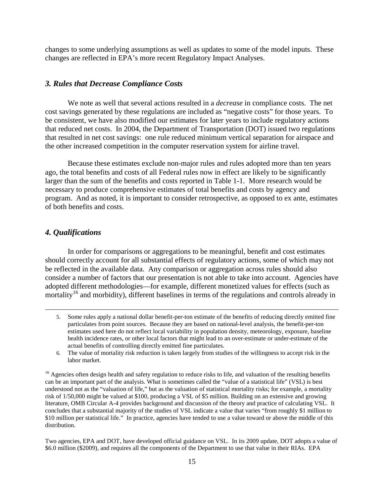changes to some underlying assumptions as well as updates to some of the model inputs. These changes are reflected in EPA's more recent Regulatory Impact Analyses.

## *3. Rules that Decrease Compliance Costs*

We note as well that several actions resulted in a *decrease* in compliance costs. The net cost savings generated by these regulations are included as "negative costs" for those years. To be consistent, we have also modified our estimates for later years to include regulatory actions that reduced net costs. In 2004, the Department of Transportation (DOT) issued two regulations that resulted in net cost savings: one rule reduced minimum vertical separation for airspace and the other increased competition in the computer reservation system for airline travel.

Because these estimates exclude non-major rules and rules adopted more than ten years ago, the total benefits and costs of all Federal rules now in effect are likely to be significantly larger than the sum of the benefits and costs reported in Table 1-1. More research would be necessary to produce comprehensive estimates of total benefits and costs by agency and program. And as noted, it is important to consider retrospective, as opposed to ex ante, estimates of both benefits and costs.

## *4. Qualifications*

 $\overline{a}$ 

 In order for comparisons or aggregations to be meaningful, benefit and cost estimates should correctly account for all substantial effects of regulatory actions, some of which may not be reflected in the available data. Any comparison or aggregation across rules should also consider a number of factors that our presentation is not able to take into account. Agencies have adopted different methodologies—for example, different monetized values for effects (such as mortality<sup>[16](#page-15-0)</sup> and morbidity), different baselines in terms of the regulations and controls already in

Two agencies, EPA and DOT, have developed official guidance on VSL. In its 2009 update, DOT adopts a value of \$6.0 million (\$2009), and requires all the components of the Department to use that value in their RIAs. EPA

<sup>5.</sup> Some rules apply a national dollar benefit-per-ton estimate of the benefits of reducing directly emitted fine particulates from point sources. Because they are based on national-level analysis, the benefit-per-ton estimates used here do not reflect local variability in population density, meteorology, exposure, baseline health incidence rates, or other local factors that might lead to an over-estimate or under-estimate of the actual benefits of controlling directly emitted fine particulates.

<sup>6.</sup> The value of mortality risk reduction is taken largely from studies of the willingness to accept risk in the labor market.

<span id="page-15-0"></span><sup>&</sup>lt;sup>16</sup> Agencies often design health and safety regulation to reduce risks to life, and valuation of the resulting benefits can be an important part of the analysis. What is sometimes called the "value of a statistical life" (VSL) is best understood not as the "valuation of life," but as the valuation of statistical mortality risks; for example, a mortality risk of 1/50,000 might be valued at \$100, producing a VSL of \$5 million. Building on an extensive and growing literature, OMB Circular A-4 provides background and discussion of the theory and practice of calculating VSL. It concludes that a substantial majority of the studies of VSL indicate a value that varies "from roughly \$1 million to \$10 million per statistical life." In practice, agencies have tended to use a value toward or above the middle of this distribution.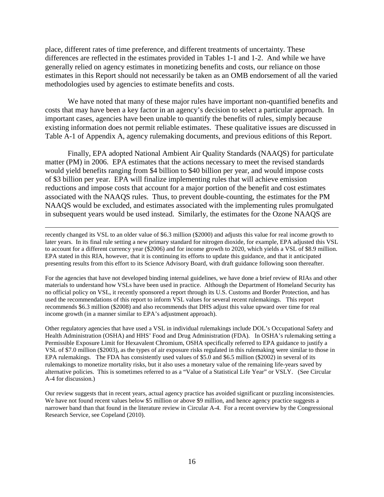place, different rates of time preference, and different treatments of uncertainty. These differences are reflected in the estimates provided in Tables 1-1 and 1-2. And while we have generally relied on agency estimates in monetizing benefits and costs, our reliance on those estimates in this Report should not necessarily be taken as an OMB endorsement of all the varied methodologies used by agencies to estimate benefits and costs.

We have noted that many of these major rules have important non-quantified benefits and costs that may have been a key factor in an agency's decision to select a particular approach. In important cases, agencies have been unable to quantify the benefits of rules, simply because existing information does not permit reliable estimates. These qualitative issues are discussed in Table A-1 of Appendix A, agency rulemaking documents, and previous editions of this Report.

Finally, EPA adopted National Ambient Air Quality Standards (NAAQS) for particulate matter (PM) in 2006. EPA estimates that the actions necessary to meet the revised standards would yield benefits ranging from \$4 billion to \$40 billion per year, and would impose costs of \$3 billion per year. EPA will finalize implementing rules that will achieve emission reductions and impose costs that account for a major portion of the benefit and cost estimates associated with the NAAQS rules. Thus, to prevent double-counting, the estimates for the PM NAAQS would be excluded, and estimates associated with the implementing rules promulgated in subsequent years would be used instead. Similarly, the estimates for the Ozone NAAQS are

recently changed its VSL to an older value of \$6.3 million (\$2000) and adjusts this value for real income growth to later years. In its final rule setting a new primary standard for nitrogen dioxide, for example, EPA adjusted this VSL to account for a different currency year (\$2006) and for income growth to 2020, which yields a VSL of \$8.9 million. EPA stated in this RIA, however, that it is continuing its efforts to update this guidance, and that it anticipated presenting results from this effort to its Science Advisory Board, with draft guidance following soon thereafter.

 $\overline{a}$ 

For the agencies that have not developed binding internal guidelines, we have done a brief review of RIAs and other materials to understand how VSLs have been used in practice. Although the Department of Homeland Security has no official policy on VSL, it recently sponsored a report through its U.S. Customs and Border Protection, and has used the recommendations of this report to inform VSL values for several recent rulemakings. This report recommends \$6.3 million (\$2008) and also recommends that DHS adjust this value upward over time for real income growth (in a manner similar to EPA's adjustment approach).

Other regulatory agencies that have used a VSL in individual rulemakings include DOL's Occupational Safety and Health Administration (OSHA) and HHS' Food and Drug Administration (FDA). In OSHA's rulemaking setting a Permissible Exposure Limit for Hexavalent Chromium, OSHA specifically referred to EPA guidance to justify a VSL of \$7.0 million (\$2003), as the types of air exposure risks regulated in this rulemaking were similar to those in EPA rulemakings. The FDA has consistently used values of \$5.0 and \$6.5 million (\$2002) in several of its rulemakings to monetize mortality risks, but it also uses a monetary value of the remaining life-years saved by alternative policies. This is sometimes referred to as a "Value of a Statistical Life Year" or VSLY. (See Circular A-4 for discussion.)

Our review suggests that in recent years, actual agency practice has avoided significant or puzzling inconsistencies. We have not found recent values below \$5 million or above \$9 million, and hence agency practice suggests a narrower band than that found in the literature review in Circular A-4. For a recent overview by the Congressional Research Service, see Copeland (2010).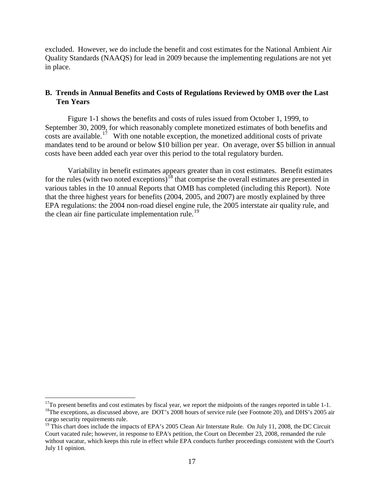excluded. However, we do include the benefit and cost estimates for the National Ambient Air Quality Standards (NAAQS) for lead in 2009 because the implementing regulations are not yet in place.

## **B. Trends in Annual Benefits and Costs of Regulations Reviewed by OMB over the Last Ten Years**

Figure 1-1 shows the benefits and costs of rules issued from October 1, 1999, to September 30, 2009, for which reasonably complete monetized estimates of both benefits and costs are available.<sup>17</sup> With one notable exception, the monetized additional costs of private mandates tend to be around or below \$10 billion per year. On average, over \$5 billion in annual costs have been added each year over this period to the total regulatory burden.

Variability in benefit estimates appears greater than in cost estimates. Benefit estimates for the rules (with two noted exceptions)<sup>[18](#page-17-1)</sup> that comprise the overall estimates are presented in various tables in the 10 annual Reports that OMB has completed (including this Report). Note that the three highest years for benefits (2004, 2005, and 2007) are mostly explained by three EPA regulations: the 2004 non-road diesel engine rule, the 2005 interstate air quality rule, and the clean air fine particulate implementation rule.<sup>19</sup>

<span id="page-17-1"></span><span id="page-17-0"></span><sup>&</sup>lt;sup>17</sup>To present benefits and cost estimates by fiscal year, we report the midpoints of the ranges reported in table 1-1.<br><sup>18</sup>The exceptions, as discussed above, are DOT's 2008 hours of service rule (see Footnote 20), and D cargo security requirements rule.

<span id="page-17-2"></span><sup>&</sup>lt;sup>19</sup> This chart does include the impacts of EPA's 2005 Clean Air Interstate Rule. On July 11, 2008, the DC Circuit Court vacated rule; however, in response to EPA's petition, the Court on December 23, 2008, remanded the rule without vacatur, which keeps this rule in effect while EPA conducts further proceedings consistent with the Court's July 11 opinion.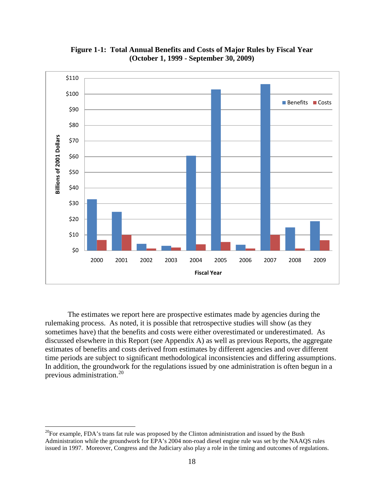

**Figure 1-1: Total Annual Benefits and Costs of Major Rules by Fiscal Year (October 1, 1999 - September 30, 2009)** 

The estimates we report here are prospective estimates made by agencies during the rulemaking process. As noted, it is possible that retrospective studies will show (as they sometimes have) that the benefits and costs were either overestimated or underestimated. As discussed elsewhere in this Report (see Appendix A) as well as previous Reports, the aggregate estimates of benefits and costs derived from estimates by different agencies and over different time periods are subject to significant methodological inconsistencies and differing assumptions. In addition, the groundwork for the regulations issued by one administration is often begun in a previous administration.[20](#page-18-0)

<span id="page-18-0"></span> $^{20}$ For example, FDA's trans fat rule was proposed by the Clinton administration and issued by the Bush Administration while the groundwork for EPA's 2004 non-road diesel engine rule was set by the NAAQS rules issued in 1997. Moreover, Congress and the Judiciary also play a role in the timing and outcomes of regulations.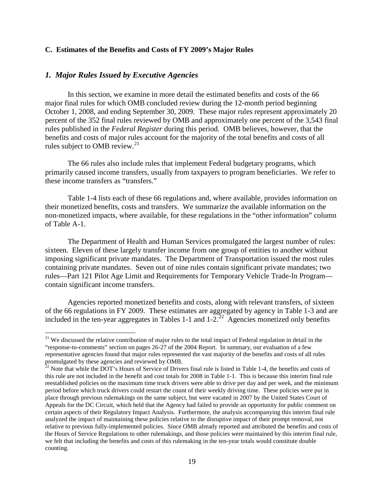#### **C. Estimates of the Benefits and Costs of FY 2009's Major Rules**

#### *1. Major Rules Issued by Executive Agencies*

 $\overline{a}$ 

In this section, we examine in more detail the estimated benefits and costs of the 66 major final rules for which OMB concluded review during the 12-month period beginning October 1, 2008, and ending September 30, 2009. These major rules represent approximately 20 percent of the 352 final rules reviewed by OMB and approximately one percent of the 3,543 final rules published in the *Federal Register* during this period. OMB believes, however, that the benefits and costs of major rules account for the majority of the total benefits and costs of all rules subject to OMB review. $^{21}$  $^{21}$  $^{21}$ 

The 66 rules also include rules that implement Federal budgetary programs, which primarily caused income transfers, usually from taxpayers to program beneficiaries. We refer to these income transfers as "transfers."

Table 1-4 lists each of these 66 regulations and, where available, provides information on their monetized benefits, costs and transfers. We summarize the available information on the non-monetized impacts, where available, for these regulations in the "other information" column of Table A-1.

The Department of Health and Human Services promulgated the largest number of rules: sixteen. Eleven of these largely transfer income from one group of entities to another without imposing significant private mandates. The Department of Transportation issued the most rules containing private mandates. Seven out of nine rules contain significant private mandates; two rules—Part 121 Pilot Age Limit and Requirements for Temporary Vehicle Trade-In Program contain significant income transfers.

Agencies reported monetized benefits and costs, along with relevant transfers, of sixteen of the 66 regulations in FY 2009. These estimates are aggregated by agency in Table 1-3 and are included in the ten-year aggregates in Tables 1-1 and  $1-2$ <sup>[22](#page-19-1)</sup> Agencies monetized only benefits

<span id="page-19-0"></span><sup>&</sup>lt;sup>21</sup> We discussed the relative contribution of major rules to the total impact of Federal regulation in detail in the "response-to-comments" section on pages 26-27 of the 2004 Report. In summary, our evaluation of a few representative agencies found that major rules represented the vast majority of the benefits and costs of all rules promulgated by these agencies and reviewed by OMB.

<span id="page-19-1"></span> $^{22}$  Note that while the DOT's Hours of Service of Drivers final rule is listed in Table 1-4, the benefits and costs of this rule are not included in the benefit and cost totals for 2008 in Table 1-1. This is because this interim final rule reestablished policies on the maximum time truck drivers were able to drive per day and per week, and the minimum period before which truck drivers could restart the count of their weekly driving time. These policies were put in place through previous rulemakings on the same subject, but were vacated in 2007 by the United States Court of Appeals for the DC Circuit, which held that the Agency had failed to provide an opportunity for public comment on certain aspects of their Regulatory Impact Analysis. Furthermore, the analysis accompanying this interim final rule analyzed the impact of maintaining these policies relative to the disruptive impact of their prompt removal, not relative to previous fully-implemented policies. Since OMB already reported and attributed the benefits and costs of the Hours of Service Regulations to other rulemakings, and those policies were maintained by this interim final rule, we felt that including the benefits and costs of this rulemaking in the ten-year totals would constitute double counting.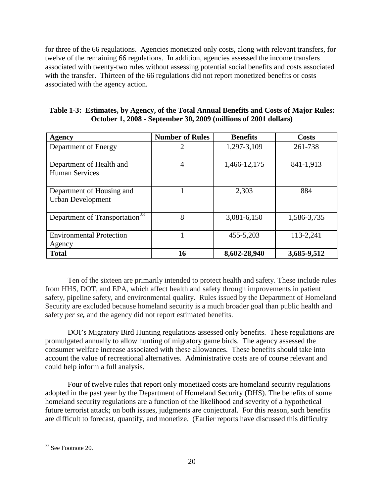for three of the 66 regulations. Agencies monetized only costs, along with relevant transfers, for twelve of the remaining 66 regulations. In addition, agencies assessed the income transfers associated with twenty-two rules without assessing potential social benefits and costs associated with the transfer. Thirteen of the 66 regulations did not report monetized benefits or costs associated with the agency action.

| <b>Agency</b>                                         | <b>Number of Rules</b> | <b>Benefits</b> | <b>Costs</b> |
|-------------------------------------------------------|------------------------|-----------------|--------------|
| Department of Energy                                  | 2                      | 1,297-3,109     | 261-738      |
| Department of Health and<br><b>Human Services</b>     | 4                      | 1,466-12,175    | 841-1,913    |
| Department of Housing and<br><b>Urban Development</b> |                        | 2,303           | 884          |
| Department of Transportation <sup>23</sup>            | 8                      | 3,081-6,150     | 1,586-3,735  |
| <b>Environmental Protection</b><br>Agency             |                        | 455-5,203       | 113-2,241    |
| <b>Total</b>                                          | 16                     | 8,602-28,940    | 3,685-9,512  |

| Table 1-3: Estimates, by Agency, of the Total Annual Benefits and Costs of Major Rules: |
|-----------------------------------------------------------------------------------------|
| October 1, 2008 - September 30, 2009 (millions of 2001 dollars)                         |

Ten of the sixteen are primarily intended to protect health and safety. These include rules from HHS, DOT, and EPA, which affect health and safety through improvements in patient safety, pipeline safety, and environmental quality. Rules issued by the Department of Homeland Security are excluded because homeland security is a much broader goal than public health and safety *per se,* and the agency did not report estimated benefits.

DOI's Migratory Bird Hunting regulations assessed only benefits. These regulations are promulgated annually to allow hunting of migratory game birds. The agency assessed the consumer welfare increase associated with these allowances. These benefits should take into account the value of recreational alternatives. Administrative costs are of course relevant and could help inform a full analysis.

Four of twelve rules that report only monetized costs are homeland security regulations adopted in the past year by the Department of Homeland Security (DHS). The benefits of some homeland security regulations are a function of the likelihood and severity of a hypothetical future terrorist attack; on both issues, judgments are conjectural. For this reason, such benefits are difficult to forecast, quantify, and monetize. (Earlier reports have discussed this difficulty

<span id="page-20-0"></span> $\overline{a}$  $23$  See Footnote 20.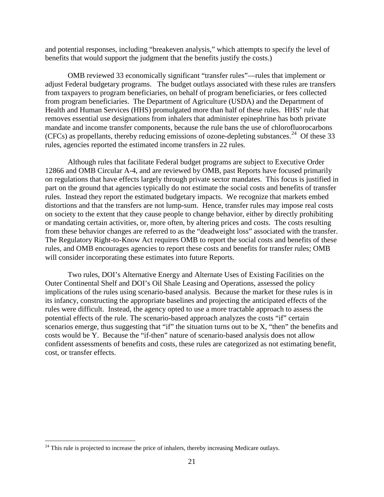and potential responses, including "breakeven analysis," which attempts to specify the level of benefits that would support the judgment that the benefits justify the costs.)

OMB reviewed 33 economically significant "transfer rules"—rules that implement or adjust Federal budgetary programs. The budget outlays associated with these rules are transfers from taxpayers to program beneficiaries, on behalf of program beneficiaries, or fees collected from program beneficiaries. The Department of Agriculture (USDA) and the Department of Health and Human Services (HHS) promulgated more than half of these rules. HHS' rule that removes essential use designations from inhalers that administer epinephrine has both private mandate and income transfer components, because the rule bans the use of chlorofluorocarbons (CFCs) as propellants, thereby reducing emissions of ozone-depleting substances. [24](#page-21-0) Of these 33 rules, agencies reported the estimated income transfers in 22 rules.

Although rules that facilitate Federal budget programs are subject to Executive Order 12866 and OMB Circular A-4, and are reviewed by OMB, past Reports have focused primarily on regulations that have effects largely through private sector mandates. This focus is justified in part on the ground that agencies typically do not estimate the social costs and benefits of transfer rules. Instead they report the estimated budgetary impacts. We recognize that markets embed distortions and that the transfers are not lump-sum. Hence, transfer rules may impose real costs on society to the extent that they cause people to change behavior, either by directly prohibiting or mandating certain activities, or, more often, by altering prices and costs. The costs resulting from these behavior changes are referred to as the "deadweight loss" associated with the transfer. The Regulatory Right-to-Know Act requires OMB to report the social costs and benefits of these rules, and OMB encourages agencies to report these costs and benefits for transfer rules; OMB will consider incorporating these estimates into future Reports.

Two rules, DOI's Alternative Energy and Alternate Uses of Existing Facilities on the Outer Continental Shelf and DOI's Oil Shale Leasing and Operations, assessed the policy implications of the rules using scenario-based analysis. Because the market for these rules is in its infancy, constructing the appropriate baselines and projecting the anticipated effects of the rules were difficult. Instead, the agency opted to use a more tractable approach to assess the potential effects of the rule. The scenario-based approach analyzes the costs "if" certain scenarios emerge, thus suggesting that "if" the situation turns out to be X, "then" the benefits and costs would be Y. Because the "if-then" nature of scenario-based analysis does not allow confident assessments of benefits and costs, these rules are categorized as not estimating benefit, cost, or transfer effects.

<span id="page-21-0"></span><sup>&</sup>lt;sup>24</sup> This rule is projected to increase the price of inhalers, thereby increasing Medicare outlays.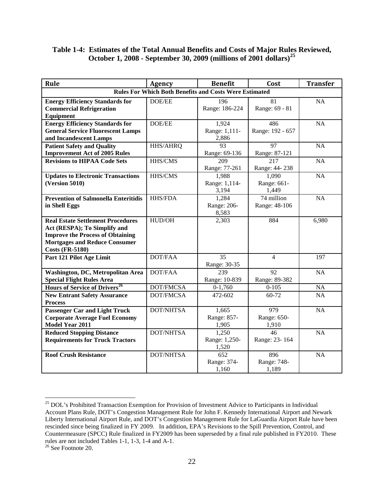## **Table 1-4: Estimates of the Total Annual Benefits and Costs of Major Rules Reviewed, October 1, 2008 - September 30, 2009 (millions of 2001 dollars)[25](#page-22-0)**

| Rule                                                                                                                                                                                  | <b>Agency</b>    | <b>Benefit</b>                           | Cost                              | <b>Transfer</b> |  |
|---------------------------------------------------------------------------------------------------------------------------------------------------------------------------------------|------------------|------------------------------------------|-----------------------------------|-----------------|--|
| <b>Rules For Which Both Benefits and Costs Were Estimated</b>                                                                                                                         |                  |                                          |                                   |                 |  |
| <b>Energy Efficiency Standards for</b><br><b>Commercial Refrigeration</b><br>Equipment                                                                                                | DOE/EE           | 196<br>Range: 186-224                    | $\overline{81}$<br>Range: 69 - 81 | $\overline{NA}$ |  |
| <b>Energy Efficiency Standards for</b><br><b>General Service Fluorescent Lamps</b><br>and Incandescent Lamps                                                                          | DOE/EE           | 1,924<br>Range: 1,111-<br>2,886          | 486<br>Range: 192 - 657           | NA              |  |
| <b>Patient Safety and Quality</b><br><b>Improvement Act of 2005 Rules</b>                                                                                                             | HHS/AHRQ         | 93<br>Range: 69-136                      | 97<br>Range: 87-121               | NA              |  |
| <b>Revisions to HIPAA Code Sets</b>                                                                                                                                                   | HHS/CMS          | 209<br>Range: 77-261                     | 217<br>Range: 44-238              | NA              |  |
| <b>Updates to Electronic Transactions</b><br><b>(Version 5010)</b>                                                                                                                    | HHS/CMS          | 1,988<br>Range: 1,114-<br>3,194          | 1,090<br>Range: 661-<br>1,449     | NA              |  |
| <b>Prevention of Salmonella Enteritidis</b><br>in Shell Eggs                                                                                                                          | <b>HHS/FDA</b>   | 1,284<br>Range: 206-<br>8,583            | 74 million<br>Range: 48-106       | NA              |  |
| <b>Real Estate Settlement Procedures</b><br>Act (RESPA); To Simplify and<br><b>Improve the Process of Obtaining</b><br><b>Mortgages and Reduce Consumer</b><br><b>Costs (FR-5180)</b> | HUD/OH           | 2,303                                    | 884                               | 6,980           |  |
| Part 121 Pilot Age Limit                                                                                                                                                              | DOT/FAA          | $\overline{35}$<br>Range: 30-35          | 4                                 | 197             |  |
| Washington, DC, Metropolitan Area<br><b>Special Flight Rules Area</b>                                                                                                                 | DOT/FAA          | 239<br>Range: 10-839                     | 92<br>Range: 89-382               | NA              |  |
| Hours of Service of Drivers <sup>26</sup>                                                                                                                                             | <b>DOT/FMCSA</b> | $0-1,760$                                | $0 - 105$                         | NA              |  |
| <b>New Entrant Safety Assurance</b><br><b>Process</b>                                                                                                                                 | <b>DOT/FMCSA</b> | 472-602                                  | $60-72$                           | NA              |  |
| Passenger Car and Light Truck<br><b>Corporate Average Fuel Economy</b><br><b>Model Year 2011</b>                                                                                      | <b>DOT/NHTSA</b> | 1,665<br>Range: 857-<br>1,905            | 979<br>Range: 650-<br>1,910       | $\overline{NA}$ |  |
| <b>Reduced Stopping Distance</b><br><b>Requirements for Truck Tractors</b>                                                                                                            | <b>DOT/NHTSA</b> | 1,250<br>Range: 1,250-<br>1,520          | $\overline{46}$<br>Range: 23-164  | <b>NA</b>       |  |
| <b>Roof Crush Resistance</b>                                                                                                                                                          | DOT/NHTSA        | $\overline{652}$<br>Range: 374-<br>1,160 | 896<br>Range: 748-<br>1,189       | NA              |  |

<span id="page-22-0"></span> $\overline{a}$ <sup>25</sup> DOL's Prohibited Transaction Exemption for Provision of Investment Advice to Participants in Individual Account Plans Rule, DOT's Congestion Management Rule for John F. Kennedy International Airport and Newark Liberty International Airport Rule, and DOT's Congestion Management Rule for LaGuardia Airport Rule have been rescinded since being finalized in FY 2009. In addition, EPA's Revisions to the Spill Prevention, Control, and Countermeasure (SPCC) Rule finalized in FY2009 has been superseded by a final rule published in FY2010. These rules are not included Tables 1-1, 1-3, 1-4 and A-1.<br><sup>26</sup> See Footnote 20.

<span id="page-22-1"></span>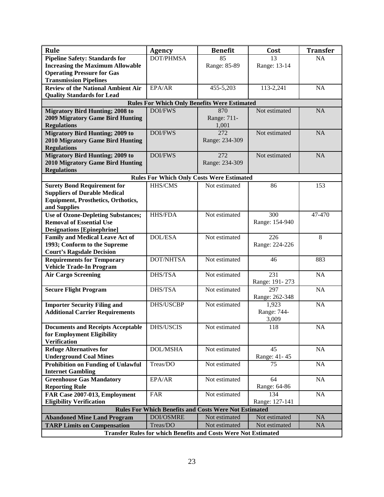| Rule                                                                  | <b>Agency</b>                                                | <b>Benefit</b>       | Cost           | <b>Transfer</b> |
|-----------------------------------------------------------------------|--------------------------------------------------------------|----------------------|----------------|-----------------|
| <b>Pipeline Safety: Standards for</b>                                 | DOT/PHMSA                                                    | 85                   | 13             | NA              |
| <b>Increasing the Maximum Allowable</b>                               |                                                              | Range: 85-89         | Range: 13-14   |                 |
| <b>Operating Pressure for Gas</b>                                     |                                                              |                      |                |                 |
| <b>Transmission Pipelines</b>                                         |                                                              |                      |                |                 |
| <b>Review of the National Ambient Air</b>                             | EPA/AR                                                       | 455-5,203            | 113-2,241      | NA              |
| <b>Quality Standards for Lead</b>                                     |                                                              |                      |                |                 |
|                                                                       | <b>Rules For Which Only Benefits Were Estimated</b>          |                      |                |                 |
| <b>Migratory Bird Hunting; 2008 to</b>                                | <b>DOI/FWS</b>                                               | 870                  | Not estimated  | <b>NA</b>       |
| <b>2009 Migratory Game Bird Hunting</b>                               |                                                              | Range: 711-<br>1,001 |                |                 |
| <b>Regulations</b><br><b>Migratory Bird Hunting; 2009 to</b>          | <b>DOI/FWS</b>                                               | 272                  | Not estimated  | NA              |
| <b>2010 Migratory Game Bird Hunting</b>                               |                                                              | Range: 234-309       |                |                 |
| <b>Regulations</b>                                                    |                                                              |                      |                |                 |
| <b>Migratory Bird Hunting; 2009 to</b>                                | <b>DOI/FWS</b>                                               | 272                  | Not estimated  | <b>NA</b>       |
| <b>2010 Migratory Game Bird Hunting</b>                               |                                                              | Range: 234-309       |                |                 |
| <b>Regulations</b>                                                    |                                                              |                      |                |                 |
|                                                                       | <b>Rules For Which Only Costs Were Estimated</b>             |                      |                |                 |
| <b>Surety Bond Requirement for</b>                                    | HHS/CMS                                                      | Not estimated        | 86             | 153             |
| <b>Suppliers of Durable Medical</b>                                   |                                                              |                      |                |                 |
| <b>Equipment, Prosthetics, Orthotics,</b>                             |                                                              |                      |                |                 |
| and Supplies                                                          |                                                              |                      |                |                 |
| <b>Use of Ozone-Depleting Substances;</b>                             | <b>HHS/FDA</b>                                               | Not estimated        | 300            | 47-470          |
| <b>Removal of Essential Use</b>                                       |                                                              |                      | Range: 154-940 |                 |
| <b>Designations [Epinephrine]</b>                                     |                                                              |                      |                |                 |
| <b>Family and Medical Leave Act of</b>                                | <b>DOL/ESA</b>                                               | Not estimated        | 226            | 8               |
| 1993; Conform to the Supreme<br><b>Court's Ragsdale Decision</b>      |                                                              |                      | Range: 224-226 |                 |
| <b>Requirements for Temporary</b>                                     | DOT/NHTSA                                                    | Not estimated        | 46             | 883             |
| <b>Vehicle Trade-In Program</b>                                       |                                                              |                      |                |                 |
| <b>Air Cargo Screening</b>                                            | DHS/TSA                                                      | Not estimated        | 231            | <b>NA</b>       |
|                                                                       |                                                              |                      | Range: 191-273 |                 |
| <b>Secure Flight Program</b>                                          | DHS/TSA                                                      | Not estimated        | 297            | NA              |
|                                                                       |                                                              |                      | Range: 262-348 |                 |
| <b>Importer Security Filing and</b>                                   | DHS/USCBP                                                    | Not estimated        | 1,923          | <b>NA</b>       |
| <b>Additional Carrier Requirements</b>                                |                                                              |                      | Range: 744-    |                 |
|                                                                       |                                                              |                      | 3,009          |                 |
| <b>Documents and Receipts Acceptable</b>                              | DHS/USCIS                                                    | Not estimated        | 118            | $\overline{NA}$ |
| for Employment Eligibility<br><b>Verification</b>                     |                                                              |                      |                |                 |
| <b>Refuge Alternatives for</b>                                        | <b>DOL/MSHA</b>                                              | Not estimated        | 45             | NA              |
| <b>Underground Coal Mines</b>                                         |                                                              |                      | Range: 41-45   |                 |
| <b>Prohibition on Funding of Unlawful</b>                             | Treas/DO                                                     | Not estimated        | 75             | NA              |
| <b>Internet Gambling</b>                                              |                                                              |                      |                |                 |
| <b>Greenhouse Gas Mandatory</b>                                       | EPA/AR                                                       | Not estimated        | 64             | NA              |
| <b>Reporting Rule</b>                                                 |                                                              |                      | Range: 64-86   |                 |
| FAR Case 2007-013, Employment                                         | <b>FAR</b>                                                   | Not estimated        | 134            | NA              |
| <b>Eligibility Verification</b>                                       |                                                              |                      | Range: 127-141 |                 |
|                                                                       | <b>Rules For Which Benefits and Costs Were Not Estimated</b> |                      |                |                 |
| <b>Abandoned Mine Land Program</b>                                    | DOI/OSMRE                                                    | Not estimated        | Not estimated  | <b>NA</b>       |
| <b>TARP Limits on Compensation</b>                                    | Treas/DO                                                     | Not estimated        | Not estimated  | NA              |
| <b>Transfer Rules for which Benefits and Costs Were Not Estimated</b> |                                                              |                      |                |                 |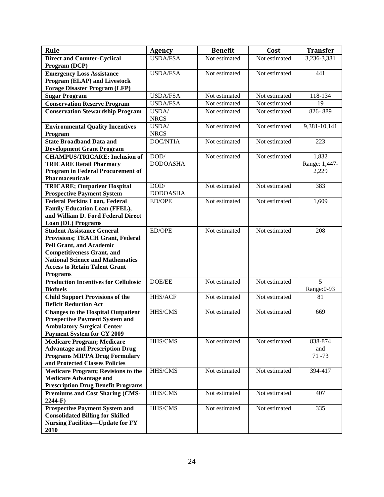| Rule                                                                | Agency          | <b>Benefit</b> | Cost          | <b>Transfer</b> |
|---------------------------------------------------------------------|-----------------|----------------|---------------|-----------------|
| <b>Direct and Counter-Cyclical</b>                                  | <b>USDA/FSA</b> | Not estimated  | Not estimated | 3,236-3,381     |
| Program (DCP)                                                       |                 |                |               |                 |
| <b>Emergency Loss Assistance</b>                                    | <b>USDA/FSA</b> | Not estimated  | Not estimated | 441             |
| Program (ELAP) and Livestock                                        |                 |                |               |                 |
| <b>Forage Disaster Program (LFP)</b>                                |                 |                |               |                 |
| <b>Sugar Program</b>                                                | <b>USDA/FSA</b> | Not estimated  | Not estimated | 118-134         |
| <b>Conservation Reserve Program</b>                                 | <b>USDA/FSA</b> | Not estimated  | Not estimated | 19              |
| <b>Conservation Stewardship Program</b>                             | USDA/           | Not estimated  | Not estimated | 826-889         |
|                                                                     | <b>NRCS</b>     |                |               |                 |
| <b>Environmental Quality Incentives</b>                             | USDA/           | Not estimated  | Not estimated | 9,381-10,141    |
| Program                                                             | <b>NRCS</b>     |                |               |                 |
| <b>State Broadband Data and</b>                                     | <b>DOC/NTIA</b> | Not estimated  | Not estimated | 223             |
| <b>Development Grant Program</b>                                    |                 |                |               |                 |
| <b>CHAMPUS/TRICARE: Inclusion of</b>                                | DOD/            | Not estimated  | Not estimated | 1,832           |
| <b>TRICARE Retail Pharmacy</b>                                      | <b>DODOASHA</b> |                |               | Range: 1,447-   |
| <b>Program in Federal Procurement of</b>                            |                 |                |               | 2,229           |
| <b>Pharmaceuticals</b>                                              |                 |                |               |                 |
| <b>TRICARE; Outpatient Hospital</b>                                 | DOD/            | Not estimated  | Not estimated | 383             |
| <b>Prospective Payment System</b>                                   | <b>DODOASHA</b> |                |               |                 |
| <b>Federal Perkins Loan, Federal</b>                                | ED/OPE          | Not estimated  | Not estimated | 1,609           |
| Family Education Loan (FFEL),<br>and William D. Ford Federal Direct |                 |                |               |                 |
| Loan (DL) Programs                                                  |                 |                |               |                 |
| <b>Student Assistance General</b>                                   | ED/OPE          | Not estimated  | Not estimated | 208             |
| <b>Provisions; TEACH Grant, Federal</b>                             |                 |                |               |                 |
| <b>Pell Grant, and Academic</b>                                     |                 |                |               |                 |
| <b>Competitiveness Grant, and</b>                                   |                 |                |               |                 |
| <b>National Science and Mathematics</b>                             |                 |                |               |                 |
| <b>Access to Retain Talent Grant</b>                                |                 |                |               |                 |
| <b>Programs</b>                                                     |                 |                |               |                 |
| <b>Production Incentives for Cellulosic</b>                         | DOE/EE          | Not estimated  | Not estimated | $\overline{5}$  |
| <b>Biofuels</b>                                                     |                 |                |               | Range: 0-93     |
| <b>Child Support Provisions of the</b>                              | HHS/ACF         | Not estimated  | Not estimated | 81              |
| <b>Deficit Reduction Act</b>                                        |                 |                |               |                 |
| <b>Changes to the Hospital Outpatient</b>                           | HHS/CMS         | Not estimated  | Not estimated | 669             |
| <b>Prospective Payment System and</b>                               |                 |                |               |                 |
| <b>Ambulatory Surgical Center</b>                                   |                 |                |               |                 |
| <b>Payment System for CY 2009</b>                                   |                 |                |               |                 |
| <b>Medicare Program; Medicare</b>                                   | HHS/CMS         | Not estimated  | Not estimated | 838-874         |
| <b>Advantage and Prescription Drug</b>                              |                 |                |               | and             |
| <b>Programs MIPPA Drug Formulary</b>                                |                 |                |               | 71 - 73         |
| and Protected Classes Policies                                      |                 |                |               |                 |
| <b>Medicare Program; Revisions to the</b>                           | HHS/CMS         | Not estimated  | Not estimated | 394-417         |
| <b>Medicare Advantage and</b>                                       |                 |                |               |                 |
| <b>Prescription Drug Benefit Programs</b>                           |                 |                |               |                 |
| <b>Premiums and Cost Sharing (CMS-</b><br>$2244-F$                  | HHS/CMS         | Not estimated  | Not estimated | 407             |
| <b>Prospective Payment System and</b>                               | HHS/CMS         | Not estimated  | Not estimated | 335             |
| <b>Consolidated Billing for Skilled</b>                             |                 |                |               |                 |
| <b>Nursing Facilities-Update for FY</b>                             |                 |                |               |                 |
| 2010                                                                |                 |                |               |                 |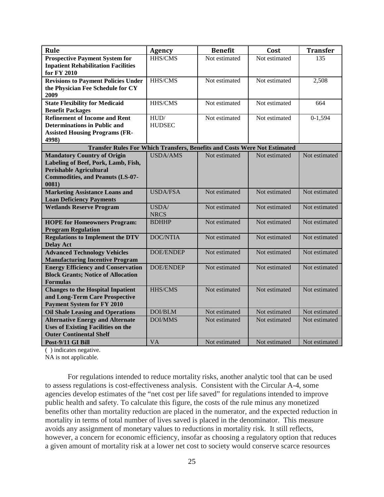| HHS/CMS<br>Not estimated<br>Not estimated<br>135<br><b>Prospective Payment System for</b><br><b>Inpatient Rehabilitation Facilities</b><br>for FY 2010<br><b>Revisions to Payment Policies Under</b><br>HHS/CMS<br>Not estimated<br>Not estimated<br>2,508<br>the Physician Fee Schedule for CY<br>2009<br><b>State Flexibility for Medicaid</b><br>HHS/CMS<br>Not estimated<br>Not estimated<br>664<br><b>Benefit Packages</b><br><b>Refinement of Income and Rent</b><br>HUD/<br>Not estimated<br>Not estimated<br>$0-1,594$<br><b>Determinations in Public and</b><br><b>HUDSEC</b><br><b>Assisted Housing Programs (FR-</b><br>4998)<br><b>Transfer Rules For Which Transfers, Benefits and Costs Were Not Estimated</b><br><b>USDA/AMS</b><br>Not estimated<br><b>Mandatory Country of Origin</b><br>Not estimated<br>Not estimated<br>Labeling of Beef, Pork, Lamb, Fish,<br><b>Perishable Agricultural</b><br><b>Commodities, and Peanuts (LS-07-</b><br>0081)<br><b>Marketing Assistance Loans and</b><br><b>USDA/FSA</b><br>Not estimated<br>Not estimated<br>Not estimated<br><b>Loan Deficiency Payments</b><br><b>Wetlands Reserve Program</b><br>USDA/<br>Not estimated<br>Not estimated<br>Not estimated<br><b>NRCS</b><br>Not estimated<br>Not estimated<br>Not estimated<br><b>HOPE for Homeowners Program:</b><br><b>BDHHP</b><br><b>Program Regulation</b><br><b>DOC/NTIA</b><br>Not estimated<br>Not estimated<br>Not estimated<br><b>Regulations to Implement the DTV</b><br><b>Delay Act</b><br><b>Advanced Technology Vehicles</b><br><b>DOE/ENDEP</b><br>Not estimated<br>Not estimated<br>Not estimated<br><b>Manufacturing Incentive Program</b> | Rule | <b>Agency</b> | <b>Benefit</b> | Cost | <b>Transfer</b> |
|---------------------------------------------------------------------------------------------------------------------------------------------------------------------------------------------------------------------------------------------------------------------------------------------------------------------------------------------------------------------------------------------------------------------------------------------------------------------------------------------------------------------------------------------------------------------------------------------------------------------------------------------------------------------------------------------------------------------------------------------------------------------------------------------------------------------------------------------------------------------------------------------------------------------------------------------------------------------------------------------------------------------------------------------------------------------------------------------------------------------------------------------------------------------------------------------------------------------------------------------------------------------------------------------------------------------------------------------------------------------------------------------------------------------------------------------------------------------------------------------------------------------------------------------------------------------------------------------------------------------------------------------------------------------------|------|---------------|----------------|------|-----------------|
|                                                                                                                                                                                                                                                                                                                                                                                                                                                                                                                                                                                                                                                                                                                                                                                                                                                                                                                                                                                                                                                                                                                                                                                                                                                                                                                                                                                                                                                                                                                                                                                                                                                                           |      |               |                |      |                 |
|                                                                                                                                                                                                                                                                                                                                                                                                                                                                                                                                                                                                                                                                                                                                                                                                                                                                                                                                                                                                                                                                                                                                                                                                                                                                                                                                                                                                                                                                                                                                                                                                                                                                           |      |               |                |      |                 |
|                                                                                                                                                                                                                                                                                                                                                                                                                                                                                                                                                                                                                                                                                                                                                                                                                                                                                                                                                                                                                                                                                                                                                                                                                                                                                                                                                                                                                                                                                                                                                                                                                                                                           |      |               |                |      |                 |
|                                                                                                                                                                                                                                                                                                                                                                                                                                                                                                                                                                                                                                                                                                                                                                                                                                                                                                                                                                                                                                                                                                                                                                                                                                                                                                                                                                                                                                                                                                                                                                                                                                                                           |      |               |                |      |                 |
|                                                                                                                                                                                                                                                                                                                                                                                                                                                                                                                                                                                                                                                                                                                                                                                                                                                                                                                                                                                                                                                                                                                                                                                                                                                                                                                                                                                                                                                                                                                                                                                                                                                                           |      |               |                |      |                 |
|                                                                                                                                                                                                                                                                                                                                                                                                                                                                                                                                                                                                                                                                                                                                                                                                                                                                                                                                                                                                                                                                                                                                                                                                                                                                                                                                                                                                                                                                                                                                                                                                                                                                           |      |               |                |      |                 |
|                                                                                                                                                                                                                                                                                                                                                                                                                                                                                                                                                                                                                                                                                                                                                                                                                                                                                                                                                                                                                                                                                                                                                                                                                                                                                                                                                                                                                                                                                                                                                                                                                                                                           |      |               |                |      |                 |
|                                                                                                                                                                                                                                                                                                                                                                                                                                                                                                                                                                                                                                                                                                                                                                                                                                                                                                                                                                                                                                                                                                                                                                                                                                                                                                                                                                                                                                                                                                                                                                                                                                                                           |      |               |                |      |                 |
|                                                                                                                                                                                                                                                                                                                                                                                                                                                                                                                                                                                                                                                                                                                                                                                                                                                                                                                                                                                                                                                                                                                                                                                                                                                                                                                                                                                                                                                                                                                                                                                                                                                                           |      |               |                |      |                 |
|                                                                                                                                                                                                                                                                                                                                                                                                                                                                                                                                                                                                                                                                                                                                                                                                                                                                                                                                                                                                                                                                                                                                                                                                                                                                                                                                                                                                                                                                                                                                                                                                                                                                           |      |               |                |      |                 |
|                                                                                                                                                                                                                                                                                                                                                                                                                                                                                                                                                                                                                                                                                                                                                                                                                                                                                                                                                                                                                                                                                                                                                                                                                                                                                                                                                                                                                                                                                                                                                                                                                                                                           |      |               |                |      |                 |
|                                                                                                                                                                                                                                                                                                                                                                                                                                                                                                                                                                                                                                                                                                                                                                                                                                                                                                                                                                                                                                                                                                                                                                                                                                                                                                                                                                                                                                                                                                                                                                                                                                                                           |      |               |                |      |                 |
|                                                                                                                                                                                                                                                                                                                                                                                                                                                                                                                                                                                                                                                                                                                                                                                                                                                                                                                                                                                                                                                                                                                                                                                                                                                                                                                                                                                                                                                                                                                                                                                                                                                                           |      |               |                |      |                 |
|                                                                                                                                                                                                                                                                                                                                                                                                                                                                                                                                                                                                                                                                                                                                                                                                                                                                                                                                                                                                                                                                                                                                                                                                                                                                                                                                                                                                                                                                                                                                                                                                                                                                           |      |               |                |      |                 |
|                                                                                                                                                                                                                                                                                                                                                                                                                                                                                                                                                                                                                                                                                                                                                                                                                                                                                                                                                                                                                                                                                                                                                                                                                                                                                                                                                                                                                                                                                                                                                                                                                                                                           |      |               |                |      |                 |
|                                                                                                                                                                                                                                                                                                                                                                                                                                                                                                                                                                                                                                                                                                                                                                                                                                                                                                                                                                                                                                                                                                                                                                                                                                                                                                                                                                                                                                                                                                                                                                                                                                                                           |      |               |                |      |                 |
|                                                                                                                                                                                                                                                                                                                                                                                                                                                                                                                                                                                                                                                                                                                                                                                                                                                                                                                                                                                                                                                                                                                                                                                                                                                                                                                                                                                                                                                                                                                                                                                                                                                                           |      |               |                |      |                 |
|                                                                                                                                                                                                                                                                                                                                                                                                                                                                                                                                                                                                                                                                                                                                                                                                                                                                                                                                                                                                                                                                                                                                                                                                                                                                                                                                                                                                                                                                                                                                                                                                                                                                           |      |               |                |      |                 |
|                                                                                                                                                                                                                                                                                                                                                                                                                                                                                                                                                                                                                                                                                                                                                                                                                                                                                                                                                                                                                                                                                                                                                                                                                                                                                                                                                                                                                                                                                                                                                                                                                                                                           |      |               |                |      |                 |
|                                                                                                                                                                                                                                                                                                                                                                                                                                                                                                                                                                                                                                                                                                                                                                                                                                                                                                                                                                                                                                                                                                                                                                                                                                                                                                                                                                                                                                                                                                                                                                                                                                                                           |      |               |                |      |                 |
|                                                                                                                                                                                                                                                                                                                                                                                                                                                                                                                                                                                                                                                                                                                                                                                                                                                                                                                                                                                                                                                                                                                                                                                                                                                                                                                                                                                                                                                                                                                                                                                                                                                                           |      |               |                |      |                 |
|                                                                                                                                                                                                                                                                                                                                                                                                                                                                                                                                                                                                                                                                                                                                                                                                                                                                                                                                                                                                                                                                                                                                                                                                                                                                                                                                                                                                                                                                                                                                                                                                                                                                           |      |               |                |      |                 |
|                                                                                                                                                                                                                                                                                                                                                                                                                                                                                                                                                                                                                                                                                                                                                                                                                                                                                                                                                                                                                                                                                                                                                                                                                                                                                                                                                                                                                                                                                                                                                                                                                                                                           |      |               |                |      |                 |
|                                                                                                                                                                                                                                                                                                                                                                                                                                                                                                                                                                                                                                                                                                                                                                                                                                                                                                                                                                                                                                                                                                                                                                                                                                                                                                                                                                                                                                                                                                                                                                                                                                                                           |      |               |                |      |                 |
|                                                                                                                                                                                                                                                                                                                                                                                                                                                                                                                                                                                                                                                                                                                                                                                                                                                                                                                                                                                                                                                                                                                                                                                                                                                                                                                                                                                                                                                                                                                                                                                                                                                                           |      |               |                |      |                 |
| <b>DOE/ENDEP</b><br>Not estimated<br>Not estimated<br>Not estimated<br><b>Energy Efficiency and Conservation</b>                                                                                                                                                                                                                                                                                                                                                                                                                                                                                                                                                                                                                                                                                                                                                                                                                                                                                                                                                                                                                                                                                                                                                                                                                                                                                                                                                                                                                                                                                                                                                          |      |               |                |      |                 |
| <b>Block Grants; Notice of Allocation</b>                                                                                                                                                                                                                                                                                                                                                                                                                                                                                                                                                                                                                                                                                                                                                                                                                                                                                                                                                                                                                                                                                                                                                                                                                                                                                                                                                                                                                                                                                                                                                                                                                                 |      |               |                |      |                 |
| <b>Formulas</b>                                                                                                                                                                                                                                                                                                                                                                                                                                                                                                                                                                                                                                                                                                                                                                                                                                                                                                                                                                                                                                                                                                                                                                                                                                                                                                                                                                                                                                                                                                                                                                                                                                                           |      |               |                |      |                 |
| Not estimated<br><b>Changes to the Hospital Inpatient</b><br>HHS/CMS<br>Not estimated<br>Not estimated                                                                                                                                                                                                                                                                                                                                                                                                                                                                                                                                                                                                                                                                                                                                                                                                                                                                                                                                                                                                                                                                                                                                                                                                                                                                                                                                                                                                                                                                                                                                                                    |      |               |                |      |                 |
| and Long-Term Care Prospective                                                                                                                                                                                                                                                                                                                                                                                                                                                                                                                                                                                                                                                                                                                                                                                                                                                                                                                                                                                                                                                                                                                                                                                                                                                                                                                                                                                                                                                                                                                                                                                                                                            |      |               |                |      |                 |
| <b>Payment System for FY 2010</b>                                                                                                                                                                                                                                                                                                                                                                                                                                                                                                                                                                                                                                                                                                                                                                                                                                                                                                                                                                                                                                                                                                                                                                                                                                                                                                                                                                                                                                                                                                                                                                                                                                         |      |               |                |      |                 |
| DOI/BLM<br>Not estimated<br>Not estimated<br>Not estimated<br><b>Oil Shale Leasing and Operations</b>                                                                                                                                                                                                                                                                                                                                                                                                                                                                                                                                                                                                                                                                                                                                                                                                                                                                                                                                                                                                                                                                                                                                                                                                                                                                                                                                                                                                                                                                                                                                                                     |      |               |                |      |                 |
| <b>Alternative Energy and Alternate</b><br><b>DOI/MMS</b><br>Not estimated<br>Not estimated<br>Not estimated                                                                                                                                                                                                                                                                                                                                                                                                                                                                                                                                                                                                                                                                                                                                                                                                                                                                                                                                                                                                                                                                                                                                                                                                                                                                                                                                                                                                                                                                                                                                                              |      |               |                |      |                 |
| <b>Uses of Existing Facilities on the</b><br><b>Outer Continental Shelf</b>                                                                                                                                                                                                                                                                                                                                                                                                                                                                                                                                                                                                                                                                                                                                                                                                                                                                                                                                                                                                                                                                                                                                                                                                                                                                                                                                                                                                                                                                                                                                                                                               |      |               |                |      |                 |
| <b>VA</b><br>Not estimated<br>Not estimated<br>Not estimated<br>Post-9/11 GI Bill                                                                                                                                                                                                                                                                                                                                                                                                                                                                                                                                                                                                                                                                                                                                                                                                                                                                                                                                                                                                                                                                                                                                                                                                                                                                                                                                                                                                                                                                                                                                                                                         |      |               |                |      |                 |

( ) indicates negative.

NA is not applicable.

For regulations intended to reduce mortality risks, another analytic tool that can be used to assess regulations is cost-effectiveness analysis. Consistent with the Circular A-4, some agencies develop estimates of the "net cost per life saved" for regulations intended to improve public health and safety. To calculate this figure, the costs of the rule minus any monetized benefits other than mortality reduction are placed in the numerator, and the expected reduction in mortality in terms of total number of lives saved is placed in the denominator. This measure avoids any assignment of monetary values to reductions in mortality risk. It still reflects, however, a concern for economic efficiency, insofar as choosing a regulatory option that reduces a given amount of mortality risk at a lower net cost to society would conserve scarce resources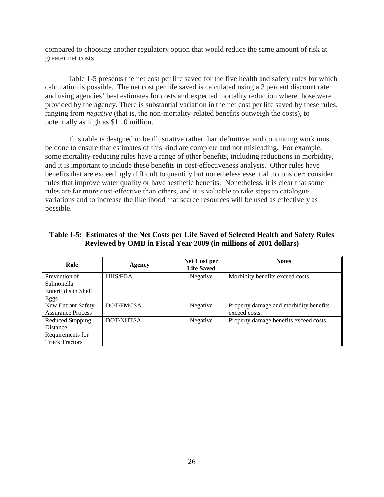compared to choosing another regulatory option that would reduce the same amount of risk at greater net costs.

Table 1-5 presents the net cost per life saved for the five health and safety rules for which calculation is possible. The net cost per life saved is calculated using a 3 percent discount rate and using agencies' best estimates for costs and expected mortality reduction where those were provided by the agency. There is substantial variation in the net cost per life saved by these rules, ranging from *negative* (that is, the non-mortality-related benefits outweigh the costs), to potentially as high as \$11.0 million.

This table is designed to be illustrative rather than definitive, and continuing work must be done to ensure that estimates of this kind are complete and not misleading. For example, some mortality-reducing rules have a range of other benefits, including reductions in morbidity, and it is important to include these benefits in cost-effectiveness analysis. Other rules have benefits that are exceedingly difficult to quantify but nonetheless essential to consider; consider rules that improve water quality or have aesthetic benefits. Nonetheless, it is clear that some rules are far more cost-effective than others, and it is valuable to take steps to catalogue variations and to increase the likelihood that scarce resources will be used as effectively as possible.

| Table 1-5: Estimates of the Net Costs per Life Saved of Selected Health and Safety Rules |
|------------------------------------------------------------------------------------------|
| Reviewed by OMB in Fiscal Year 2009 (in millions of 2001 dollars)                        |

| Rule                     | Agency           | Net Cost per<br><b>Life Saved</b> | <b>Notes</b>                           |
|--------------------------|------------------|-----------------------------------|----------------------------------------|
| Prevention of            | <b>HHS/FDA</b>   | Negative                          | Morbidity benefits exceed costs.       |
| Salmonella               |                  |                                   |                                        |
| Enteritidis in Shell     |                  |                                   |                                        |
| Eggs                     |                  |                                   |                                        |
| New Entrant Safety       | DOT/FMCSA        | Negative                          | Property damage and morbidity benefits |
| <b>Assurance Process</b> |                  |                                   | exceed costs.                          |
| Reduced Stopping         | <b>DOT/NHTSA</b> | Negative                          | Property damage benefits exceed costs. |
| <b>Distance</b>          |                  |                                   |                                        |
| Requirements for         |                  |                                   |                                        |
| <b>Truck Tractors</b>    |                  |                                   |                                        |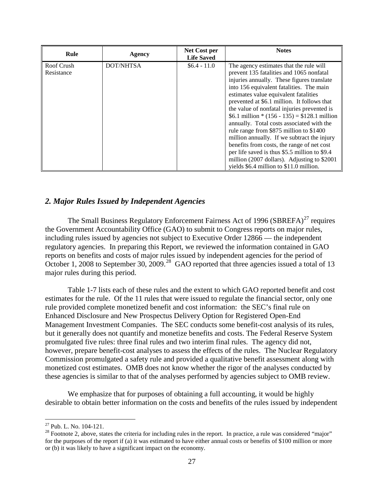| Rule                     | Agency           | Net Cost per<br><b>Life Saved</b> | <b>Notes</b>                                                                                                                                                                                                                                                                                                                                                                                                                                                                                                                                                                                                                                                                                          |
|--------------------------|------------------|-----------------------------------|-------------------------------------------------------------------------------------------------------------------------------------------------------------------------------------------------------------------------------------------------------------------------------------------------------------------------------------------------------------------------------------------------------------------------------------------------------------------------------------------------------------------------------------------------------------------------------------------------------------------------------------------------------------------------------------------------------|
| Roof Crush<br>Resistance | <b>DOT/NHTSA</b> | $$6.4 - 11.0$                     | The agency estimates that the rule will<br>prevent 135 fatalities and 1065 nonfatal<br>injuries annually. These figures translate<br>into 156 equivalent fatalities. The main<br>estimates value equivalent fatalities<br>prevented at \$6.1 million. It follows that<br>the value of nonfatal injuries prevented is<br>\$6.1 million $*(156 - 135) = $128.1$ million<br>annually. Total costs associated with the<br>rule range from \$875 million to \$1400<br>million annually. If we subtract the injury<br>benefits from costs, the range of net cost<br>per life saved is thus \$5.5 million to \$9.4<br>million (2007 dollars). Adjusting to \$2001<br>yields \$6.4 million to \$11.0 million. |

## *2. Major Rules Issued by Independent Agencies*

The Small Business Regulatory Enforcement Fairness Act of 1996 (SBREFA) $^{27}$  $^{27}$  $^{27}$  requires the Government Accountability Office (GAO) to submit to Congress reports on major rules, including rules issued by agencies not subject to Executive Order 12866 — the independent regulatory agencies. In preparing this Report, we reviewed the information contained in GAO reports on benefits and costs of major rules issued by independent agencies for the period of October 1, 2008 to September 30, 2009.<sup>[28](#page-27-1)</sup> GAO reported that three agencies issued a total of 13 major rules during this period.

Table 1-7 lists each of these rules and the extent to which GAO reported benefit and cost estimates for the rule. Of the 11 rules that were issued to regulate the financial sector, only one rule provided complete monetized benefit and cost information: the SEC's final rule on Enhanced Disclosure and New Prospectus Delivery Option for Registered Open-End Management Investment Companies. The SEC conducts some benefit-cost analysis of its rules, but it generally does not quantify and monetize benefits and costs. The Federal Reserve System promulgated five rules: three final rules and two interim final rules. The agency did not, however, prepare benefit-cost analyses to assess the effects of the rules. The Nuclear Regulatory Commission promulgated a safety rule and provided a qualitative benefit assessment along with monetized cost estimates. OMB does not know whether the rigor of the analyses conducted by these agencies is similar to that of the analyses performed by agencies subject to OMB review.

We emphasize that for purposes of obtaining a full accounting, it would be highly desirable to obtain better information on the costs and benefits of the rules issued by independent

<span id="page-27-0"></span><sup>&</sup>lt;sup>27</sup> Pub. L. No. 104-121.

<span id="page-27-1"></span> $28$  Footnote 2, above, states the criteria for including rules in the report. In practice, a rule was considered "major" for the purposes of the report if (a) it was estimated to have either annual costs or benefits of \$100 million or more or (b) it was likely to have a significant impact on the economy.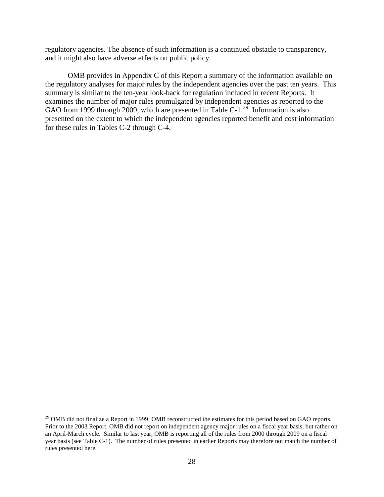regulatory agencies. The absence of such information is a continued obstacle to transparency, and it might also have adverse effects on public policy.

OMB provides in Appendix C of this Report a summary of the information available on the regulatory analyses for major rules by the independent agencies over the past ten years. This summary is similar to the ten-year look-back for regulation included in recent Reports. It examines the number of major rules promulgated by independent agencies as reported to the GAO from 1999 through 2009, which are presented in Table C-1.<sup>[29](#page-28-0)</sup> Information is also presented on the extent to which the independent agencies reported benefit and cost information for these rules in Tables C-2 through C-4.

<span id="page-28-0"></span> $^{29}$  OMB did not finalize a Report in 1999; OMB reconstructed the estimates for this period based on GAO reports. Prior to the 2003 Report, OMB did not report on independent agency major rules on a fiscal year basis, but rather on an April-March cycle. Similar to last year, OMB is reporting all of the rules from 2000 through 2009 on a fiscal year basis (see Table C-1). The number of rules presented in earlier Reports may therefore not match the number of rules presented here.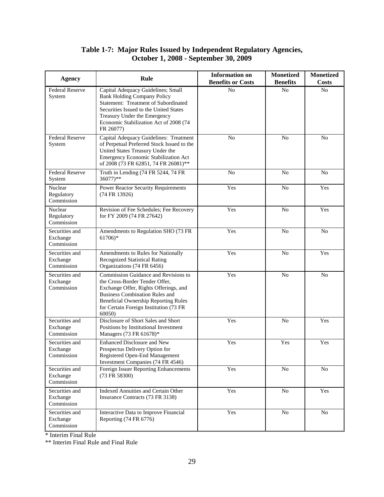## **Table 1-7: Major Rules Issued by Independent Regulatory Agencies, October 1, 2008 - September 30, 2009**

| <b>Agency</b>                            | Rule                                                                                                                                                                                                                                                        | <b>Information on</b><br><b>Benefits or Costs</b> | <b>Monetized</b><br><b>Benefits</b> | <b>Monetized</b><br><b>Costs</b> |
|------------------------------------------|-------------------------------------------------------------------------------------------------------------------------------------------------------------------------------------------------------------------------------------------------------------|---------------------------------------------------|-------------------------------------|----------------------------------|
| <b>Federal Reserve</b><br>System         | Capital Adequacy Guidelines; Small<br><b>Bank Holding Company Policy</b><br>Statement: Treatment of Subordinated<br>Securities Issued to the United States<br>Treasury Under the Emergency<br>Economic Stabilization Act of 2008 (74<br>FR 26077)           | N <sub>o</sub>                                    | N <sub>o</sub>                      | N <sub>o</sub>                   |
| <b>Federal Reserve</b><br>System         | Capital Adequacy Guidelines: Treatment<br>of Perpetual Preferred Stock Issued to the<br>United States Treasury Under the<br>Emergency Economic Stabilization Act<br>of 2008 (73 FR 62851, 74 FR 26081)**                                                    | No                                                | No                                  | N <sub>o</sub>                   |
| <b>Federal Reserve</b><br>System         | Truth in Lending (74 FR 5244, 74 FR<br>36077)**                                                                                                                                                                                                             | No                                                | No                                  | No                               |
| Nuclear<br>Regulatory<br>Commission      | Power Reactor Security Requirements<br>(74 FR 13926)                                                                                                                                                                                                        | Yes                                               | No                                  | Yes                              |
| Nuclear<br>Regulatory<br>Commission      | Revision of Fee Schedules; Fee Recovery<br>for FY 2009 (74 FR 27642)                                                                                                                                                                                        | Yes                                               | No                                  | Yes                              |
| Securities and<br>Exchange<br>Commission | Amendments to Regulation SHO (73 FR<br>$61706$ <sup>*</sup>                                                                                                                                                                                                 | Yes                                               | No                                  | N <sub>0</sub>                   |
| Securities and<br>Exchange<br>Commission | Amendments to Rules for Nationally<br><b>Recognized Statistical Rating</b><br>Organizations (74 FR 6456)                                                                                                                                                    | Yes                                               | N <sub>o</sub>                      | Yes                              |
| Securities and<br>Exchange<br>Commission | Commission Guidance and Revisions to<br>the Cross-Border Tender Offer,<br>Exchange Offer, Rights Offerings, and<br><b>Business Combination Rules and</b><br><b>Beneficial Ownership Reporting Rules</b><br>for Certain Foreign Institution (73 FR<br>60050) | Yes                                               | No                                  | N <sub>o</sub>                   |
| Securities and<br>Exchange<br>Commission | Disclosure of Short Sales and Short<br>Positions by Institutional Investment<br>Managers (73 FR 61678)*                                                                                                                                                     | Yes                                               | N <sub>o</sub>                      | Yes                              |
| Securities and<br>Exchange<br>Commission | Enhanced Disclosure and New<br>Prospectus Delivery Option for<br>Registered Open-End Management<br>Investment Companies (74 FR 4546)                                                                                                                        | Yes                                               | Yes                                 | Yes                              |
| Securities and<br>Exchange<br>Commission | Foreign Issuer Reporting Enhancements<br>(73 FR 58300)                                                                                                                                                                                                      | Yes                                               | No                                  | No                               |
| Securities and<br>Exchange<br>Commission | Indexed Annuities and Certain Other<br>Insurance Contracts (73 FR 3138)                                                                                                                                                                                     | Yes                                               | No                                  | Yes                              |
| Securities and<br>Exchange<br>Commission | Interactive Data to Improve Financial<br>Reporting (74 FR 6776)                                                                                                                                                                                             | Yes                                               | No                                  | No                               |

\* Interim Final Rule

\*\* Interim Final Rule and Final Rule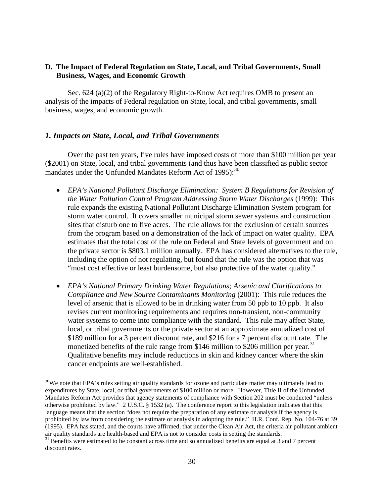## **D. The Impact of Federal Regulation on State, Local, and Tribal Governments, Small Business, Wages, and Economic Growth**

Sec. 624 (a)(2) of the Regulatory Right-to-Know Act requires OMB to present an analysis of the impacts of Federal regulation on State, local, and tribal governments, small business, wages, and economic growth.

## *1. Impacts on State, Local, and Tribal Governments*

 $\overline{a}$ 

Over the past ten years, five rules have imposed costs of more than \$100 million per year (\$2001) on State, local, and tribal governments (and thus have been classified as public sector mandates under the Unfunded Mandates Reform Act of  $1995$ ):<sup>30</sup>

- *EPA's National Pollutant Discharge Elimination: System B Regulations for Revision of the Water Pollution Control Program Addressing Storm Water Discharges* (1999): This rule expands the existing National Pollutant Discharge Elimination System program for storm water control. It covers smaller municipal storm sewer systems and construction sites that disturb one to five acres. The rule allows for the exclusion of certain sources from the program based on a demonstration of the lack of impact on water quality. EPA estimates that the total cost of the rule on Federal and State levels of government and on the private sector is \$803.1 million annually. EPA has considered alternatives to the rule, including the option of not regulating, but found that the rule was the option that was "most cost effective or least burdensome, but also protective of the water quality."
- *EPA's National Primary Drinking Water Regulations; Arsenic and Clarifications to Compliance and New Source Contaminants Monitoring* (2001): This rule reduces the level of arsenic that is allowed to be in drinking water from 50 ppb to 10 ppb. It also revises current monitoring requirements and requires non-transient, non-community water systems to come into compliance with the standard. This rule may affect State, local, or tribal governments or the private sector at an approximate annualized cost of \$189 million for a 3 percent discount rate, and \$216 for a 7 percent discount rate. The monetized benefits of the rule range from \$146 million to \$206 million per year.<sup>[31](#page-30-1)</sup> Qualitative benefits may include reductions in skin and kidney cancer where the skin cancer endpoints are well-established.

<span id="page-30-0"></span> $30$ We note that EPA's rules setting air quality standards for ozone and particulate matter may ultimately lead to expenditures by State, local, or tribal governments of \$100 million or more. However, Title II of the Unfunded Mandates Reform Act provides that agency statements of compliance with Section 202 must be conducted "unless otherwise prohibited by law." 2 U.S.C. § 1532 (a). The conference report to this legislation indicates that this language means that the section "does not require the preparation of any estimate or analysis if the agency is prohibited by law from considering the estimate or analysis in adopting the rule." H.R. Conf. Rep. No. 104-76 at 39 (1995). EPA has stated, and the courts have affirmed, that under the Clean Air Act, the criteria air pollutant ambient air quality standards are health-based and EPA is not to consider costs in setting the standards.

<span id="page-30-1"></span><sup>&</sup>lt;sup>31</sup> Benefits were estimated to be constant across time and so annualized benefits are equal at 3 and 7 percent discount rates.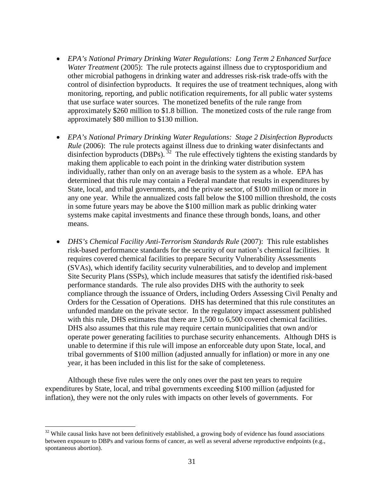- *EPA's National Primary Drinking Water Regulations: Long Term 2 Enhanced Surface Water Treatment* (2005): The rule protects against illness due to cryptosporidium and other microbial pathogens in drinking water and addresses risk-risk trade-offs with the control of disinfection byproducts. It requires the use of treatment techniques, along with monitoring, reporting, and public notification requirements, for all public water systems that use surface water sources. The monetized benefits of the rule range from approximately \$260 million to \$1.8 billion. The monetized costs of the rule range from approximately \$80 million to \$130 million.
- *EPA's National Primary Drinking Water Regulations: Stage 2 Disinfection Byproducts Rule* (2006): The rule protects against illness due to drinking water disinfectants and disinfection byproducts (DBPs).  $32$  The rule effectively tightens the existing standards by making them applicable to each point in the drinking water distribution system individually, rather than only on an average basis to the system as a whole. EPA has determined that this rule may contain a Federal mandate that results in expenditures by State, local, and tribal governments, and the private sector, of \$100 million or more in any one year. While the annualized costs fall below the \$100 million threshold, the costs in some future years may be above the \$100 million mark as public drinking water systems make capital investments and finance these through bonds, loans, and other means.
- *DHS's Chemical Facility Anti-Terrorism Standards Rule* (2007): This rule establishes risk-based performance standards for the security of our nation's chemical facilities. It requires covered chemical facilities to prepare Security Vulnerability Assessments (SVAs), which identify facility security vulnerabilities, and to develop and implement Site Security Plans (SSPs), which include measures that satisfy the identified risk-based performance standards. The rule also provides DHS with the authority to seek compliance through the issuance of Orders, including Orders Assessing Civil Penalty and Orders for the Cessation of Operations. DHS has determined that this rule constitutes an unfunded mandate on the private sector. In the regulatory impact assessment published with this rule, DHS estimates that there are 1,500 to 6,500 covered chemical facilities. DHS also assumes that this rule may require certain municipalities that own and/or operate power generating facilities to purchase security enhancements. Although DHS is unable to determine if this rule will impose an enforceable duty upon State, local, and tribal governments of \$100 million (adjusted annually for inflation) or more in any one year, it has been included in this list for the sake of completeness.

Although these five rules were the only ones over the past ten years to require expenditures by State, local, and tribal governments exceeding \$100 million (adjusted for inflation), they were not the only rules with impacts on other levels of governments. For

<span id="page-31-0"></span> $32$  While causal links have not been definitively established, a growing body of evidence has found associations between exposure to DBPs and various forms of cancer, as well as several adverse reproductive endpoints (e.g., spontaneous abortion).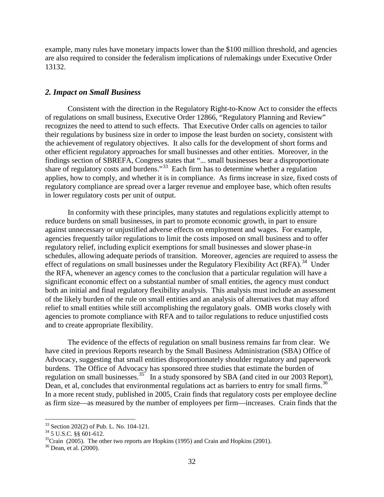example, many rules have monetary impacts lower than the \$100 million threshold, and agencies are also required to consider the federalism implications of rulemakings under Executive Order 13132.

#### *2. Impact on Small Business*

Consistent with the direction in the Regulatory Right-to-Know Act to consider the effects of regulations on small business, Executive Order 12866, "Regulatory Planning and Review" recognizes the need to attend to such effects. That Executive Order calls on agencies to tailor their regulations by business size in order to impose the least burden on society, consistent with the achievement of regulatory objectives. It also calls for the development of short forms and other efficient regulatory approaches for small businesses and other entities. Moreover, in the findings section of SBREFA, Congress states that "... small businesses bear a disproportionate share of regulatory costs and burdens."<sup>33</sup> Each firm has to determine whether a regulation applies, how to comply, and whether it is in compliance. As firms increase in size, fixed costs of regulatory compliance are spread over a larger revenue and employee base, which often results in lower regulatory costs per unit of output.

In conformity with these principles, many statutes and regulations explicitly attempt to reduce burdens on small businesses, in part to promote economic growth, in part to ensure against unnecessary or unjustified adverse effects on employment and wages. For example, agencies frequently tailor regulations to limit the costs imposed on small business and to offer regulatory relief, including explicit exemptions for small businesses and slower phase-in schedules, allowing adequate periods of transition. Moreover, agencies are required to assess the effect of regulations on small businesses under the Regulatory Flexibility Act (RFA).<sup>34</sup> Under the RFA, whenever an agency comes to the conclusion that a particular regulation will have a significant economic effect on a substantial number of small entities, the agency must conduct both an initial and final regulatory flexibility analysis. This analysis must include an assessment of the likely burden of the rule on small entities and an analysis of alternatives that may afford relief to small entities while still accomplishing the regulatory goals. OMB works closely with agencies to promote compliance with RFA and to tailor regulations to reduce unjustified costs and to create appropriate flexibility.

The evidence of the effects of regulation on small business remains far from clear. We have cited in previous Reports research by the Small Business Administration (SBA) Office of Advocacy, suggesting that small entities disproportionately shoulder regulatory and paperwork burdens. The Office of Advocacy has sponsored three studies that estimate the burden of regulation on small businesses.<sup>[35](#page-32-2)</sup> In a study sponsored by SBA (and cited in our 2003 Report), Dean, et al, concludes that environmental regulations act as barriers to entry for small firms.<sup>[36](#page-32-3)</sup> In a more recent study, published in 2005, Crain finds that regulatory costs per employee decline as firm size—as measured by the number of employees per firm—increases. Crain finds that the

<span id="page-32-0"></span><sup>&</sup>lt;sup>33</sup> Section 202(2) of Pub. L. No. 104-121.

<span id="page-32-1"></span>

<span id="page-32-2"></span> $^{35}$ Crain (2005). The other two reports are Hopkins (1995) and Crain and Hopkins (2001).

<span id="page-32-3"></span><sup>36</sup> Dean, et al. (2000).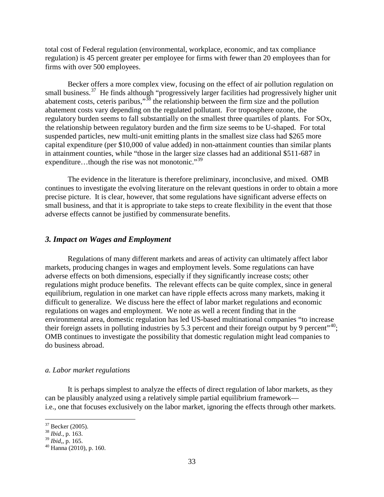total cost of Federal regulation (environmental, workplace, economic, and tax compliance regulation) is 45 percent greater per employee for firms with fewer than 20 employees than for firms with over 500 employees.

Becker offers a more complex view, focusing on the effect of air pollution regulation on small business.<sup>[37](#page-33-0)</sup> He finds although "progressively larger facilities had progressively higher unit abatement costs, ceteris paribus,"[38](#page-33-1) the relationship between the firm size and the pollution abatement costs vary depending on the regulated pollutant. For troposphere ozone, the regulatory burden seems to fall substantially on the smallest three quartiles of plants. For SOx, the relationship between regulatory burden and the firm size seems to be U-shaped. For total suspended particles, new multi-unit emitting plants in the smallest size class had \$265 more capital expenditure (per \$10,000 of value added) in non-attainment counties than similar plants in attainment counties, while "those in the larger size classes had an additional \$511-687 in expenditure...though the rise was not monotonic."<sup>[39](#page-33-2)</sup>

The evidence in the literature is therefore preliminary, inconclusive, and mixed. OMB continues to investigate the evolving literature on the relevant questions in order to obtain a more precise picture. It is clear, however, that some regulations have significant adverse effects on small business, and that it is appropriate to take steps to create flexibility in the event that those adverse effects cannot be justified by commensurate benefits.

## *3. Impact on Wages and Employment*

Regulations of many different markets and areas of activity can ultimately affect labor markets, producing changes in wages and employment levels. Some regulations can have adverse effects on both dimensions, especially if they significantly increase costs; other regulations might produce benefits. The relevant effects can be quite complex, since in general equilibrium, regulation in one market can have ripple effects across many markets, making it difficult to generalize. We discuss here the effect of labor market regulations and economic regulations on wages and employment. We note as well a recent finding that in the environmental area, domestic regulation has led US-based multinational companies "to increase their foreign assets in polluting industries by 5.3 percent and their foreign output by 9 percent $140$  $140$ ; OMB continues to investigate the possibility that domestic regulation might lead companies to do business abroad.

#### *a. Labor market regulations*

It is perhaps simplest to analyze the effects of direct regulation of labor markets, as they can be plausibly analyzed using a relatively simple partial equilibrium framework i.e., one that focuses exclusively on the labor market, ignoring the effects through other markets.

<span id="page-33-0"></span><sup>37</sup> Becker (2005). <sup>38</sup> *Ibid*., p. 163.

<span id="page-33-1"></span>

<span id="page-33-2"></span>

<span id="page-33-3"></span><sup>&</sup>lt;sup>40</sup> Hanna (2010), p. 160.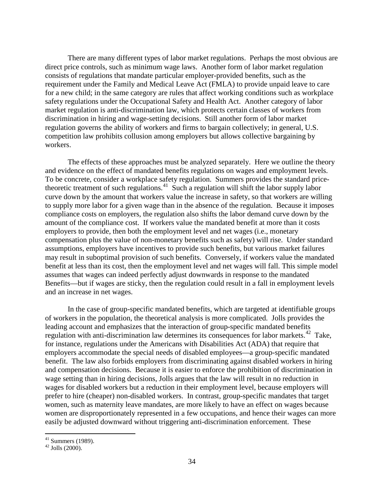There are many different types of labor market regulations. Perhaps the most obvious are direct price controls, such as minimum wage laws. Another form of labor market regulation consists of regulations that mandate particular employer-provided benefits, such as the requirement under the Family and Medical Leave Act (FMLA) to provide unpaid leave to care for a new child; in the same category are rules that affect working conditions such as workplace safety regulations under the Occupational Safety and Health Act. Another category of labor market regulation is anti-discrimination law, which protects certain classes of workers from discrimination in hiring and wage-setting decisions. Still another form of labor market regulation governs the ability of workers and firms to bargain collectively; in general, U.S. competition law prohibits collusion among employers but allows collective bargaining by workers.

The effects of these approaches must be analyzed separately. Here we outline the theory and evidence on the effect of mandated benefits regulations on wages and employment levels. To be concrete, consider a workplace safety regulation. Summers provides the standard price-theoretic treatment of such regulations.<sup>[41](#page-34-0)</sup> Such a regulation will shift the labor supply labor Benefits—but if wages are sticky, then the regulation could result in a fall in employment levels and an increase in net wages. curve down by the amount that workers value the increase in safety, so that workers are willing to supply more labor for a given wage than in the absence of the regulation. Because it imposes compliance costs on employers, the regulation also shifts the labor demand curve down by the amount of the compliance cost. If workers value the mandated benefit at more than it costs employers to provide, then both the employment level and net wages (i.e., monetary compensation plus the value of non-monetary benefits such as safety) will rise. Under standard assumptions, employers have incentives to provide such benefits, but various market failures may result in suboptimal provision of such benefits. Conversely, if workers value the mandated benefit at less than its cost, then the employment level and net wages will fall. This simple model assumes that wages can indeed perfectly adjust downwards in response to the mandated

In the case of group-specific mandated benefits, which are targeted at identifiable groups of workers in the population, the theoretical analysis is more complicated. Jolls provides the leading account and emphasizes that the interaction of group-specific mandated benefits regulation with anti-discrimination law determines its consequences for labor markets.<sup>[42](#page-34-1)</sup> Take, for instance, regulations under the Americans with Disabilities Act (ADA) that require that employers accommodate the special needs of disabled employees—a group-specific mandated benefit. The law also forbids employers from discriminating against disabled workers in hiring and compensation decisions. Because it is easier to enforce the prohibition of discrimination in wage setting than in hiring decisions, Jolls argues that the law will result in no reduction in wages for disabled workers but a reduction in their employment level, because employers will prefer to hire (cheaper) non-disabled workers. In contrast, group-specific mandates that target women, such as maternity leave mandates, are more likely to have an effect on wages because women are disproportionately represented in a few occupations, and hence their wages can more easily be adjusted downward without triggering anti-discrimination enforcement. These

 $41$  Summers (1989).

<span id="page-34-1"></span><span id="page-34-0"></span> $42$  Jolls (2000).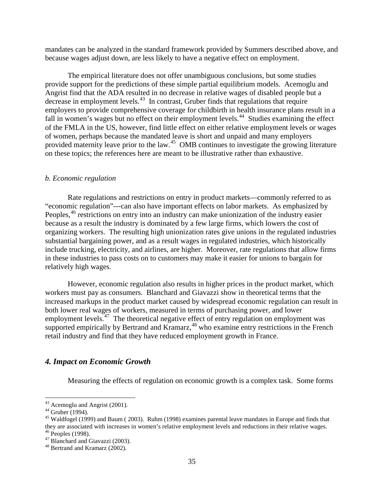mandates can be analyzed in the standard framework provided by Summers described above, and because wages adjust down, are less likely to have a negative effect on employment.

The empirical literature does not offer unambiguous conclusions, but some studies provide support for the predictions of these simple partial equilibrium models. Acemoglu and Angrist find that the ADA resulted in no decrease in relative wages of disabled people but a decrease in employment levels.[43](#page-35-0) In contrast, Gruber finds that regulations that require employers to provide comprehensive coverage for childbirth in health insurance plans result in a fall in women's wages but no effect on their employment levels.<sup>44</sup> Studies examining the effect of the FMLA in the US, however, find little effect on either relative employment levels or wages of women, perhaps because the mandated leave is short and unpaid and many employers provided maternity leave prior to the law.<sup>[45](#page-35-2)</sup> OMB continues to investigate the growing literature on these topics; the references here are meant to be illustrative rather than exhaustive.

#### *b. Economic regulation*

Rate regulations and restrictions on entry in product markets—commonly referred to as "economic regulation"---can also have important effects on labor markets. As emphasized by Peoples,<sup>46</sup> restrictions on entry into an industry can make unionization of the industry easier because as a result the industry is dominated by a few large firms, which lowers the cost of organizing workers. The resulting high unionization rates give unions in the regulated industries substantial bargaining power, and as a result wages in regulated industries, which historically include trucking, electricity, and airlines, are higher. Moreover, rate regulations that allow firms in these industries to pass costs on to customers may make it easier for unions to bargain for relatively high wages.

However, economic regulation also results in higher prices in the product market, which workers must pay as consumers. Blanchard and Giavazzi show in theoretical terms that the increased markups in the product market caused by widespread economic regulation can result in both lower real wages of workers, measured in terms of purchasing power, and lower employment levels.<sup> $47$ </sup> The theoretical negative effect of entry regulation on employment was supported empirically by Bertrand and Kramarz,<sup>48</sup> who examine entry restrictions in the French retail industry and find that they have reduced employment growth in France.

## *4. Impact on Economic Growth*

Measuring the effects of regulation on economic growth is a complex task. Some forms

<span id="page-35-0"></span><sup>&</sup>lt;sup>43</sup> Acemoglu and Angrist (2001).

<span id="page-35-2"></span><span id="page-35-1"></span><sup>&</sup>lt;sup>44</sup> Gruber (1994).<br><sup>45</sup> Waldfogel (1999) and Baum ( 2003). Ruhm (1998) examines parental leave mandates in Europe and finds that they are associated with increases in women's relative employment levels and reductions in their relative wages.<br><sup>46</sup> Peoples (1998).<br><sup>47</sup> Blanchard and Giavazzi (2003).<br><sup>48</sup> Bertrand and Kramarz (2002).

<span id="page-35-4"></span><span id="page-35-3"></span>

<span id="page-35-5"></span>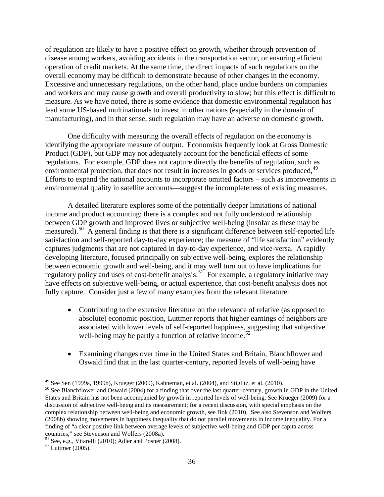of regulation are likely to have a positive effect on growth, whether through prevention of disease among workers, avoiding accidents in the transportation sector, or ensuring efficient operation of credit markets. At the same time, the direct impacts of such regulations on the overall economy may be difficult to demonstrate because of other changes in the economy. Excessive and unnecessary regulations, on the other hand, place undue burdens on companies and workers and may cause growth and overall productivity to slow; but this effect is difficult to measure. As we have noted, there is some evidence that domestic environmental regulation has lead some US-based multinationals to invest in other nations (especially in the domain of manufacturing), and in that sense, such regulation may have an adverse on domestic growth.

One difficulty with measuring the overall effects of regulation on the economy is identifying the appropriate measure of output. Economists frequently look at Gross Domestic Product (GDP), but GDP may not adequately account for the beneficial effects of some regulations. For example, GDP does not capture directly the benefits of regulation, such as environmental protection, that does not result in increases in goods or services produced, <sup>[49](#page-36-0)</sup> Efforts to expand the national accounts to incorporate omitted factors – such as improvements in environmental quality in satellite accounts—suggest the incompleteness of existing measures.

A detailed literature explores some of the potentially deeper limitations of national income and product accounting; there is a complex and not fully understood relationship between GDP growth and improved lives or subjective well-being (insofar as these may be measured).<sup>50</sup> A general finding is that there is a significant difference between self-reported life satisfaction and self-reported day-to-day experience; the measure of "life satisfaction" evidently captures judgments that are not captured in day-to-day experience, and vice-versa. A rapidly developing literature, focused principally on subjective well-being, explores the relationship between economic growth and well-being, and it may well turn out to have implications for regulatory policy and uses of cost-benefit analysis.<sup>[51](#page-36-2)</sup> For example, a regulatory initiative may have effects on subjective well-being, or actual experience, that cost-benefit analysis does not fully capture. Consider just a few of many examples from the relevant literature:

- Contributing to the extensive literature on the relevance of relative (as opposed to absolute) economic position, Luttmer reports that higher earnings of neighbors are associated with lower levels of self-reported happiness, suggesting that subjective well-being may be partly a function of relative income.<sup>52</sup>
- Examining changes over time in the United States and Britain, Blanchflower and Oswald find that in the last quarter-century, reported levels of well-being have

 $49$  See Sen (1999a, 1999b), Krueger (2009), Kahneman, et al. (2004), and Stiglitz, et al. (2010).

<span id="page-36-1"></span><span id="page-36-0"></span><sup>&</sup>lt;sup>50</sup> See Blanchflower and Oswald (2004) for a finding that over the last quarter-century, growth in GDP in the United States and Britain has not been accompanied by growth in reported levels of well-being. See Krueger (2009) for a discussion of subjective well-being and its measurement; for a recent discussion, with special emphasis on the complex relationship between well-being and economic growth, see Bok (2010). See also Stevenson and Wolfers (2008b) showing movements in happiness inequality that do not parallel movements in income inequality. For a finding of "a clear positive link between average levels of subjective well-being and GDP per capita across countries," see Stevenson and Wolfers (2008a).<br><sup>51</sup> See, e.g., Vitarelli (2010); Adler and Posner (2008).<br><sup>52</sup> Luttmer (2005).

<span id="page-36-2"></span>

<span id="page-36-3"></span>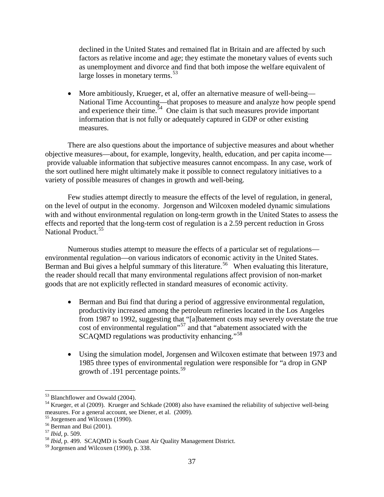declined in the United States and remained flat in Britain and are affected by such factors as relative income and age; they estimate the monetary values of events such as unemployment and divorce and find that both impose the welfare equivalent of large losses in monetary terms.<sup>53</sup>

• More ambitiously, Krueger, et al, offer an alternative measure of well-being— National Time Accounting—that proposes to measure and analyze how people spend and experience their time.  $54$  One claim is that such measures provide important information that is not fully or adequately captured in GDP or other existing measures.

There are also questions about the importance of subjective measures and about whether objective measures—about, for example, longevity, health, education, and per capita income provide valuable information that subjective measures cannot encompass. In any case, work of the sort outlined here might ultimately make it possible to connect regulatory initiatives to a variety of possible measures of changes in growth and well-being.

Few studies attempt directly to measure the effects of the level of regulation, in general, on the level of output in the economy. Jorgenson and Wilcoxen modeled dynamic simulations with and without environmental regulation on long-term growth in the United States to assess the effects and reported that the long-term cost of regulation is a 2.59 percent reduction in Gross National Product.<sup>[55](#page-37-2)</sup>

Numerous studies attempt to measure the effects of a particular set of regulations environmental regulation—on various indicators of economic activity in the United States. Berman and Bui gives a helpful summary of this literature.<sup>[56](#page-37-3)</sup> When evaluating this literature, the reader should recall that many environmental regulations affect provision of non-market goods that are not explicitly reflected in standard measures of economic activity.

- Berman and Bui find that during a period of aggressive environmental regulation, productivity increased among the petroleum refineries located in the Los Angeles from 1987 to 1992, suggesting that "[a]batement costs may severely overstate the true cost of environmental regulation"[57](#page-37-4) and that "abatement associated with the SCAQMD regulations was productivity enhancing."<sup>[58](#page-37-5)</sup>
- Using the simulation model, Jorgensen and Wilcoxen estimate that between 1973 and 1985 three types of environmental regulation were responsible for "a drop in GNP growth of .191 percentage points.<sup>59</sup>

<span id="page-37-0"></span><sup>&</sup>lt;sup>53</sup> Blanchflower and Oswald (2004).

<span id="page-37-1"></span> $<sup>54</sup>$  Krueger, et al (2009). Krueger and Schkade (2008) also have examined the reliability of subjective well-being</sup> measures. For a general account, see Diener, et al. (2009).<sup>55</sup> Jorgensen and Wilcoxen (1990).

<span id="page-37-2"></span>

<span id="page-37-4"></span>

<span id="page-37-3"></span><sup>&</sup>lt;sup>56</sup> Berman and Bui (2001).<br><sup>57</sup> *Ibid*, p. 509.<br><sup>58</sup> *Ibid*, p. 499. SCAOMD is South Coast Air Quality Management District.

<span id="page-37-6"></span><span id="page-37-5"></span><sup>59</sup> Jorgensen and Wilcoxen (1990), p. 338.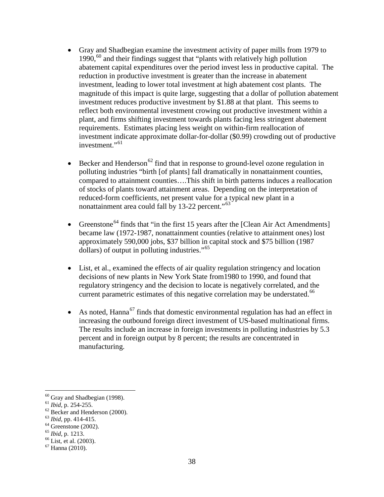- Gray and Shadbegian examine the investment activity of paper mills from 1979 to  $1990,^{60}$  and their findings suggest that "plants with relatively high pollution abatement capital expenditures over the period invest less in productive capital. The reduction in productive investment is greater than the increase in abatement investment, leading to lower total investment at high abatement cost plants. The magnitude of this impact is quite large, suggesting that a dollar of pollution abatement investment reduces productive investment by \$1.88 at that plant. This seems to reflect both environmental investment crowing out productive investment within a plant, and firms shifting investment towards plants facing less stringent abatement requirements. Estimates placing less weight on within-firm reallocation of investment indicate approximate dollar-for-dollar (\$0.99) crowding out of productive investment."<sup>61</sup>
- Becker and Henderson<sup>62</sup> find that in response to ground-level ozone regulation in polluting industries "birth [of plants] fall dramatically in nonattainment counties, compared to attainment counties….This shift in birth patterns induces a reallocation of stocks of plants toward attainment areas. Depending on the interpretation of reduced-form coefficients, net present value for a typical new plant in a nonattainment area could fall by 13-22 percent."<sup>63</sup>
- Greenstone<sup>[64](#page-38-4)</sup> finds that "in the first 15 years after the [Clean Air Act Amendments] became law (1972-1987, nonattainment counties (relative to attainment ones) lost approximately 590,000 jobs, \$37 billion in capital stock and \$75 billion (1987 dollars) of output in polluting industries."<sup>[65](#page-38-5)</sup>
- List, et al., examined the effects of air quality regulation stringency and location decisions of new plants in New York State from1980 to 1990, and found that regulatory stringency and the decision to locate is negatively correlated, and the current parametric estimates of this negative correlation may be understated.<sup>66</sup>
- As noted, Hanna<sup>[67](#page-38-7)</sup> finds that domestic environmental regulation has had an effect in increasing the outbound foreign direct investment of US-based multinational firms. The results include an increase in foreign investments in polluting industries by 5.3 percent and in foreign output by 8 percent; the results are concentrated in manufacturing.

 $60$  Gray and Shadbegian (1998).

<span id="page-38-2"></span><span id="page-38-1"></span><span id="page-38-0"></span><sup>61</sup> *Ibid*, p. 254-255.<br><sup>62</sup> Becker and Henderson (2000).<br><sup>63</sup> *Ibid*, pp. 414-415.<br><sup>64</sup> Greenstone (2002).<br><sup>65</sup> *Ibid*, p. 1213.<br><sup>66</sup> List, et al. (2003).<br><sup>67</sup> Hanna (2010).

<span id="page-38-3"></span>

<span id="page-38-4"></span>

<span id="page-38-6"></span><span id="page-38-5"></span>

<span id="page-38-7"></span>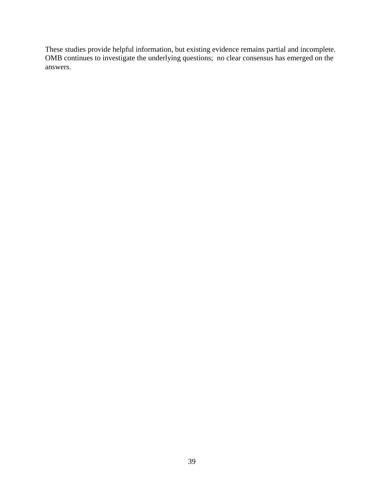These studies provide helpful information, but existing evidence remains partial and incomplete. OMB continues to investigate the underlying questions; no clear consensus has emerged on the answers.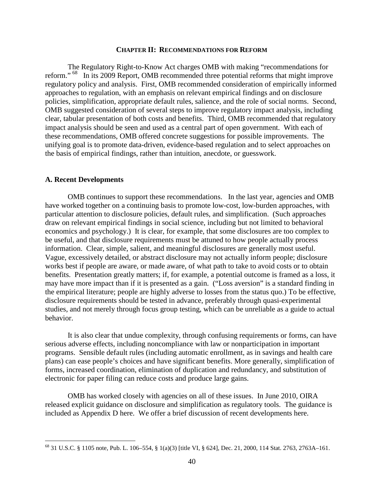#### **CHAPTER II: RECOMMENDATIONS FOR REFORM**

The Regulatory Right-to-Know Act charges OMB with making "recommendations for reform." [68](#page-40-0) In its 2009 Report, OMB recommended three potential reforms that might improve regulatory policy and analysis. First, OMB recommended consideration of empirically informed approaches to regulation, with an emphasis on relevant empirical findings and on disclosure policies, simplification, appropriate default rules, salience, and the role of social norms. Second, OMB suggested consideration of several steps to improve regulatory impact analysis, including clear, tabular presentation of both costs and benefits. Third, OMB recommended that regulatory impact analysis should be seen and used as a central part of open government. With each of these recommendations, OMB offered concrete suggestions for possible improvements. The unifying goal is to promote data-driven, evidence-based regulation and to select approaches on the basis of empirical findings, rather than intuition, anecdote, or guesswork.

## **A. Recent Developments**

 $\overline{a}$ 

OMB continues to support these recommendations. In the last year, agencies and OMB have worked together on a continuing basis to promote low-cost, low-burden approaches, with particular attention to disclosure policies, default rules, and simplification. (Such approaches draw on relevant empirical findings in social science, including but not limited to behavioral economics and psychology.) It is clear, for example, that some disclosures are too complex to be useful, and that disclosure requirements must be attuned to how people actually process information. Clear, simple, salient, and meaningful disclosures are generally most useful. Vague, excessively detailed, or abstract disclosure may not actually inform people; disclosure works best if people are aware, or made aware, of what path to take to avoid costs or to obtain benefits. Presentation greatly matters; if, for example, a potential outcome is framed as a loss, it may have more impact than if it is presented as a gain. ("Loss aversion" is a standard finding in the empirical literature; people are highly adverse to losses from the status quo.) To be effective, disclosure requirements should be tested in advance, preferably through quasi-experimental studies, and not merely through focus group testing, which can be unreliable as a guide to actual behavior.

It is also clear that undue complexity, through confusing requirements or forms, can have serious adverse effects, including noncompliance with law or nonparticipation in important programs. Sensible default rules (including automatic enrollment, as in savings and health care plans) can ease people's choices and have significant benefits. More generally, simplification of forms, increased coordination, elimination of duplication and redundancy, and substitution of electronic for paper filing can reduce costs and produce large gains.

OMB has worked closely with agencies on all of these issues. In June 2010, OIRA released explicit guidance on disclosure and simplification as regulatory tools. The guidance is included as Appendix D here. We offer a brief discussion of recent developments here.

<span id="page-40-0"></span><sup>68</sup> 31 U.S.C. § 1105 note, Pub. L. 106–554, § 1(a)(3) [title VI, § 624], Dec. 21, 2000, 114 Stat. 2763, 2763A–161.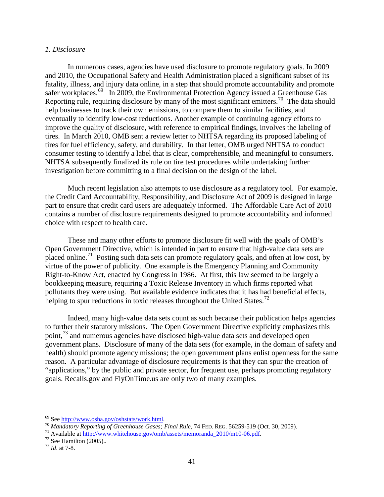#### *1. Disclosure*

In numerous cases, agencies have used disclosure to promote regulatory goals. In 2009 and 2010, the Occupational Safety and Health Administration placed a significant subset of its fatality, illness, and injury data online, in a step that should promote accountability and promote safer workplaces.<sup>69</sup> In 2009, the Environmental Protection Agency issued a Greenhouse Gas Reporting rule, requiring disclosure by many of the most significant emitters.<sup>70</sup> The data should help businesses to track their own emissions, to compare them to similar facilities, and eventually to identify low-cost reductions. Another example of continuing agency efforts to improve the quality of disclosure, with reference to empirical findings, involves the labeling of tires. In March 2010, OMB sent a review letter to NHTSA regarding its proposed labeling of tires for fuel efficiency, safety, and durability. In that letter, OMB urged NHTSA to conduct consumer testing to identify a label that is clear, comprehensible, and meaningful to consumers. NHTSA subsequently finalized its rule on tire test procedures while undertaking further investigation before committing to a final decision on the design of the label.

Much recent legislation also attempts to use disclosure as a regulatory tool. For example, the Credit Card Accountability, Responsibility, and Disclosure Act of 2009 is designed in large part to ensure that credit card users are adequately informed. The Affordable Care Act of 2010 contains a number of disclosure requirements designed to promote accountability and informed choice with respect to health care.

These and many other efforts to promote disclosure fit well with the goals of OMB's Open Government Directive, which is intended in part to ensure that high-value data sets are placed online.[71](#page-41-2) Posting such data sets can promote regulatory goals, and often at low cost, by virtue of the power of publicity. One example is the Emergency Planning and Community Right-to-Know Act, enacted by Congress in 1986. At first, this law seemed to be largely a bookkeeping measure, requiring a Toxic Release Inventory in which firms reported what pollutants they were using. But available evidence indicates that it has had beneficial effects, helping to spur reductions in toxic releases throughout the United States.<sup>[72](#page-41-3)</sup>

Indeed, many high-value data sets count as such because their publication helps agencies to further their statutory missions. The Open Government Directive explicitly emphasizes this point,<sup>[73](#page-41-4)</sup> and numerous agencies have disclosed high-value data sets and developed open government plans. Disclosure of many of the data sets (for example, in the domain of safety and health) should promote agency missions; the open government plans enlist openness for the same reason. A particular advantage of disclosure requirements is that they can spur the creation of "applications," by the public and private sector, for frequent use, perhaps promoting regulatory goals. Recalls.gov and FlyOnTime.us are only two of many examples.

<sup>69</sup> See

<span id="page-41-2"></span><span id="page-41-1"></span><span id="page-41-0"></span><sup>&</sup>lt;sup>70</sup> Mandatory Reporting of Greenhouse Gases; Final Rule, 74 FED. REG. 56259-519 (Oct. 30, 2009).<br><sup>71</sup> Available at <u>http://www.whitehouse.gov/omb/assets/memoranda\_2010/m10-06.pdf</u>.<br><sup>72</sup> See Hamilton (2005)..<br><sup>73</sup> Id. at

<span id="page-41-3"></span>

<span id="page-41-4"></span>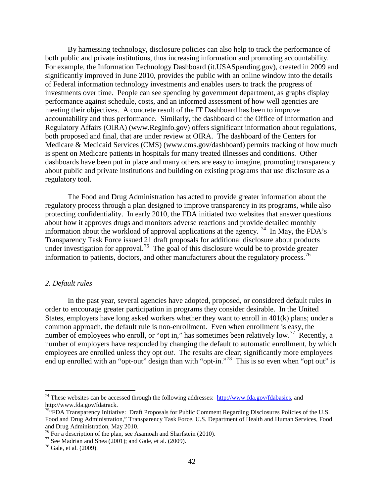By harnessing technology, disclosure policies can also help to track the performance of both public and private institutions, thus increasing information and promoting accountability. For example, the Information Technology Dashboard (it.USASpending.gov), created in 2009 and significantly improved in June 2010, provides the public with an online window into the details of Federal information technology investments and enables users to track the progress of investments over time. People can see spending by government department, as graphs display performance against schedule, costs, and an informed assessment of how well agencies are meeting their objectives. A concrete result of the IT Dashboard has been to improve accountability and thus performance. Similarly, the dashboard of the Office of Information and Regulatory Affairs (OIRA) (www.RegInfo.gov) offers significant information about regulations, both proposed and final, that are under review at OIRA. The dashboard of the Centers for Medicare & Medicaid Services (CMS) (www.cms.gov/dashboard) permits tracking of how much is spent on Medicare patients in hospitals for many treated illnesses and conditions. Other dashboards have been put in place and many others are easy to imagine, promoting transparency about public and private institutions and building on existing programs that use disclosure as a regulatory tool.

The Food and Drug Administration has acted to provide greater information about the regulatory process through a plan designed to improve transparency in its programs, while also protecting confidentiality. In early 2010, the FDA initiated two websites that answer questions about how it approves drugs and monitors adverse reactions and provide detailed monthly information about the workload of approval applications at the agency. <sup>[74](#page-42-0)</sup> In May, the FDA's Transparency Task Force issued 21 draft proposals for additional disclosure about products under investigation for approval.<sup>75</sup> The goal of this disclosure would be to provide greater information to patients, doctors, and other manufacturers about the regulatory process.<sup>[76](#page-42-2)</sup>

#### *2. Default rules*

In the past year, several agencies have adopted, proposed, or considered default rules in order to encourage greater participation in programs they consider desirable. In the United States, employers have long asked workers whether they want to enroll in 401(k) plans; under a common approach, the default rule is non-enrollment. Even when enrollment is easy, the number of employees who enroll, or "opt in," has sometimes been relatively low.<sup>77</sup> Recently, a number of employers have responded by changing the default to automatic enrollment, by which employees are enrolled unless they opt *out*. The results are clear; significantly more employees end up enrolled with an "opt-out" design than with "opt-in."<sup>[78](#page-42-4)</sup> This is so even when "opt out" is

<span id="page-42-0"></span><sup>&</sup>lt;sup>74</sup> These websites can be accessed through the following addresses: [http://www.fda.gov/fdabasics,](http://www.fda.gov/fdabasics) and http://www.fda.gov/fdatrack.<br><sup>75</sup>"FDA Transparency Initiative: Draft Proposals for Public Comment Regarding Disclosures Policies of the U.S.

<span id="page-42-1"></span>Food and Drug Administration," Transparency Task Force, U.S. Department of Health and Human Services, Food and Drug Administration, May 2010.<br><sup>76</sup> For a description of the plan, see Asamoah and Sharfstein (2010).

<span id="page-42-3"></span><span id="page-42-2"></span><sup>&</sup>lt;sup>77</sup> See Madrian and Shea (2001); and Gale, et al. (2009). <sup>78</sup> Gale, et al. (2009).

<span id="page-42-4"></span>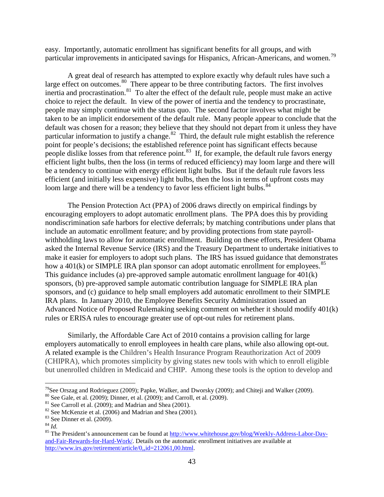easy. Importantly, automatic enrollment has significant benefits for all groups, and with particular improvements in anticipated savings for Hispanics, African-Americans, and women.<sup>79</sup>

A great deal of research has attempted to explore exactly why default rules have such a large effect on outcomes.<sup>80</sup> There appear to be three contributing factors. The first involves inertia and procrastination.<sup>81</sup> To alter the effect of the default rule, people must make an active choice to reject the default. In view of the power of inertia and the tendency to procrastinate, people may simply continue with the status quo. The second factor involves what might be taken to be an implicit endorsement of the default rule. Many people appear to conclude that the default was chosen for a reason; they believe that they should not depart from it unless they have particular information to justify a change. $82$  Third, the default rule might establish the reference point for people's decisions; the established reference point has significant effects because people dislike losses from that reference point.<sup>83</sup> If, for example, the default rule favors energy efficient light bulbs, then the loss (in terms of reduced efficiency) may loom large and there will be a tendency to continue with energy efficient light bulbs. But if the default rule favors less efficient (and initially less expensive) light bulbs, then the loss in terms of upfront costs may loom large and there will be a tendency to favor less efficient light bulbs.<sup>[84](#page-43-5)</sup>

The Pension Protection Act (PPA) of 2006 draws directly on empirical findings by encouraging employers to adopt automatic enrollment plans. The PPA does this by providing nondiscrimination safe harbors for elective deferrals; by matching contributions under plans that include an automatic enrollment feature; and by providing protections from state payrollwithholding laws to allow for automatic enrollment. Building on these efforts, President Obama asked the Internal Revenue Service (IRS) and the Treasury Department to undertake initiatives to make it easier for employers to adopt such plans. The IRS has issued guidance that demonstrates how a  $401(k)$  or SIMPLE IRA plan sponsor can adopt automatic enrollment for employees.<sup>85</sup> This guidance includes (a) pre-approved sample automatic enrollment language for 401(k) sponsors, (b) pre-approved sample automatic contribution language for SIMPLE IRA plan sponsors, and (c) guidance to help small employers add automatic enrollment to their SIMPLE IRA plans. In January 2010, the Employee Benefits Security Administration issued an Advanced Notice of Proposed Rulemaking seeking comment on whether it should modify 401(k) rules or ERISA rules to encourage greater use of opt-out rules for retirement plans.

Similarly, the Affordable Care Act of 2010 contains a provision calling for large employers automatically to enroll employees in health care plans, while also allowing opt-out. A related example is the Children's Health Insurance Program Reauthorization Act of 2009 (CHIPRA), which promotes simplicity by giving states new tools with which to enroll eligible but unenrolled children in Medicaid and CHIP. Among these tools is the option to develop and

 $^{79}$ See Orszag and Rodrieguez (2009); Papke, Walker, and Dworsky (2009); and Chiteji and Walker (2009).

<span id="page-43-2"></span>

<span id="page-43-3"></span>

<span id="page-43-4"></span>

<span id="page-43-6"></span><span id="page-43-5"></span>

<span id="page-43-1"></span><span id="page-43-0"></span><sup>&</sup>lt;sup>80</sup> See Gale, et al. (2009); Dinner, et al. (2009); and Carroll, et al. (2009).<br>
<sup>81</sup> See Carroll et al. (2009); and Madrian and Shea (2001).<br>
<sup>82</sup> See McKenzie et al. (2006) and Madrian and Shea (2001).<br>
<sup>83</sup> See Dinner [and-Fair-Rewards-for-Hard-Work/.](http://www.whitehouse.gov/blog/Weekly-Address-Labor-Day-and-Fair-Rewards-for-Hard-Work/) Details on the automatic enrollment initiatives are available at [http://www.irs.gov/retirement/article/0,,id=212061,00.html.](http://www.irs.gov/retirement/article/0,,id=212061,00.html)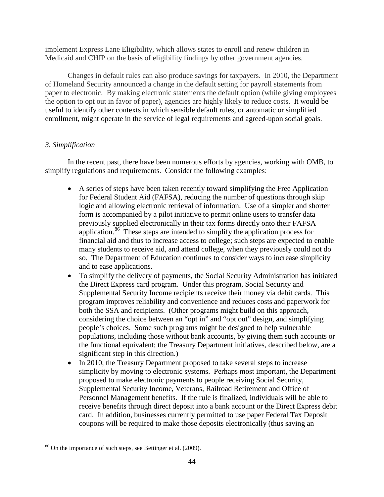implement Express Lane Eligibility, which allows states to enroll and renew children in Medicaid and CHIP on the basis of eligibility findings by other government agencies.

Changes in default rules can also produce savings for taxpayers. In 2010, the Department of Homeland Security announced a change in the default setting for payroll statements from paper to electronic. By making electronic statements the default option (while giving employees the option to opt out in favor of paper), agencies are highly likely to reduce costs. It would be useful to identify other contexts in which sensible default rules, or automatic or simplified enrollment, might operate in the service of legal requirements and agreed-upon social goals.

# *3. Simplification*

In the recent past, there have been numerous efforts by agencies, working with OMB, to simplify regulations and requirements. Consider the following examples:

- A series of steps have been taken recently toward simplifying the Free Application for Federal Student Aid (FAFSA), reducing the number of questions through skip logic and allowing electronic retrieval of information. Use of a simpler and shorter form is accompanied by a pilot initiative to permit online users to transfer data previously supplied electronically in their tax forms directly onto their FAFSA application.<sup>[86](#page-44-0)</sup> These steps are intended to simplify the application process for financial aid and thus to increase access to college; such steps are expected to enable many students to receive aid, and attend college, when they previously could not do so. The Department of Education continues to consider ways to increase simplicity and to ease applications.
- To simplify the delivery of payments, the Social Security Administration has initiated the Direct Express card program. Under this program, Social Security and Supplemental Security Income recipients receive their money via debit cards. This program improves reliability and convenience and reduces costs and paperwork for both the SSA and recipients. (Other programs might build on this approach, considering the choice between an "opt in" and "opt out" design, and simplifying people's choices. Some such programs might be designed to help vulnerable populations, including those without bank accounts, by giving them such accounts or the functional equivalent; the Treasury Department initiatives, described below, are a significant step in this direction.)
- In 2010, the Treasury Department proposed to take several steps to increase simplicity by moving to electronic systems. Perhaps most important, the Department proposed to make electronic payments to people receiving Social Security, Supplemental Security Income, Veterans, Railroad Retirement and Office of Personnel Management benefits. If the rule is finalized, individuals will be able to receive benefits through direct deposit into a bank account or the Direct Express debit card. In addition, businesses currently permitted to use paper Federal Tax Deposit coupons will be required to make those deposits electronically (thus saving an

<span id="page-44-0"></span> $\overline{a}$ <sup>86</sup> On the importance of such steps, see Bettinger et al. (2009).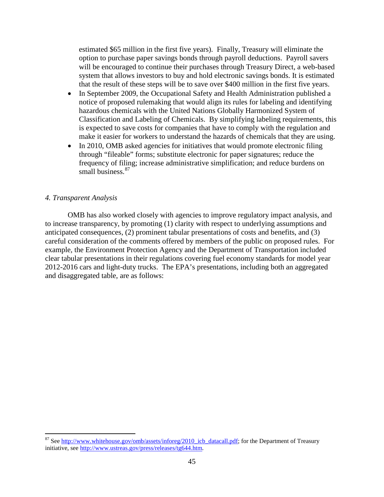estimated \$65 million in the first five years). Finally, Treasury will eliminate the option to purchase paper savings bonds through payroll deductions. Payroll savers will be encouraged to continue their purchases through Treasury Direct, a web-based system that allows investors to buy and hold electronic savings bonds. It is estimated that the result of these steps will be to save over \$400 million in the first five years.

- In September 2009, the Occupational Safety and Health Administration published a notice of proposed rulemaking that would align its rules for labeling and identifying hazardous chemicals with the United Nations Globally Harmonized System of Classification and Labeling of Chemicals. By simplifying labeling requirements, this is expected to save costs for companies that have to comply with the regulation and make it easier for workers to understand the hazards of chemicals that they are using.
- In 2010, OMB asked agencies for initiatives that would promote electronic filing through "fileable" forms; substitute electronic for paper signatures; reduce the frequency of filing; increase administrative simplification; and reduce burdens on small business.<sup>[87](#page-45-0)</sup>

# *4. Transparent Analysis*

 $\overline{a}$ 

OMB has also worked closely with agencies to improve regulatory impact analysis, and to increase transparency, by promoting (1) clarity with respect to underlying assumptions and anticipated consequences, (2) prominent tabular presentations of costs and benefits, and (3) careful consideration of the comments offered by members of the public on proposed rules. For example, the Environment Protection Agency and the Department of Transportation included clear tabular presentations in their regulations covering fuel economy standards for model year 2012-2016 cars and light-duty trucks. The EPA's presentations, including both an aggregated and disaggregated table, are as follows:

<span id="page-45-0"></span><sup>&</sup>lt;sup>87</sup> See [http://www.whitehouse.gov/omb/assets/inforeg/2010\\_icb\\_datacall.pdf;](http://www.whitehouse.gov/omb/assets/inforeg/2010_icb_datacall.pdf) for the Department of Treasury initiative, see [http://www.ustreas.gov/press/releases/tg644.htm.](http://www.ustreas.gov/press/releases/tg644.htm)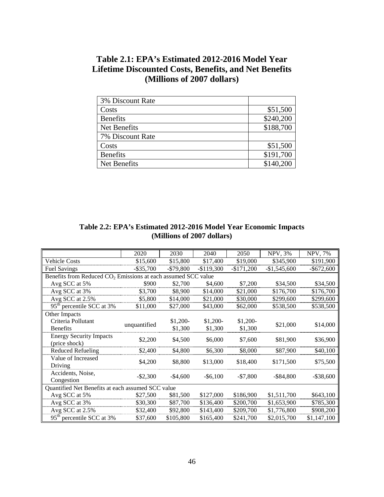# **Table 2.1: EPA's Estimated 2012-2016 Model Year Lifetime Discounted Costs, Benefits, and Net Benefits (Millions of 2007 dollars)**

| 3% Discount Rate |           |
|------------------|-----------|
| Costs            | \$51,500  |
| <b>Benefits</b>  | \$240,200 |
| Net Benefits     | \$188,700 |
| 7% Discount Rate |           |
| Costs            | \$51,500  |
| <b>Benefits</b>  | \$191,700 |
| Net Benefits     | \$140,200 |

# **Table 2.2: EPA's Estimated 2012-2016 Model Year Economic Impacts (Millions of 2007 dollars)**

|                                                                           | 2020         | 2030       | 2040        | 2050        | <b>NPV, 3%</b> | NPV, 7%       |
|---------------------------------------------------------------------------|--------------|------------|-------------|-------------|----------------|---------------|
| <b>Vehicle Costs</b>                                                      | \$15,600     | \$15,800   | \$17,400    | \$19,000    | \$345,900      | \$191,900     |
| <b>Fuel Savings</b>                                                       | $-$ \$35,700 | $-$79,800$ | $-$119,300$ | $-$171,200$ | $-$1,545,600$  | $-$ \$672,600 |
| Benefits from Reduced CO <sub>2</sub> Emissions at each assumed SCC value |              |            |             |             |                |               |
| Avg SCC at 5%                                                             | \$900        | \$2,700    | \$4,600     | \$7,200     | \$34,500       | \$34,500      |
| Avg SCC at 3%                                                             | \$3,700      | \$8,900    | \$14,000    | \$21,000    | \$176,700      | \$176,700     |
| Avg SCC at 2.5%                                                           | \$5,800      | \$14,000   | \$21,000    | \$30,000    | \$299,600      | \$299,600     |
| 95 <sup>th</sup> percentile SCC at 3%                                     | \$11,000     | \$27,000   | \$43,000    | \$62,000    | \$538,500      | \$538,500     |
| Other Impacts                                                             |              |            |             |             |                |               |
| Criteria Pollutant                                                        | unquantified | $$1,200-$  | $$1,200-$   | $$1,200-$   | \$21,000       | \$14,000      |
| <b>Benefits</b>                                                           |              | \$1,300    | \$1,300     | \$1,300     |                |               |
| <b>Energy Security Impacts</b>                                            | \$2,200      | \$4,500    | \$6,000     | \$7,600     | \$81,900       | \$36,900      |
| (price shock)                                                             |              |            |             |             |                |               |
| Reduced Refueling                                                         | \$2,400      | \$4,800    | \$6,300     | \$8,000     | \$87,900       | \$40,100      |
| Value of Increased                                                        | \$4,200      | \$8,800    | \$13,000    | \$18,400    | \$171,500      | \$75,500      |
| Driving                                                                   |              |            |             |             |                |               |
| Accidents, Noise,                                                         | $-$ \$2,300  | $-$4,600$  | $-$ \$6,100 | $-$7,800$   | $-$ \$84,800   | $-$ \$38,600  |
| Congestion                                                                |              |            |             |             |                |               |
| Quantified Net Benefits at each assumed SCC value                         |              |            |             |             |                |               |
| Avg SCC at 5%                                                             | \$27,500     | \$81,500   | \$127,000   | \$186,900   | \$1,511,700    | \$643,100     |
| Avg SCC at 3%                                                             | \$30,300     | \$87,700   | \$136,400   | \$200,700   | \$1,653,900    | \$785,300     |
| Avg SCC at 2.5%                                                           | \$32,400     | \$92,800   | \$143,400   | \$209,700   | \$1,776,800    | \$908,200     |
| 95 <sup>th</sup> percentile SCC at 3%                                     | \$37,600     | \$105,800  | \$165,400   | \$241,700   | \$2,015,700    | \$1,147,100   |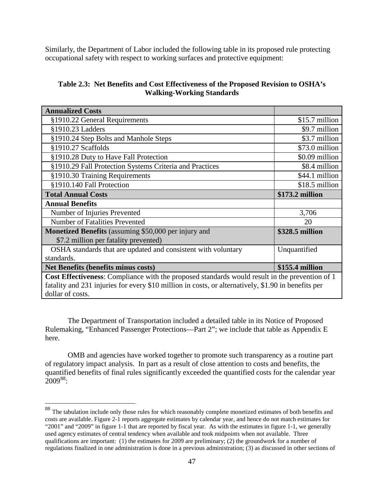Similarly, the Department of Labor included the following table in its proposed rule protecting occupational safety with respect to working surfaces and protective equipment:

| Table 2.3: Net Benefits and Cost Effectiveness of the Proposed Revision to OSHA's |
|-----------------------------------------------------------------------------------|
| <b>Walking-Working Standards</b>                                                  |

| <b>Annualized Costs</b>                                                                               |                 |  |  |  |
|-------------------------------------------------------------------------------------------------------|-----------------|--|--|--|
| §1910.22 General Requirements                                                                         | \$15.7 million  |  |  |  |
| §1910.23 Ladders                                                                                      | \$9.7 million   |  |  |  |
| §1910.24 Step Bolts and Manhole Steps                                                                 | \$3.7 million   |  |  |  |
| §1910.27 Scaffolds                                                                                    | \$73.0 million  |  |  |  |
| §1910.28 Duty to Have Fall Protection                                                                 | \$0.09 million  |  |  |  |
| §1910.29 Fall Protection Systems Criteria and Practices                                               | \$8.4 million   |  |  |  |
| §1910.30 Training Requirements                                                                        | \$44.1 million  |  |  |  |
| §1910.140 Fall Protection                                                                             | \$18.5 million  |  |  |  |
| <b>Total Annual Costs</b>                                                                             | \$173.2 million |  |  |  |
| <b>Annual Benefits</b>                                                                                |                 |  |  |  |
| Number of Injuries Prevented                                                                          | 3,706           |  |  |  |
| Number of Fatalities Prevented                                                                        | 20              |  |  |  |
| <b>Monetized Benefits</b> (assuming \$50,000 per injury and                                           | \$328.5 million |  |  |  |
| \$7.2 million per fatality prevented)                                                                 |                 |  |  |  |
| OSHA standards that are updated and consistent with voluntary                                         | Unquantified    |  |  |  |
| standards.                                                                                            |                 |  |  |  |
| Net Benefits (benefits minus costs)                                                                   | \$155.4 million |  |  |  |
| <b>Cost Effectiveness:</b> Compliance with the proposed standards would result in the prevention of 1 |                 |  |  |  |
| fatality and 231 injuries for every \$10 million in costs, or alternatively, \$1.90 in benefits per   |                 |  |  |  |
| dollar of costs.                                                                                      |                 |  |  |  |

The Department of Transportation included a detailed table in its Notice of Proposed Rulemaking, "Enhanced Passenger Protections—Part 2"; we include that table as Appendix E here.

OMB and agencies have worked together to promote such transparency as a routine part of regulatory impact analysis. In part as a result of close attention to costs and benefits, the quantified benefits of final rules significantly exceeded the quantified costs for the calendar year  $2009^{88}$  $2009^{88}$  $2009^{88}$ :

<span id="page-47-0"></span> $88$  The tabulation include only those rules for which reasonably complete monetized estimates of both benefits and costs are available. Figure 2-1 reports aggregate estimates by calendar year, and hence do not match estimates for "2001" and "2009" in figure 1-1 that are reported by fiscal year. As with the estimates in figure 1-1, we generally used agency estimates of central tendency when available and took midpoints when not available. Three qualifications are important: (1) the estimates for 2009 are preliminary; (2) the groundwork for a number of regulations finalized in one administration is done in a previous administration; (3) as discussed in other sections of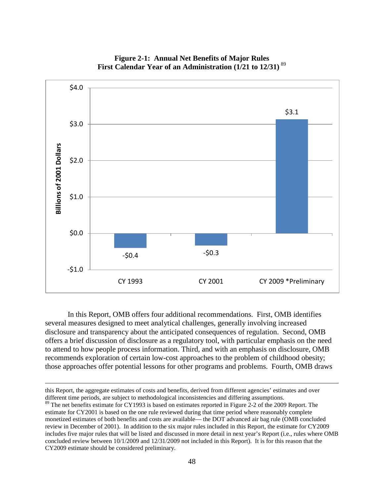

**Figure 2-1: Annual Net Benefits of Major Rules**  First Calendar Year of an Administration (1/21 to 12/31)<sup>[89](#page-48-0)</sup>

 In this Report, OMB offers four additional recommendations. First, OMB identifies several measures designed to meet analytical challenges, generally involving increased disclosure and transparency about the anticipated consequences of regulation. Second, OMB offers a brief discussion of disclosure as a regulatory tool, with particular emphasis on the need to attend to how people process information. Third, and with an emphasis on disclosure, OMB recommends exploration of certain low-cost approaches to the problem of childhood obesity; those approaches offer potential lessons for other programs and problems. Fourth, OMB draws

this Report, the aggregate estimates of costs and benefits, derived from different agencies' estimates and over different time periods, are subject to methodological inconsistencies and differing assumptions.

<span id="page-48-0"></span><sup>&</sup>lt;sup>89</sup> The net benefits estimate for CY1993 is based on estimates reported in Figure 2-2 of the 2009 Report. The estimate for CY2001 is based on the one rule reviewed during that time period where reasonably complete monetized estimates of both benefits and costs are available— the DOT advanced air bag rule (OMB concluded review in December of 2001). In addition to the six major rules included in this Report, the estimate for CY2009 includes five major rules that will be listed and discussed in more detail in next year's Report (i.e., rules where OMB concluded review between 10/1/2009 and 12/31/2009 not included in this Report). It is for this reason that the CY2009 estimate should be considered preliminary.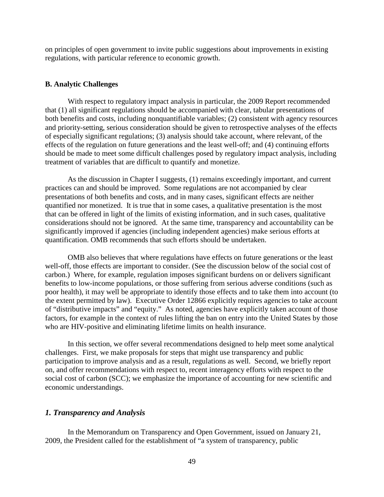on principles of open government to invite public suggestions about improvements in existing regulations, with particular reference to economic growth.

#### **B. Analytic Challenges**

With respect to regulatory impact analysis in particular, the 2009 Report recommended that (1) all significant regulations should be accompanied with clear, tabular presentations of both benefits and costs, including nonquantifiable variables; (2) consistent with agency resources and priority-setting, serious consideration should be given to retrospective analyses of the effects of especially significant regulations; (3) analysis should take account, where relevant, of the effects of the regulation on future generations and the least well-off; and (4) continuing efforts should be made to meet some difficult challenges posed by regulatory impact analysis, including treatment of variables that are difficult to quantify and monetize.

As the discussion in Chapter I suggests, (1) remains exceedingly important, and current practices can and should be improved. Some regulations are not accompanied by clear presentations of both benefits and costs, and in many cases, significant effects are neither quantified nor monetized. It is true that in some cases, a qualitative presentation is the most that can be offered in light of the limits of existing information, and in such cases, qualitative considerations should not be ignored. At the same time, transparency and accountability can be significantly improved if agencies (including independent agencies) make serious efforts at quantification. OMB recommends that such efforts should be undertaken.

OMB also believes that where regulations have effects on future generations or the least well-off, those effects are important to consider. (See the discussion below of the social cost of carbon.) Where, for example, regulation imposes significant burdens on or delivers significant benefits to low-income populations, or those suffering from serious adverse conditions (such as poor health), it may well be appropriate to identify those effects and to take them into account (to the extent permitted by law). Executive Order 12866 explicitly requires agencies to take account of "distributive impacts" and "equity." As noted, agencies have explicitly taken account of those factors, for example in the context of rules lifting the ban on entry into the United States by those who are HIV-positive and eliminating lifetime limits on health insurance.

In this section, we offer several recommendations designed to help meet some analytical challenges. First, we make proposals for steps that might use transparency and public participation to improve analysis and as a result, regulations as well. Second, we briefly report on, and offer recommendations with respect to, recent interagency efforts with respect to the social cost of carbon (SCC); we emphasize the importance of accounting for new scientific and economic understandings.

### *1. Transparency and Analysis*

In the Memorandum on Transparency and Open Government, issued on January 21, 2009, the President called for the establishment of "a system of transparency, public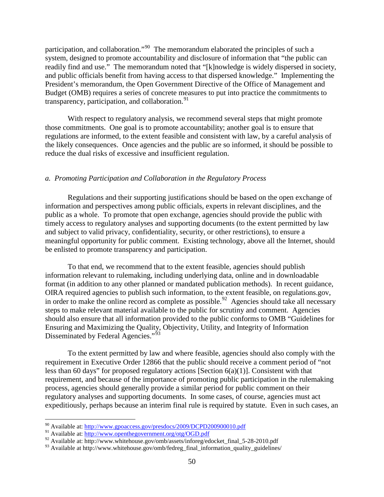participation, and collaboration."[90](#page-50-0) The memorandum elaborated the principles of such a system, designed to promote accountability and disclosure of information that "the public can readily find and use." The memorandum noted that "[k]nowledge is widely dispersed in society, and public officials benefit from having access to that dispersed knowledge." Implementing the President's memorandum, the Open Government Directive of the Office of Management and Budget (OMB) requires a series of concrete measures to put into practice the commitments to transparency, participation, and collaboration. $91$ 

With respect to regulatory analysis, we recommend several steps that might promote those commitments. One goal is to promote accountability; another goal is to ensure that regulations are informed, to the extent feasible and consistent with law, by a careful analysis of the likely consequences. Once agencies and the public are so informed, it should be possible to reduce the dual risks of excessive and insufficient regulation.

#### *a. Promoting Participation and Collaboration in the Regulatory Process*

Regulations and their supporting justifications should be based on the open exchange of information and perspectives among public officials, experts in relevant disciplines, and the public as a whole. To promote that open exchange, agencies should provide the public with timely access to regulatory analyses and supporting documents (to the extent permitted by law and subject to valid privacy, confidentiality, security, or other restrictions), to ensure a meaningful opportunity for public comment. Existing technology, above all the Internet, should be enlisted to promote transparency and participation.

To that end, we recommend that to the extent feasible, agencies should publish information relevant to rulemaking, including underlying data, online and in downloadable format (in addition to any other planned or mandated publication methods). In recent guidance, OIRA required agencies to publish such information, to the extent feasible, on regulations.gov, in order to make the online record as complete as possible.<sup>[92](#page-50-2)</sup> Agencies should take all necessary steps to make relevant material available to the public for scrutiny and comment. Agencies should also ensure that all information provided to the public conforms to OMB "Guidelines for Ensuring and Maximizing the Quality, Objectivity, Utility, and Integrity of Information Disseminated by Federal Agencies."<sup>93</sup>

To the extent permitted by law and where feasible, agencies should also comply with the requirement in Executive Order 12866 that the public should receive a comment period of "not less than 60 days" for proposed regulatory actions [Section 6(a)(1)]. Consistent with that requirement, and because of the importance of promoting public participation in the rulemaking process, agencies should generally provide a similar period for public comment on their regulatory analyses and supporting documents. In some cases, of course, agencies must act expeditiously, perhaps because an interim final rule is required by statute. Even in such cases, an

<sup>90</sup> Available at:<http://www.gpoaccess.gov/presdocs/2009/DCPD200900010.pdf>

<span id="page-50-1"></span><span id="page-50-0"></span><sup>&</sup>lt;sup>91</sup> Available at: http://www.<u>openthegovernment.org/otg/OGD.pdf</u>

<span id="page-50-2"></span><sup>&</sup>lt;sup>92</sup> Available at: http://www.whitehouse.gov/omb/assets/inforeg/edocket\_final\_5-28-2010.pdf

<span id="page-50-3"></span><sup>93</sup> Available at http://www.whitehouse.gov/omb/fedreg\_final\_information\_quality\_guidelines/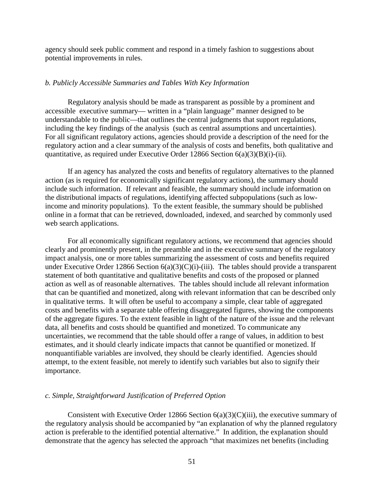agency should seek public comment and respond in a timely fashion to suggestions about potential improvements in rules.

#### *b. Publicly Accessible Summaries and Tables With Key Information*

Regulatory analysis should be made as transparent as possible by a prominent and accessible executive summary— written in a "plain language" manner designed to be understandable to the public—that outlines the central judgments that support regulations, including the key findings of the analysis (such as central assumptions and uncertainties). For all significant regulatory actions, agencies should provide a description of the need for the regulatory action and a clear summary of the analysis of costs and benefits, both qualitative and quantitative, as required under Executive Order 12866 Section  $6(a)(3)(B)(i)-(ii)$ .

If an agency has analyzed the costs and benefits of regulatory alternatives to the planned action (as is required for economically significant regulatory actions), the summary should include such information. If relevant and feasible, the summary should include information on the distributional impacts of regulations, identifying affected subpopulations (such as lowincome and minority populations). To the extent feasible, the summary should be published online in a format that can be retrieved, downloaded, indexed, and searched by commonly used web search applications.

For all economically significant regulatory actions, we recommend that agencies should clearly and prominently present, in the preamble and in the executive summary of the regulatory impact analysis, one or more tables summarizing the assessment of costs and benefits required under Executive Order 12866 Section  $6(a)(3)(C)(i)$ -(iii). The tables should provide a transparent statement of both quantitative and qualitative benefits and costs of the proposed or planned action as well as of reasonable alternatives. The tables should include all relevant information that can be quantified and monetized, along with relevant information that can be described only in qualitative terms. It will often be useful to accompany a simple, clear table of aggregated costs and benefits with a separate table offering disaggregated figures, showing the components of the aggregate figures. To the extent feasible in light of the nature of the issue and the relevant data, all benefits and costs should be quantified and monetized. To communicate any uncertainties, we recommend that the table should offer a range of values, in addition to best estimates, and it should clearly indicate impacts that cannot be quantified or monetized. If nonquantifiable variables are involved, they should be clearly identified. Agencies should attempt, to the extent feasible, not merely to identify such variables but also to signify their importance.

#### *c. Simple, Straightforward Justification of Preferred Option*

Consistent with Executive Order 12866 Section  $6(a)(3)(C)(iii)$ , the executive summary of the regulatory analysis should be accompanied by "an explanation of why the planned regulatory action is preferable to the identified potential alternative." In addition, the explanation should demonstrate that the agency has selected the approach "that maximizes net benefits (including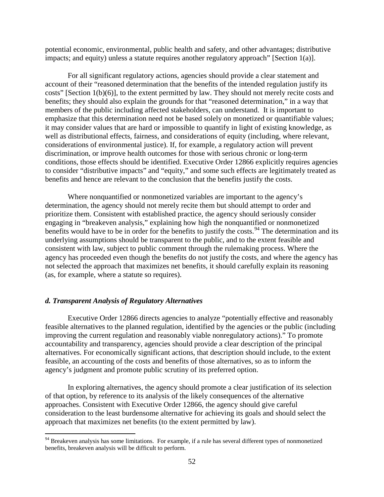potential economic, environmental, public health and safety, and other advantages; distributive impacts; and equity) unless a statute requires another regulatory approach" [Section 1(a)].

For all significant regulatory actions, agencies should provide a clear statement and account of their "reasoned determination that the benefits of the intended regulation justify its costs" [Section 1(b)(6)], to the extent permitted by law. They should not merely recite costs and benefits; they should also explain the grounds for that "reasoned determination," in a way that members of the public including affected stakeholders, can understand. It is important to emphasize that this determination need not be based solely on monetized or quantifiable values; it may consider values that are hard or impossible to quantify in light of existing knowledge, as well as distributional effects, fairness, and considerations of equity (including, where relevant, considerations of environmental justice). If, for example, a regulatory action will prevent discrimination, or improve health outcomes for those with serious chronic or long-term conditions, those effects should be identified. Executive Order 12866 explicitly requires agencies to consider "distributive impacts" and "equity," and some such effects are legitimately treated as benefits and hence are relevant to the conclusion that the benefits justify the costs.

Where nonquantified or nonmonetized variables are important to the agency's determination, the agency should not merely recite them but should attempt to order and prioritize them. Consistent with established practice, the agency should seriously consider engaging in "breakeven analysis," explaining how high the nonquantified or nonmonetized benefits would have to be in order for the benefits to justify the costs.<sup>[94](#page-52-0)</sup> The determination and its underlying assumptions should be transparent to the public, and to the extent feasible and consistent with law, subject to public comment through the rulemaking process. Where the agency has proceeded even though the benefits do not justify the costs, and where the agency has not selected the approach that maximizes net benefits, it should carefully explain its reasoning (as, for example, where a statute so requires).

# *d. Transparent Analysis of Regulatory Alternatives*

 $\overline{a}$ 

Executive Order 12866 directs agencies to analyze "potentially effective and reasonably feasible alternatives to the planned regulation, identified by the agencies or the public (including improving the current regulation and reasonably viable nonregulatory actions)." To promote accountability and transparency, agencies should provide a clear description of the principal alternatives. For economically significant actions, that description should include, to the extent feasible, an accounting of the costs and benefits of those alternatives, so as to inform the agency's judgment and promote public scrutiny of its preferred option.

In exploring alternatives, the agency should promote a clear justification of its selection of that option, by reference to its analysis of the likely consequences of the alternative approaches. Consistent with Executive Order 12866, the agency should give careful consideration to the least burdensome alternative for achieving its goals and should select the approach that maximizes net benefits (to the extent permitted by law).

<span id="page-52-0"></span><sup>&</sup>lt;sup>94</sup> Breakeven analysis has some limitations. For example, if a rule has several different types of nonmonetized benefits, breakeven analysis will be difficult to perform.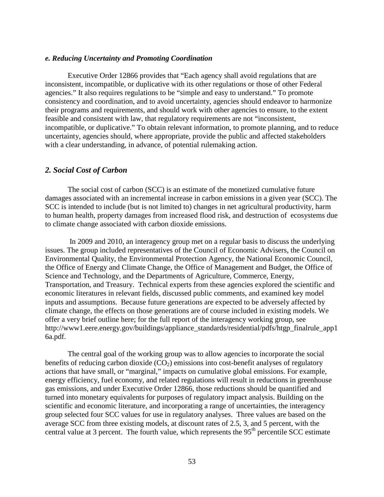#### *e. Reducing Uncertainty and Promoting Coordination*

Executive Order 12866 provides that "Each agency shall avoid regulations that are inconsistent, incompatible, or duplicative with its other regulations or those of other Federal agencies." It also requires regulations to be "simple and easy to understand." To promote consistency and coordination, and to avoid uncertainty, agencies should endeavor to harmonize their programs and requirements, and should work with other agencies to ensure, to the extent feasible and consistent with law, that regulatory requirements are not "inconsistent, incompatible, or duplicative." To obtain relevant information, to promote planning, and to reduce uncertainty, agencies should, where appropriate, provide the public and affected stakeholders with a clear understanding, in advance, of potential rulemaking action.

## *2. Social Cost of Carbon*

The social cost of carbon (SCC) is an estimate of the monetized cumulative future damages associated with an incremental increase in carbon emissions in a given year (SCC). The SCC is intended to include (but is not limited to) changes in net agricultural productivity, harm to human health, property damages from increased flood risk, and destruction of ecosystems due to climate change associated with carbon dioxide emissions.

 In 2009 and 2010, an interagency group met on a regular basis to discuss the underlying issues. The group included representatives of the Council of Economic Advisers, the Council on Environmental Quality, the Environmental Protection Agency, the National Economic Council, the Office of Energy and Climate Change, the Office of Management and Budget, the Office of Science and Technology, and the Departments of Agriculture, Commerce, Energy, Transportation, and Treasury. Technical experts from these agencies explored the scientific and economic literatures in relevant fields, discussed public comments, and examined key model inputs and assumptions. Because future generations are expected to be adversely affected by climate change, the effects on those generations are of course included in existing models. We offer a very brief outline here; for the full report of the interagency working group, see http://www1.eere.energy.gov/buildings/appliance\_standards/residential/pdfs/htgp\_finalrule\_app1 6a.pdf.

The central goal of the working group was to allow agencies to incorporate the social benefits of reducing carbon dioxide  $(CO<sub>2</sub>)$  emissions into cost-benefit analyses of regulatory actions that have small, or "marginal," impacts on cumulative global emissions. For example, energy efficiency, fuel economy, and related regulations will result in reductions in greenhouse gas emissions, and under Executive Order 12866, those reductions should be quantified and turned into monetary equivalents for purposes of regulatory impact analysis. Building on the scientific and economic literature, and incorporating a range of uncertainties, the interagency group selected four SCC values for use in regulatory analyses. Three values are based on the average SCC from three existing models, at discount rates of 2.5, 3, and 5 percent, with the central value at 3 percent. The fourth value, which represents the  $95<sup>th</sup>$  percentile SCC estimate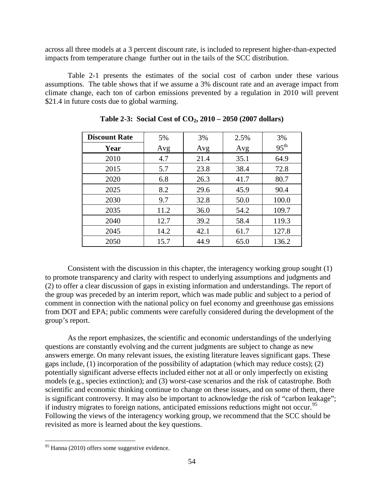across all three models at a 3 percent discount rate, is included to represent higher-than-expected impacts from temperature change further out in the tails of the SCC distribution.

Table 2-1 presents the estimates of the social cost of carbon under these various assumptions. The table shows that if we assume a 3% discount rate and an average impact from climate change, each ton of carbon emissions prevented by a regulation in 2010 will prevent \$21.4 in future costs due to global warming.

| <b>Discount Rate</b> | 5%   | 3%   | 2.5% | 3%               |
|----------------------|------|------|------|------------------|
| Year                 | Avg  | Avg  | Avg  | 95 <sup>th</sup> |
| 2010                 | 4.7  | 21.4 | 35.1 | 64.9             |
| 2015                 | 5.7  | 23.8 | 38.4 | 72.8             |
| 2020                 | 6.8  | 26.3 | 41.7 | 80.7             |
| 2025                 | 8.2  | 29.6 | 45.9 | 90.4             |
| 2030                 | 9.7  | 32.8 | 50.0 | 100.0            |
| 2035                 | 11.2 | 36.0 | 54.2 | 109.7            |
| 2040                 | 12.7 | 39.2 | 58.4 | 119.3            |
| 2045                 | 14.2 | 42.1 | 61.7 | 127.8            |
| 2050                 | 15.7 | 44.9 | 65.0 | 136.2            |

**Table 2-3: Social Cost of CO2, 2010 – 2050 (2007 dollars)**

 Consistent with the discussion in this chapter, the interagency working group sought (1) to promote transparency and clarity with respect to underlying assumptions and judgments and (2) to offer a clear discussion of gaps in existing information and understandings. The report of the group was preceded by an interim report, which was made public and subject to a period of comment in connection with the national policy on fuel economy and greenhouse gas emissions from DOT and EPA; public comments were carefully considered during the development of the group's report.

As the report emphasizes, the scientific and economic understandings of the underlying questions are constantly evolving and the current judgments are subject to change as new answers emerge. On many relevant issues, the existing literature leaves significant gaps. These gaps include, (1) incorporation of the possibility of adaptation (which may reduce costs); (2) potentially significant adverse effects included either not at all or only imperfectly on existing models (e.g., species extinction); and (3) worst-case scenarios and the risk of catastrophe. Both scientific and economic thinking continue to change on these issues, and on some of them, there is significant controversy. It may also be important to acknowledge the risk of "carbon leakage"; if industry migrates to foreign nations, anticipated emissions reductions might not occur.<sup>[95](#page-54-0)</sup> Following the views of the interagency working group, we recommend that the SCC should be revisited as more is learned about the key questions.

<span id="page-54-0"></span><sup>&</sup>lt;sup>95</sup> Hanna (2010) offers some suggestive evidence.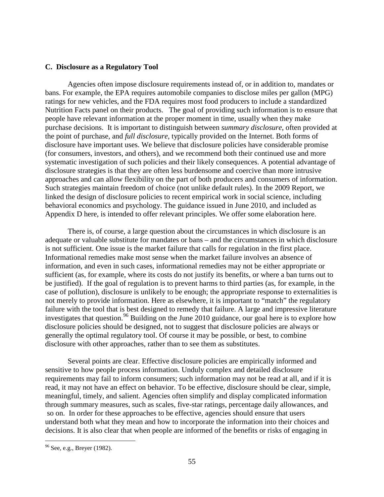#### **C. Disclosure as a Regulatory Tool**

Agencies often impose disclosure requirements instead of, or in addition to, mandates or bans. For example, the EPA requires automobile companies to disclose miles per gallon (MPG) ratings for new vehicles, and the FDA requires most food producers to include a standardized Nutrition Facts panel on their products. The goal of providing such information is to ensure that people have relevant information at the proper moment in time, usually when they make purchase decisions. It is important to distinguish between *summary disclosure*, often provided at the point of purchase, and *full disclosure*, typically provided on the Internet. Both forms of disclosure have important uses. We believe that disclosure policies have considerable promise (for consumers, investors, and others), and we recommend both their continued use and more systematic investigation of such policies and their likely consequences. A potential advantage of disclosure strategies is that they are often less burdensome and coercive than more intrusive approaches and can allow flexibility on the part of both producers and consumers of information. Such strategies maintain freedom of choice (not unlike default rules). In the 2009 Report, we linked the design of disclosure policies to recent empirical work in social science, including behavioral economics and psychology. The guidance issued in June 2010, and included as Appendix D here, is intended to offer relevant principles. We offer some elaboration here.

There is, of course, a large question about the circumstances in which disclosure is an adequate or valuable substitute for mandates or bans – and the circumstances in which disclosure is not sufficient. One issue is the market failure that calls for regulation in the first place. Informational remedies make most sense when the market failure involves an absence of information, and even in such cases, informational remedies may not be either appropriate or sufficient (as, for example, where its costs do not justify its benefits, or where a ban turns out to be justified). If the goal of regulation is to prevent harms to third parties (as, for example, in the case of pollution), disclosure is unlikely to be enough; the appropriate response to externalities is not merely to provide information. Here as elsewhere, it is important to "match" the regulatory failure with the tool that is best designed to remedy that failure. A large and impressive literature investigates that question.<sup>96</sup> Building on the June 2010 guidance, our goal here is to explore how disclosure policies should be designed, not to suggest that disclosure policies are always or generally the optimal regulatory tool. Of course it may be possible, or best, to combine disclosure with other approaches, rather than to see them as substitutes.

Several points are clear. Effective disclosure policies are empirically informed and sensitive to how people process information. Unduly complex and detailed disclosure requirements may fail to inform consumers; such information may not be read at all, and if it is read, it may not have an effect on behavior. To be effective, disclosure should be clear, simple, meaningful, timely, and salient. Agencies often simplify and display complicated information through summary measures, such as scales, five-star ratings, percentage daily allowances, and so on. In order for these approaches to be effective, agencies should ensure that users understand both what they mean and how to incorporate the information into their choices and decisions. It is also clear that when people are informed of the benefits or risks of engaging in

<span id="page-55-0"></span><sup>96</sup> See, e.g., Breyer (1982).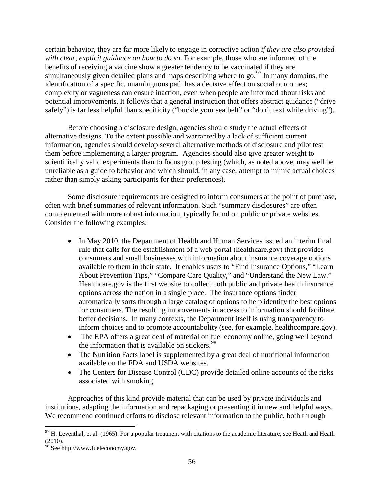certain behavior, they are far more likely to engage in corrective action *if they are also provided with clear, explicit guidance on how to do so*. For example, those who are informed of the benefits of receiving a vaccine show a greater tendency to be vaccinated if they are simultaneously given detailed plans and maps describing where to go. $97$  In many domains, the identification of a specific, unambiguous path has a decisive effect on social outcomes; complexity or vagueness can ensure inaction, even when people are informed about risks and potential improvements. It follows that a general instruction that offers abstract guidance ("drive safely") is far less helpful than specificity ("buckle your seatbelt" or "don't text while driving").

Before choosing a disclosure design, agencies should study the actual effects of alternative designs. To the extent possible and warranted by a lack of sufficient current information, agencies should develop several alternative methods of disclosure and pilot test them before implementing a larger program. Agencies should also give greater weight to scientifically valid experiments than to focus group testing (which, as noted above, may well be unreliable as a guide to behavior and which should, in any case, attempt to mimic actual choices rather than simply asking participants for their preferences).

Some disclosure requirements are designed to inform consumers at the point of purchase, often with brief summaries of relevant information. Such "summary disclosures" are often complemented with more robust information, typically found on public or private websites. Consider the following examples:

- In May 2010, the Department of Health and Human Services issued an interim final rule that calls for the establishment of a web portal (healthcare.gov) that provides consumers and small businesses with information about insurance coverage options available to them in their state. It enables users to "Find Insurance Options," "Learn About Prevention Tips," "Compare Care Quality," and "Understand the New Law." Healthcare.gov is the first website to collect both public and private health insurance options across the nation in a single place. The insurance options finder automatically sorts through a large catalog of options to help identify the best options for consumers. The resulting improvements in access to information should facilitate better decisions. In many contexts, the Department itself is using transparency to inform choices and to promote accountabolity (see, for example, healthcompare.gov).
- The EPA offers a great deal of material on fuel economy online, going well beyond the information that is available on stickers.<sup>[98](#page-56-1)</sup>
- The Nutrition Facts label is supplemented by a great deal of nutritional information available on the FDA and USDA websites.
- The Centers for Disease Control (CDC) provide detailed online accounts of the risks associated with smoking.

Approaches of this kind provide material that can be used by private individuals and institutions, adapting the information and repackaging or presenting it in new and helpful ways. We recommend continued efforts to disclose relevant information to the public, both through

<span id="page-56-0"></span> $\overline{a}$  $^{97}$  H. Leventhal, et al. (1965). For a popular treatment with citations to the academic literature, see Heath and Heath (2010).

<span id="page-56-1"></span><sup>&</sup>lt;sup>98</sup> See http://www.fueleconomy.gov.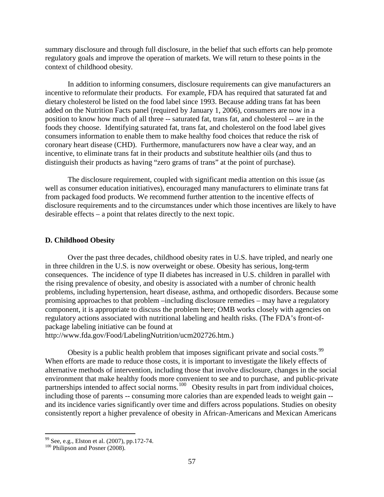summary disclosure and through full disclosure, in the belief that such efforts can help promote regulatory goals and improve the operation of markets. We will return to these points in the context of childhood obesity.

In addition to informing consumers, disclosure requirements can give manufacturers an incentive to reformulate their products. For example, FDA has required that saturated fat and dietary cholesterol be listed on the food label since 1993. Because adding trans fat has been added on the Nutrition Facts panel (required by January 1, 2006), consumers are now in a position to know how much of all three -- saturated fat, trans fat, and cholesterol -- are in the foods they choose. Identifying saturated fat, trans fat, and cholesterol on the food label gives consumers information to enable them to make healthy food choices that reduce the risk of coronary heart disease (CHD). Furthermore, manufacturers now have a clear way, and an incentive, to eliminate trans fat in their products and substitute healthier oils (and thus to distinguish their products as having "zero grams of trans" at the point of purchase).

The disclosure requirement, coupled with significant media attention on this issue (as well as consumer education initiatives), encouraged many manufacturers to eliminate trans fat from packaged food products. We recommend further attention to the incentive effects of disclosure requirements and to the circumstances under which those incentives are likely to have desirable effects – a point that relates directly to the next topic.

#### **D. Childhood Obesity**

 Over the past three decades, childhood obesity rates in U.S. have tripled, and nearly one in three children in the U.S. is now overweight or obese. Obesity has serious, long-term consequences. The incidence of type II diabetes has increased in U.S. children in parallel with the rising prevalence of obesity, and obesity is associated with a number of chronic health problems, including hypertension, heart disease, asthma, and orthopedic disorders. Because some promising approaches to that problem –including disclosure remedies – may have a regulatory component, it is appropriate to discuss the problem here; OMB works closely with agencies on regulatory actions associated with nutritional labeling and health risks. (The FDA's front-ofpackage labeling initiative can be found at

http://www.fda.gov/Food/LabelingNutrition/ucm202726.htm.)

Obesity is a public health problem that imposes significant private and social costs.<sup>[99](#page-57-0)</sup> When efforts are made to reduce those costs, it is important to investigate the likely effects of alternative methods of intervention, including those that involve disclosure, changes in the social environment that make healthy foods more convenient to see and to purchase, and public-private partnerships intended to affect social norms.<sup>[100](#page-57-1)</sup> Obesity results in part from individual choices, including those of parents -- consuming more calories than are expended leads to weight gain - and its incidence varies significantly over time and differs across populations. Studies on obesity consistently report a higher prevalence of obesity in African-Americans and Mexican Americans

<span id="page-57-0"></span> $99$  See, e.g., Elston et al. (2007), pp.172-74.

<span id="page-57-1"></span><sup>&</sup>lt;sup>100</sup> Philipson and Posner (2008).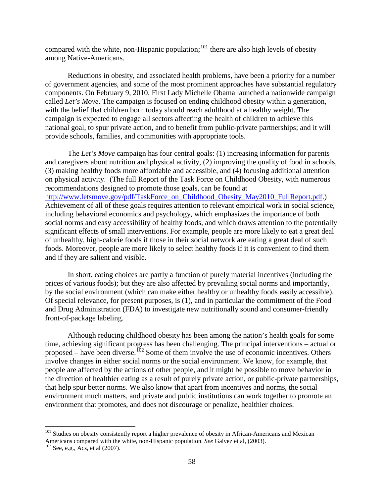compared with the white, non-Hispanic population;<sup>[101](#page-58-0)</sup> there are also high levels of obesity among Native-Americans.

 Reductions in obesity, and associated health problems, have been a priority for a number of government agencies, and some of the most prominent approaches have substantial regulatory components. On February 9, 2010, First Lady Michelle Obama launched a nationwide campaign called *Let's Move*. The campaign is focused on ending childhood obesity within a generation, with the belief that children born today should reach adulthood at a healthy weight. The campaign is expected to engage all sectors affecting the health of children to achieve this national goal, to spur private action, and to benefit from public-private partnerships; and it will provide schools, families, and communities with appropriate tools.

The *Let's Move* campaign has four central goals: (1) increasing information for parents and caregivers about nutrition and physical activity, (2) improving the quality of food in schools, (3) making healthy foods more affordable and accessible, and (4) focusing additional attention on physical activity. (The full Report of the Task Force on Childhood Obesity, with numerous recommendations designed to promote those goals, can be found at [http://www.letsmove.gov/pdf/TaskForce\\_on\\_Childhood\\_Obesity\\_May2010\\_FullReport.pdf.](http://www.letsmove.gov/pdf/TaskForce_on_Childhood_Obesity_May2010_FullReport.pdf)) Achievement of all of these goals requires attention to relevant empirical work in social science, including behavioral economics and psychology, which emphasizes the importance of both social norms and easy accessibility of healthy foods, and which draws attention to the potentially significant effects of small interventions. For example, people are more likely to eat a great deal of unhealthy, high-calorie foods if those in their social network are eating a great deal of such foods. Moreover, people are more likely to select healthy foods if it is convenient to find them and if they are salient and visible.

In short, eating choices are partly a function of purely material incentives (including the prices of various foods); but they are also affected by prevailing social norms and importantly, by the social environment (which can make either healthy or unhealthy foods easily accessible). Of special relevance, for present purposes, is (1), and in particular the commitment of the Food and Drug Administration (FDA) to investigate new nutritionally sound and consumer-friendly front-of-package labeling.

 Although reducing childhood obesity has been among the nation's health goals for some time, achieving significant progress has been challenging. The principal interventions – actual or proposed – have been diverse.<sup>102</sup> Some of them involve the use of economic incentives. Others involve changes in either social norms or the social environment. We know, for example, that people are affected by the actions of other people, and it might be possible to move behavior in the direction of healthier eating as a result of purely private action, or public-private partnerships, that help spur better norms. We also know that apart from incentives and norms, the social environment much matters, and private and public institutions can work together to promote an environment that promotes, and does not discourage or penalize, healthier choices.

<span id="page-58-0"></span><sup>&</sup>lt;sup>101</sup> Studies on obesity consistently report a higher prevalence of obesity in African-Americans and Mexican Americans compared with the white, non-Hispanic population. *See* Galvez et al, (2003). <sup>102</sup> See, e.g., Acs, et al (2007).

<span id="page-58-1"></span>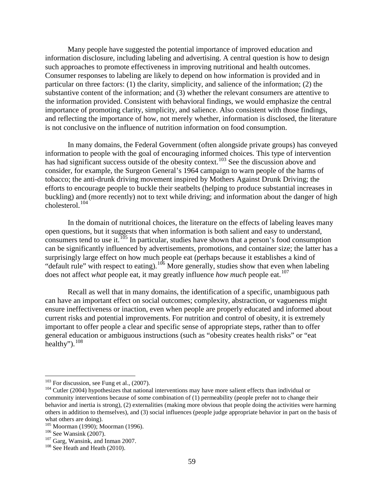Many people have suggested the potential importance of improved education and information disclosure, including labeling and advertising. A central question is how to design such approaches to promote effectiveness in improving nutritional and health outcomes. Consumer responses to labeling are likely to depend on how information is provided and in particular on three factors: (1) the clarity, simplicity, and salience of the information; (2) the substantive content of the information; and (3) whether the relevant consumers are attentive to the information provided. Consistent with behavioral findings, we would emphasize the central importance of promoting clarity, simplicity, and salience. Also consistent with those findings, and reflecting the importance of how, not merely whether, information is disclosed, the literature is not conclusive on the influence of nutrition information on food consumption.

In many domains, the Federal Government (often alongside private groups) has conveyed information to people with the goal of encouraging informed choices. This type of intervention has had significant success outside of the obesity context.<sup>[103](#page-59-0)</sup> See the discussion above and consider, for example, the Surgeon General's 1964 campaign to warn people of the harms of tobacco; the anti-drunk driving movement inspired by Mothers Against Drunk Driving; the efforts to encourage people to buckle their seatbelts (helping to produce substantial increases in buckling) and (more recently) not to text while driving; and information about the danger of high cholesterol.[104](#page-59-1)

In the domain of nutritional choices, the literature on the effects of labeling leaves many open questions, but it suggests that when information is both salient and easy to understand, consumers tend to use it.<sup>105</sup> In particular, studies have shown that a person's food consumption can be significantly influenced by advertisements, promotions, and container size; the latter has a surprisingly large effect on how much people eat (perhaps because it establishes a kind of "default rule" with respect to eating).<sup>[106](#page-59-3)</sup> More generally, studies show that even when labeling does not affect *what* people eat, it may greatly influence *how much* people eat.<sup>[107](#page-59-4)</sup>

Recall as well that in many domains, the identification of a specific, unambiguous path can have an important effect on social outcomes; complexity, abstraction, or vagueness might ensure ineffectiveness or inaction, even when people are properly educated and informed about current risks and potential improvements. For nutrition and control of obesity, it is extremely important to offer people a clear and specific sense of appropriate steps, rather than to offer general education or ambiguous instructions (such as "obesity creates health risks" or "eat healthy"). $108$ 

<span id="page-59-1"></span><span id="page-59-0"></span><sup>&</sup>lt;sup>103</sup> For discussion, see Fung et al., (2007).<br><sup>104</sup> Cutler (2004) hypothesizes that national interventions may have more salient effects than individual or community interventions because of some combination of (1) permeability (people prefer not to change their behavior and inertia is strong), (2) externalities (making more obvious that people doing the activities were harming others in addition to themselves), and (3) social influences (people judge appropriate behavior in part on the basis of what others are doing).

<span id="page-59-3"></span><span id="page-59-2"></span><sup>&</sup>lt;sup>105</sup> Moorman (1990); Moorman (1996).<br><sup>106</sup> See Wansink (2007).<br><sup>107</sup> Garg, Wansink, and Inman 2007.<br><sup>108</sup> See Heath and Heath (2010).

<span id="page-59-5"></span><span id="page-59-4"></span>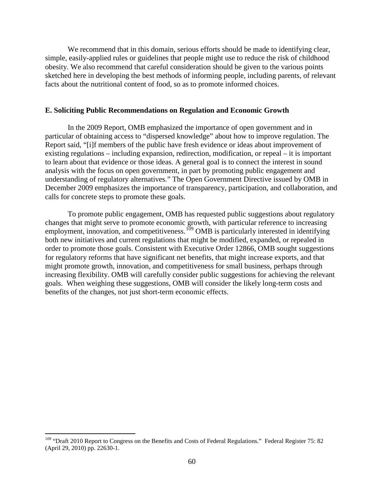We recommend that in this domain, serious efforts should be made to identifying clear, simple, easily-applied rules or guidelines that people might use to reduce the risk of childhood obesity. We also recommend that careful consideration should be given to the various points sketched here in developing the best methods of informing people, including parents, of relevant facts about the nutritional content of food, so as to promote informed choices.

### **E. Soliciting Public Recommendations on Regulation and Economic Growth**

In the 2009 Report, OMB emphasized the importance of open government and in particular of obtaining access to "dispersed knowledge" about how to improve regulation. The Report said, "[i]f members of the public have fresh evidence or ideas about improvement of existing regulations – including expansion, redirection, modification, or repeal – it is important to learn about that evidence or those ideas. A general goal is to connect the interest in sound analysis with the focus on open government, in part by promoting public engagement and understanding of regulatory alternatives*.*" The Open Government Directive issued by OMB in December 2009 emphasizes the importance of transparency, participation, and collaboration, and calls for concrete steps to promote these goals.

To promote public engagement, OMB has requested public suggestions about regulatory changes that might serve to promote economic growth, with particular reference to increasing employment, innovation, and competitiveness.<sup>[109](#page-60-0)</sup> OMB is particularly interested in identifying both new initiatives and current regulations that might be modified, expanded, or repealed in order to promote those goals. Consistent with Executive Order 12866, OMB sought suggestions for regulatory reforms that have significant net benefits, that might increase exports, and that might promote growth, innovation, and competitiveness for small business, perhaps through increasing flexibility. OMB will carefully consider public suggestions for achieving the relevant goals. When weighing these suggestions, OMB will consider the likely long-term costs and benefits of the changes, not just short-term economic effects.

<span id="page-60-0"></span><sup>&</sup>lt;sup>109</sup> "Draft 2010 Report to Congress on the Benefits and Costs of Federal Regulations." Federal Register 75: 82 (April 29, 2010) pp. 22630-1.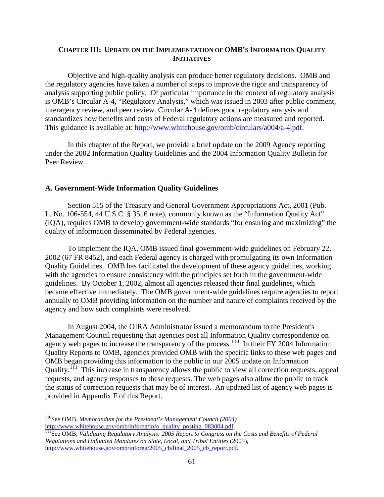# **CHAPTER III: UPDATE ON THE IMPLEMENTATION OF OMB'S INFORMATION QUALITY INITIATIVES**

Objective and high-quality analysis can produce better regulatory decisions. OMB and the regulatory agencies have taken a number of steps to improve the rigor and transparency of analysis supporting public policy. Of particular importance in the context of regulatory analysis is OMB's Circular A-4, "Regulatory Analysis," which was issued in 2003 after public comment, interagency review, and peer review. Circular A-4 defines good regulatory analysis and standardizes how benefits and costs of Federal regulatory actions are measured and reported. This guidance is available at: [http://www.whitehouse.gov/omb/circulars/a004/a-4.pdf.](http://www.whitehouse.gov/omb/circulars/a004/a-4.pdf)

In this chapter of the Report, we provide a brief update on the 2009 Agency reporting under the 2002 Information Quality Guidelines and the 2004 Information Quality Bulletin for Peer Review.

#### **A. Government-Wide Information Quality Guidelines**

Section 515 of the Treasury and General Government Appropriations Act, 2001 (Pub. L. No. 106-554, 44 U.S.C. § 3516 note), commonly known as the "Information Quality Act" (IQA), requires OMB to develop government-wide standards "for ensuring and maximizing" the quality of information disseminated by Federal agencies.

To implement the IQA, OMB issued final government-wide guidelines on February 22, 2002 (67 FR 8452), and each Federal agency is charged with promulgating its own Information Quality Guidelines. OMB has facilitated the development of these agency guidelines, working with the agencies to ensure consistency with the principles set forth in the government-wide guidelines. By October 1, 2002, almost all agencies released their final guidelines, which became effective immediately. The OMB government-wide guidelines require agencies to report annually to OMB providing information on the number and nature of complaints received by the agency and how such complaints were resolved.

In August 2004, the OIRA Administrator issued a memorandum to the President's Management Council requesting that agencies post all Information Quality correspondence on agency web pages to increase the transparency of the process.<sup>[110](#page-61-0)</sup> In their FY 2004 Information Quality Reports to OMB, agencies provided OMB with the specific links to these web pages and OMB began providing this information to the public in our 2005 update on Information Quality.<sup>[111](#page-61-1)</sup> This increase in transparency allows the public to view all correction requests, appeal requests, and agency responses to these requests. The web pages also allow the public to track the status of correction requests that may be of interest. An updated list of agency web pages is provided in Appendix F of this Report.

<span id="page-61-0"></span><sup>110</sup>See OMB, *Memorandum for the President's Management Council (2004)*

<span id="page-61-1"></span>http://www.whitehouse.gov/omb/inforeg/info\_quality\_posting\_083004.pdf.<br><sup>111</sup>See OMB, *Validating Regulatory Analysis: 2005 Report to Congress on the Costs and Benefits of Federal Regulations and Unfunded Mandates on State, Local, and Tribal Entities* (2005)*,* [http://www.whitehouse.gov/omb/inforeg/2005\\_cb/final\\_2005\\_cb\\_report.pdf.](http://www.whitehouse.gov/omb/inforeg/2005_cb/final_2005_cb_report.pdf)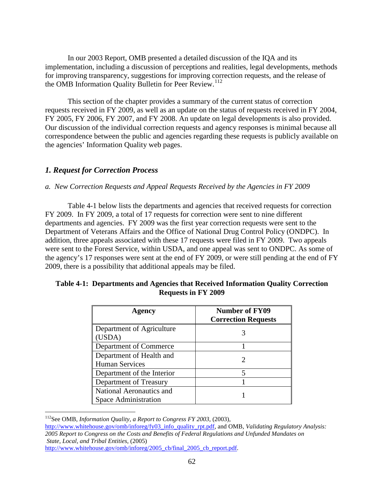In our 2003 Report, OMB presented a detailed discussion of the IQA and its implementation, including a discussion of perceptions and realities, legal developments, methods for improving transparency, suggestions for improving correction requests, and the release of the OMB Information Quality Bulletin for Peer Review.<sup>112</sup>

This section of the chapter provides a summary of the current status of correction requests received in FY 2009, as well as an update on the status of requests received in FY 2004, FY 2005, FY 2006, FY 2007, and FY 2008. An update on legal developments is also provided. Our discussion of the individual correction requests and agency responses is minimal because all correspondence between the public and agencies regarding these requests is publicly available on the agencies' Information Quality web pages.

# *1. Request for Correction Process*

# *a. New Correction Requests and Appeal Requests Received by the Agencies in FY 2009*

Table 4-1 below lists the departments and agencies that received requests for correction FY 2009. In FY 2009, a total of 17 requests for correction were sent to nine different departments and agencies. FY 2009 was the first year correction requests were sent to the Department of Veterans Affairs and the Office of National Drug Control Policy (ONDPC). In addition, three appeals associated with these 17 requests were filed in FY 2009. Two appeals were sent to the Forest Service, within USDA, and one appeal was sent to ONDPC. As some of the agency's 17 responses were sent at the end of FY 2009, or were still pending at the end of FY 2009, there is a possibility that additional appeals may be filed.

| Agency                                            | <b>Number of FY09</b><br><b>Correction Requests</b> |
|---------------------------------------------------|-----------------------------------------------------|
| Department of Agriculture<br>(USDA)               |                                                     |
| Department of Commerce                            |                                                     |
| Department of Health and<br><b>Human Services</b> |                                                     |
| Department of the Interior                        |                                                     |
| Department of Treasury                            |                                                     |
| National Aeronautics and<br>Space Administration  |                                                     |

# **Table 4-1: Departments and Agencies that Received Information Quality Correction Requests in FY 2009**

<span id="page-62-0"></span> $\overline{a}$ 112See OMB, *Information Quality, a Report to Congress FY 2003,* (2003)*,* 

[http://www.whitehouse.gov/omb/inforeg/fy03\\_info\\_quality\\_rpt.pdf,](http://www.whitehouse.gov/omb/inforeg/fy03_info_quality_rpt.pdf) and OMB, *Validating Regulatory Analysis: 2005 Report to Congress on the Costs and Benefits of Federal Regulations and Unfunded Mandates on State, Local, and Tribal Entities*, (2005) [http://www.whitehouse.gov/omb/inforeg/2005\\_cb/final\\_2005\\_cb\\_report.pdf.](http://www.whitehouse.gov/omb/inforeg/2005_cb/final_2005_cb_report.pdf)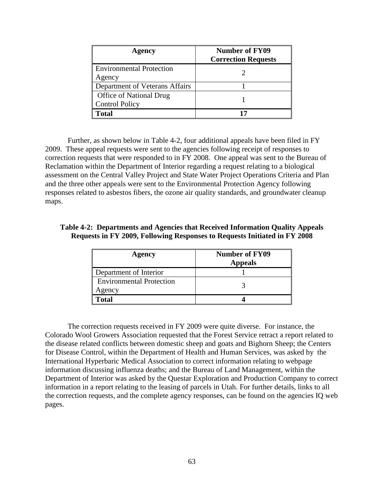| Agency                                           | <b>Number of FY09</b><br><b>Correction Requests</b> |
|--------------------------------------------------|-----------------------------------------------------|
| <b>Environmental Protection</b><br>Agency        |                                                     |
| Department of Veterans Affairs                   |                                                     |
| Office of National Drug<br><b>Control Policy</b> |                                                     |
| Total                                            |                                                     |

Further, as shown below in Table 4-2, four additional appeals have been filed in FY 2009. These appeal requests were sent to the agencies following receipt of responses to correction requests that were responded to in FY 2008. One appeal was sent to the Bureau of Reclamation within the Department of Interior regarding a request relating to a biological assessment on the Central Valley Project and State Water Project Operations Criteria and Plan and the three other appeals were sent to the Environmental Protection Agency following responses related to asbestos fibers, the ozone air quality standards, and groundwater cleanup maps.

# **Table 4-2: Departments and Agencies that Received Information Quality Appeals Requests in FY 2009, Following Responses to Requests Initiated in FY 2008**

| Agency                                    | <b>Number of FY09</b><br><b>Appeals</b> |
|-------------------------------------------|-----------------------------------------|
| Department of Interior                    |                                         |
| <b>Environmental Protection</b><br>Agency |                                         |
| Total                                     |                                         |

The correction requests received in FY 2009 were quite diverse. For instance, the Colorado Wool Growers Association requested that the Forest Service retract a report related to the disease related conflicts between domestic sheep and goats and Bighorn Sheep; the Centers for Disease Control, within the Department of Health and Human Services, was asked by the International Hyperbaric Medical Association to correct information relating to webpage information discussing influenza deaths; and the Bureau of Land Management, within the Department of Interior was asked by the Questar Exploration and Production Company to correct information in a report relating to the leasing of parcels in Utah. For further details, links to all the correction requests, and the complete agency responses, can be found on the agencies IQ web pages.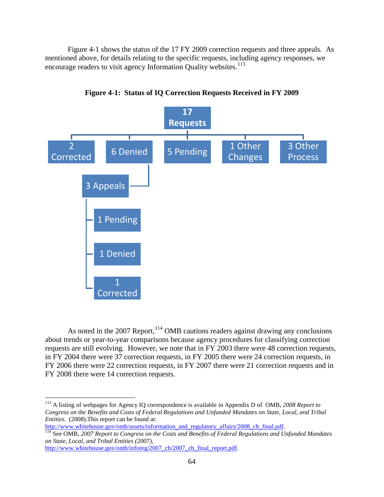Figure 4-1 shows the status of the 17 FY 2009 correction requests and three appeals*.* As mentioned above, for details relating to the specific requests, including agency responses, we encourage readers to visit agency Information Quality websites.<sup>[113](#page-64-0)</sup>



**Figure 4-1: Status of IQ Correction Requests Received in FY 2009**

As noted in the 2007 Report,  $114$  OMB cautions readers against drawing any conclusions about trends or year-to-year comparisons because agency procedures for classifying correction requests are still evolving. However, we note that in FY 2003 there were 48 correction requests, in FY 2004 there were 37 correction requests, in FY 2005 there were 24 correction requests, in FY 2006 there were 22 correction requests, in FY 2007 there were 21 correction requests and in FY 2008 there were 14 correction requests.

<span id="page-64-0"></span><sup>113</sup> A listing of webpages for Agency IQ correspondence is available in Appendix D of OMB, *2008 Report to Congress on the Benefits and Costs of Federal Regulations and Unfunded Mandates on State, Local, and Tribal Entities.* (2008). This report can be found at:<br>http://www.whitehouse.gov/omb/assets/information\_and\_regulatory\_affairs/2008\_cb\_final.pdf.

<span id="page-64-1"></span><sup>&</sup>lt;sup>[114](http://www.whitehouse.gov/omb/assets/information_and_regulatory_affairs/2008_cb_final.pdf)</sup> See OMB, 2007 Report to Congress on the Costs and Benefits of Federal Regulations and Unfunded Mandates *on State, Local, and Tribal Entities (2007)*,

[http://www.whitehouse.gov/omb/inforeg/2007\\_cb/2007\\_cb\\_final\\_report.pdf.](http://www.whitehouse.gov/omb/inforeg/2007_cb/2007_cb_final_report.pdf)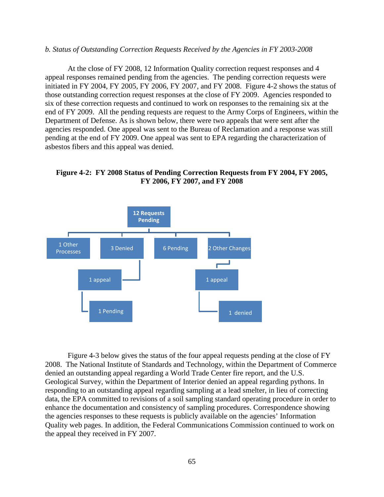#### *b. Status of Outstanding Correction Requests Received by the Agencies in FY 2003-2008*

At the close of FY 2008, 12 Information Quality correction request responses and 4 appeal responses remained pending from the agencies. The pending correction requests were initiated in FY 2004, FY 2005, FY 2006, FY 2007, and FY 2008. Figure 4-2 shows the status of those outstanding correction request responses at the close of FY 2009. Agencies responded to six of these correction requests and continued to work on responses to the remaining six at the end of FY 2009. All the pending requests are request to the Army Corps of Engineers, within the Department of Defense. As is shown below, there were two appeals that were sent after the agencies responded. One appeal was sent to the Bureau of Reclamation and a response was still pending at the end of FY 2009. One appeal was sent to EPA regarding the characterization of asbestos fibers and this appeal was denied.

**Figure 4-2: FY 2008 Status of Pending Correction Requests from FY 2004, FY 2005, FY 2006, FY 2007, and FY 2008** 



Figure 4-3 below gives the status of the four appeal requests pending at the close of FY 2008. The National Institute of Standards and Technology, within the Department of Commerce denied an outstanding appeal regarding a World Trade Center fire report, and the U.S. Geological Survey, within the Department of Interior denied an appeal regarding pythons. In responding to an outstanding appeal regarding sampling at a lead smelter, in lieu of correcting data, the EPA committed to revisions of a soil sampling standard operating procedure in order to enhance the documentation and consistency of sampling procedures. Correspondence showing the agencies responses to these requests is publicly available on the agencies' Information Quality web pages. In addition, the Federal Communications Commission continued to work on the appeal they received in FY 2007.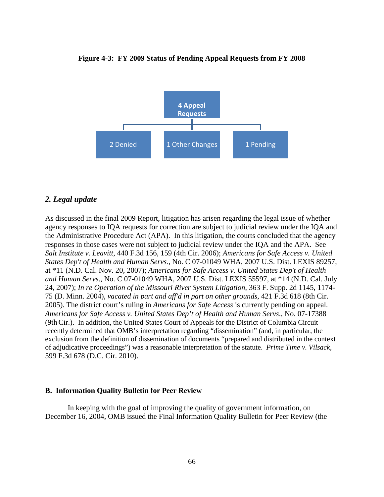

#### **Figure 4-3: FY 2009 Status of Pending Appeal Requests from FY 2008**

# *2. Legal update*

As discussed in the final 2009 Report, litigation has arisen regarding the legal issue of whether agency responses to IQA requests for correction are subject to judicial review under the IQA and the Administrative Procedure Act (APA). In this litigation, the courts concluded that the agency responses in those cases were not subject to judicial review under the IQA and the APA. See *Salt Institute v. Leavitt*, 440 F.3d 156, 159 (4th Cir. 2006); *Americans for Safe Access v. United States Dep't of Health and Human Servs.,* No. C 07-01049 WHA, 2007 U.S. Dist. LEXIS 89257, at \*11 (N.D. Cal. Nov. 20, 2007); *Americans for Safe Access v. United States Dep't of Health and Human Servs*., No. C 07-01049 WHA, 2007 U.S. Dist. LEXIS 55597, at \*14 (N.D. Cal. July 24, 2007); *In re Operation of the Missouri River System Litigation*, 363 F. Supp. 2d 1145, 1174- 75 (D. Minn. 2004), *vacated in part and aff'd in part on other grounds*, 421 F.3d 618 (8th Cir. 2005). The district court's ruling in *Americans for Safe Access* is currently pending on appeal. *Americans for Safe Access v. United States Dep't of Health and Human Servs*., No. 07-17388 (9thCir.). In addition, the United States Court of Appeals for the District of Columbia Circuit recently determined that OMB's interpretation regarding "dissemination" (and, in particular, the exclusion from the definition of dissemination of documents "prepared and distributed in the context of adjudicative proceedings") was a reasonable interpretation of the statute. *Prime Time v. Vilsack,*  599 F.3d 678 (D.C. Cir. 2010).

#### **B. Information Quality Bulletin for Peer Review**

In keeping with the goal of improving the quality of government information, on December 16, 2004, OMB issued the Final Information Quality Bulletin for Peer Review (the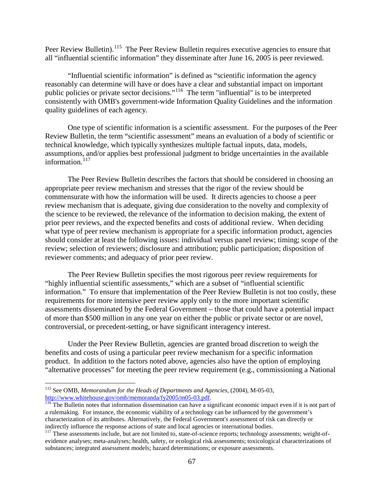Peer Review Bulletin).<sup>[115](#page-67-0)</sup> The Peer Review Bulletin requires executive agencies to ensure that all "influential scientific information" they disseminate after June 16, 2005 is peer reviewed.

"Influential scientific information" is defined as "scientific information the agency reasonably can determine will have or does have a clear and substantial impact on important public policies or private sector decisions."[116](#page-67-1) The term "influential" is to be interpreted consistently with OMB's government-wide Information Quality Guidelines and the information quality guidelines of each agency.

One type of scientific information is a scientific assessment. For the purposes of the Peer Review Bulletin, the term "scientific assessment" means an evaluation of a body of scientific or technical knowledge, which typically synthesizes multiple factual inputs, data, models, assumptions, and/or applies best professional judgment to bridge uncertainties in the available information. $117$ 

The Peer Review Bulletin describes the factors that should be considered in choosing an appropriate peer review mechanism and stresses that the rigor of the review should be commensurate with how the information will be used. It directs agencies to choose a peer review mechanism that is adequate, giving due consideration to the novelty and complexity of the science to be reviewed, the relevance of the information to decision making, the extent of prior peer reviews, and the expected benefits and costs of additional review. When deciding what type of peer review mechanism is appropriate for a specific information product, agencies should consider at least the following issues: individual versus panel review; timing; scope of the review; selection of reviewers; disclosure and attribution; public participation; disposition of reviewer comments; and adequacy of prior peer review.

The Peer Review Bulletin specifies the most rigorous peer review requirements for "highly influential scientific assessments," which are a subset of "influential scientific information." To ensure that implementation of the Peer Review Bulletin is not too costly, these requirements for more intensive peer review apply only to the more important scientific assessments disseminated by the Federal Government – those that could have a potential impact of more than \$500 million in any one year on either the public or private sector or are novel, controversial, or precedent-setting, or have significant interagency interest.

Under the Peer Review Bulletin, agencies are granted broad discretion to weigh the benefits and costs of using a particular peer review mechanism for a specific information product. In addition to the factors noted above, agencies also have the option of employing "alternative processes" for meeting the peer review requirement (e.g., commissioning a National

<span id="page-67-0"></span><sup>115</sup> See OMB, *Memorandum for the Heads of Departments and Agencies*, (2004), M-05-03, http://www.whitehouse.gov/omb/memoranda/fy2005/m05-03.pdf.<br><sup>116</sup> The Bulletin notes that information dissemination can have a significant economic impact even if it is not part of

<span id="page-67-1"></span>a rulemaking. For instance, the economic viability of a technology can be influenced by the government's characterization of its attributes. Alternatively, the Federal Government's assessment of risk can directly or indirectly influence the response actions of state and local agencies or international bodies.

<span id="page-67-2"></span><sup>&</sup>lt;sup>117</sup> These assessments include, but are not limited to, state-of-science reports; technology assessments; weight-ofevidence analyses; meta-analyses; health, safety, or ecological risk assessments; toxicological characterizations of substances; integrated assessment models; hazard determinations; or exposure assessments.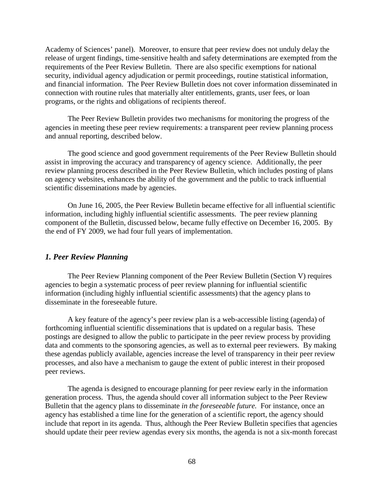Academy of Sciences' panel). Moreover, to ensure that peer review does not unduly delay the release of urgent findings, time-sensitive health and safety determinations are exempted from the requirements of the Peer Review Bulletin. There are also specific exemptions for national security, individual agency adjudication or permit proceedings, routine statistical information, and financial information. The Peer Review Bulletin does not cover information disseminated in connection with routine rules that materially alter entitlements, grants, user fees, or loan programs, or the rights and obligations of recipients thereof.

The Peer Review Bulletin provides two mechanisms for monitoring the progress of the agencies in meeting these peer review requirements: a transparent peer review planning process and annual reporting, described below.

The good science and good government requirements of the Peer Review Bulletin should assist in improving the accuracy and transparency of agency science. Additionally, the peer review planning process described in the Peer Review Bulletin, which includes posting of plans on agency websites, enhances the ability of the government and the public to track influential scientific disseminations made by agencies.

On June 16, 2005, the Peer Review Bulletin became effective for all influential scientific information, including highly influential scientific assessments. The peer review planning component of the Bulletin, discussed below, became fully effective on December 16, 2005. By the end of FY 2009, we had four full years of implementation.

# *1. Peer Review Planning*

The Peer Review Planning component of the Peer Review Bulletin (Section V) requires agencies to begin a systematic process of peer review planning for influential scientific information (including highly influential scientific assessments) that the agency plans to disseminate in the foreseeable future.

A key feature of the agency's peer review plan is a web-accessible listing (agenda) of forthcoming influential scientific disseminations that is updated on a regular basis. These postings are designed to allow the public to participate in the peer review process by providing data and comments to the sponsoring agencies, as well as to external peer reviewers. By making these agendas publicly available, agencies increase the level of transparency in their peer review processes, and also have a mechanism to gauge the extent of public interest in their proposed peer reviews.

The agenda is designed to encourage planning for peer review early in the information generation process. Thus, the agenda should cover all information subject to the Peer Review Bulletin that the agency plans to disseminate *in the foreseeable future.* For instance, once an agency has established a time line for the generation of a scientific report, the agency should include that report in its agenda. Thus, although the Peer Review Bulletin specifies that agencies should update their peer review agendas every six months, the agenda is not a six-month forecast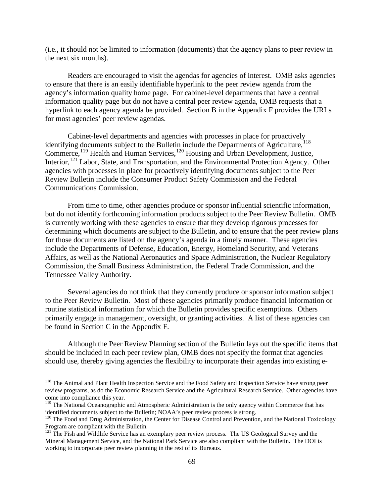(i.e., it should not be limited to information (documents) that the agency plans to peer review in the next six months).

Readers are encouraged to visit the agendas for agencies of interest. OMB asks agencies to ensure that there is an easily identifiable hyperlink to the peer review agenda from the agency's information quality home page. For cabinet-level departments that have a central information quality page but do not have a central peer review agenda, OMB requests that a hyperlink to each agency agenda be provided. Section B in the Appendix F provides the URLs for most agencies' peer review agendas.

Cabinet-level departments and agencies with processes in place for proactively identifying documents subject to the Bulletin include the Departments of Agriculture,<sup>[118](#page-69-0)</sup> Commerce,<sup>[119](#page-69-1)</sup> Health and Human Services,<sup>[120](#page-69-2)</sup> Housing and Urban Development, Justice, Interior,<sup>121</sup> Labor, State, and Transportation, and the Environmental Protection Agency. Other agencies with processes in place for proactively identifying documents subject to the Peer Review Bulletin include the Consumer Product Safety Commission and the Federal Communications Commission.

From time to time, other agencies produce or sponsor influential scientific information, but do not identify forthcoming information products subject to the Peer Review Bulletin. OMB is currently working with these agencies to ensure that they develop rigorous processes for determining which documents are subject to the Bulletin, and to ensure that the peer review plans for those documents are listed on the agency's agenda in a timely manner. These agencies include the Departments of Defense, Education, Energy, Homeland Security, and Veterans Affairs, as well as the National Aeronautics and Space Administration, the Nuclear Regulatory Commission, the Small Business Administration, the Federal Trade Commission, and the Tennessee Valley Authority.

Several agencies do not think that they currently produce or sponsor information subject to the Peer Review Bulletin. Most of these agencies primarily produce financial information or routine statistical information for which the Bulletin provides specific exemptions. Others primarily engage in management, oversight, or granting activities. A list of these agencies can be found in Section C in the Appendix F.

Although the Peer Review Planning section of the Bulletin lays out the specific items that should be included in each peer review plan, OMB does not specify the format that agencies should use, thereby giving agencies the flexibility to incorporate their agendas into existing e-

<span id="page-69-0"></span><sup>&</sup>lt;sup>118</sup> The Animal and Plant Health Inspection Service and the Food Safety and Inspection Service have strong peer review programs, as do the Economic Research Service and the Agricultural Research Service. Other agencies have come into compliance this year.

<span id="page-69-1"></span><sup>&</sup>lt;sup>119</sup> The National Oceanographic and Atmospheric Administration is the only agency within Commerce that has identified documents subject to the Bulletin; NOAA's peer review process is strong.

<span id="page-69-2"></span><sup>&</sup>lt;sup>120</sup> The Food and Drug Administration, the Center for Disease Control and Prevention, and the National Toxicology Program are compliant with the Bulletin.

<span id="page-69-3"></span><sup>&</sup>lt;sup>121</sup> The Fish and Wildlife Service has an exemplary peer review process. The US Geological Survey and the Mineral Management Service, and the National Park Service are also compliant with the Bulletin. The DOI is working to incorporate peer review planning in the rest of its Bureaus.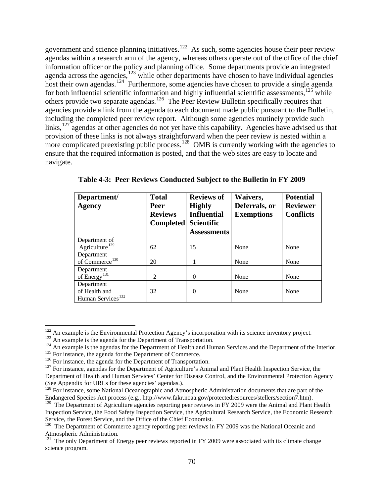government and science planning initiatives.<sup>[122](#page-70-0)</sup> As such, some agencies house their peer review agendas within a research arm of the agency, whereas others operate out of the office of the chief information officer or the policy and planning office. Some departments provide an integrated agenda across the agencies, $123$  while other departments have chosen to have individual agencies host their own agendas.<sup>[124](#page-70-2)</sup> Furthermore, some agencies have chosen to provide a single agenda for both influential scientific information and highly influential scientific assessments, $125$  while others provide two separate agendas.<sup>126</sup> The Peer Review Bulletin specifically requires that agencies provide a link from the agenda to each document made public pursuant to the Bulletin, including the completed peer review report. Although some agencies routinely provide such links, $127$  agendas at other agencies do not yet have this capability. Agencies have advised us that provision of these links is not always straightforward when the peer review is nested within a more complicated preexisting public process.<sup>[128](#page-70-6)</sup> OMB is currently working with the agencies to ensure that the required information is posted, and that the web sites are easy to locate and navigate.

| Department/<br><b>Agency</b>  | <b>Total</b><br><b>Peer</b><br><b>Reviews</b><br><b>Completed</b> | <b>Reviews of</b><br><b>Highly</b><br><b>Influential</b><br><b>Scientific</b> | Waivers,<br>Deferrals, or<br><b>Exemptions</b> | <b>Potential</b><br><b>Reviewer</b><br><b>Conflicts</b> |
|-------------------------------|-------------------------------------------------------------------|-------------------------------------------------------------------------------|------------------------------------------------|---------------------------------------------------------|
|                               |                                                                   | <b>Assessments</b>                                                            |                                                |                                                         |
| Department of                 |                                                                   |                                                                               |                                                |                                                         |
| Agriculture <sup>129</sup>    | 62                                                                | 15                                                                            | None                                           | None                                                    |
| Department                    |                                                                   |                                                                               |                                                |                                                         |
| of Commerce <sup>130</sup>    | 20                                                                |                                                                               | None                                           | None                                                    |
| Department                    |                                                                   |                                                                               |                                                |                                                         |
| of Energy <sup>131</sup>      | 2                                                                 | $\Omega$                                                                      | None                                           | None                                                    |
| Department                    |                                                                   |                                                                               |                                                |                                                         |
| of Health and                 | 32                                                                | $\Omega$                                                                      | None                                           | None                                                    |
| Human Services <sup>132</sup> |                                                                   |                                                                               |                                                |                                                         |

**Table 4-3: Peer Reviews Conducted Subject to the Bulletin in FY 2009** 

<span id="page-70-0"></span> $122$  An example is the Environmental Protection Agency's incorporation with its science inventory project.

<span id="page-70-2"></span><span id="page-70-1"></span><sup>&</sup>lt;sup>123</sup> An example is the agenda for the Department of Transportation.<br><sup>124</sup> An example is the agendas for the Department of Health and Human Services and the Department of the Interior.<br><sup>125</sup> For instance, the agenda for t

<span id="page-70-3"></span>

<span id="page-70-5"></span><span id="page-70-4"></span>Department of Health and Human Services' Center for Disease Control, and the Environmental Protection Agency

<span id="page-70-6"></span><sup>(</sup>See Appendix for URLs for these agencies' agendas.).<br><sup>128</sup> For instance, some National Oceanographic and Atmospheric Administration documents that are part of the Endangered Species Act process (e.g., http://www.fakr.noaa.gov/protectedresources/stellers/section7.htm).

<span id="page-70-7"></span><sup>&</sup>lt;sup>129</sup> The Department of Agriculture agencies reporting peer reviews in FY 2009 were the Animal and Plant Health Inspection Service, the Food Safety Inspection Service, the Agricultural Research Service, the Economic Research Service, the Forest Service, and the Office of the Chief Economist.

<span id="page-70-8"></span> $130$  The Department of Commerce agency reporting peer reviews in FY 2009 was the National Oceanic and Atmospheric Administration.

<span id="page-70-9"></span> $131$  The only Department of Energy peer reviews reported in FY 2009 were associated with its climate change science program.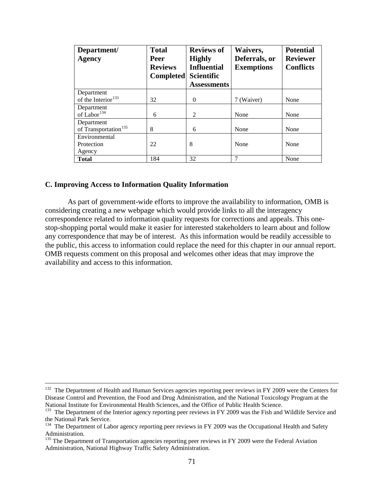| Department/<br><b>Agency</b>     | <b>Total</b><br>Peer<br><b>Reviews</b><br><b>Completed</b> | <b>Reviews of</b><br><b>Highly</b><br><b>Influential</b><br><b>Scientific</b><br><b>Assessments</b> | Waivers,<br>Deferrals, or<br><b>Exemptions</b> | <b>Potential</b><br><b>Reviewer</b><br><b>Conflicts</b> |
|----------------------------------|------------------------------------------------------------|-----------------------------------------------------------------------------------------------------|------------------------------------------------|---------------------------------------------------------|
| Department                       |                                                            |                                                                                                     |                                                |                                                         |
| of the Interior <sup>133</sup>   | 32                                                         | $\Omega$                                                                                            | 7 (Waiver)                                     | None                                                    |
| Department                       |                                                            |                                                                                                     |                                                |                                                         |
| of Labor <sup>134</sup>          | 6                                                          | $\mathcal{D}_{\mathcal{L}}$                                                                         | None                                           | None                                                    |
| Department                       |                                                            |                                                                                                     |                                                |                                                         |
| of Transportation <sup>135</sup> | 8                                                          | 6                                                                                                   | None                                           | None                                                    |
| Environmental                    |                                                            |                                                                                                     |                                                |                                                         |
| Protection                       | 22                                                         | 8                                                                                                   | None                                           | None                                                    |
| Agency                           |                                                            |                                                                                                     |                                                |                                                         |
| <b>Total</b>                     | 184                                                        | 32                                                                                                  | 7                                              | None                                                    |

# **C. Improving Access to Information Quality Information**

As part of government-wide efforts to improve the availability to information, OMB is considering creating a new webpage which would provide links to all the interagency correspondence related to information quality requests for corrections and appeals. This onestop-shopping portal would make it easier for interested stakeholders to learn about and follow any correspondence that may be of interest. As this information would be readily accessible to the public, this access to information could replace the need for this chapter in our annual report. OMB requests comment on this proposal and welcomes other ideas that may improve the availability and access to this information.

<sup>&</sup>lt;sup>132</sup> The Department of Health and Human Services agencies reporting peer reviews in FY 2009 were the Centers for Disease Control and Prevention, the Food and Drug Administration, and the National Toxicology Program at the

<span id="page-71-0"></span> $133$  The Department of the Interior agency reporting peer reviews in FY 2009 was the Fish and Wildlife Service and the National Park Service.

<span id="page-71-1"></span><sup>&</sup>lt;sup>134</sup> The Department of Labor agency reporting peer reviews in FY 2009 was the Occupational Health and Safety Administration.

<span id="page-71-2"></span><sup>&</sup>lt;sup>135</sup> The Department of Transportation agencies reporting peer reviews in FY 2009 were the Federal Aviation Administration, National Highway Traffic Safety Administration.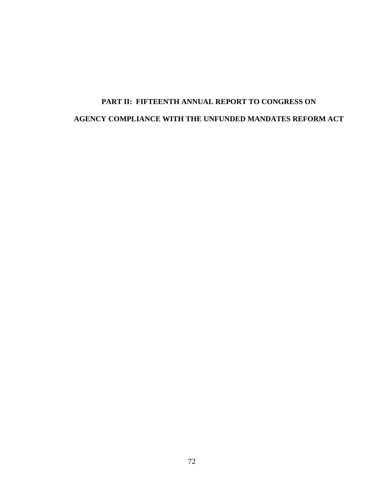# **PART II: FIFTEENTH ANNUAL REPORT TO CONGRESS ON AGENCY COMPLIANCE WITH THE UNFUNDED MANDATES REFORM ACT**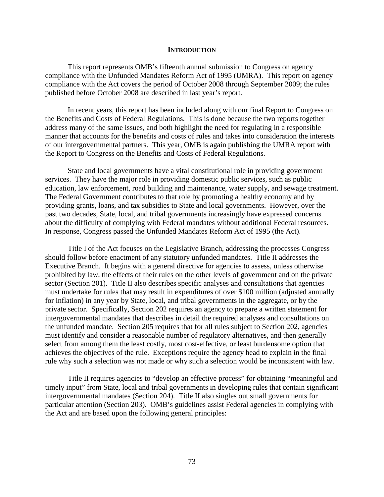#### **INTRODUCTION**

This report represents OMB's fifteenth annual submission to Congress on agency compliance with the Unfunded Mandates Reform Act of 1995 (UMRA). This report on agency compliance with the Act covers the period of October 2008 through September 2009; the rules published before October 2008 are described in last year's report.

 In recent years, this report has been included along with our final Report to Congress on the Benefits and Costs of Federal Regulations. This is done because the two reports together address many of the same issues, and both highlight the need for regulating in a responsible manner that accounts for the benefits and costs of rules and takes into consideration the interests of our intergovernmental partners. This year, OMB is again publishing the UMRA report with the Report to Congress on the Benefits and Costs of Federal Regulations.

 State and local governments have a vital constitutional role in providing government services. They have the major role in providing domestic public services, such as public education, law enforcement, road building and maintenance, water supply, and sewage treatment. The Federal Government contributes to that role by promoting a healthy economy and by providing grants, loans, and tax subsidies to State and local governments. However, over the past two decades, State, local, and tribal governments increasingly have expressed concerns about the difficulty of complying with Federal mandates without additional Federal resources. In response, Congress passed the Unfunded Mandates Reform Act of 1995 (the Act).

Title I of the Act focuses on the Legislative Branch, addressing the processes Congress should follow before enactment of any statutory unfunded mandates. Title II addresses the Executive Branch. It begins with a general directive for agencies to assess, unless otherwise prohibited by law, the effects of their rules on the other levels of government and on the private sector (Section 201). Title II also describes specific analyses and consultations that agencies must undertake for rules that may result in expenditures of over \$100 million (adjusted annually for inflation) in any year by State, local, and tribal governments in the aggregate, or by the private sector. Specifically, Section 202 requires an agency to prepare a written statement for intergovernmental mandates that describes in detail the required analyses and consultations on the unfunded mandate. Section 205 requires that for all rules subject to Section 202, agencies must identify and consider a reasonable number of regulatory alternatives, and then generally select from among them the least costly, most cost-effective, or least burdensome option that achieves the objectives of the rule. Exceptions require the agency head to explain in the final rule why such a selection was not made or why such a selection would be inconsistent with law.

Title II requires agencies to "develop an effective process" for obtaining "meaningful and timely input" from State, local and tribal governments in developing rules that contain significant intergovernmental mandates (Section 204). Title II also singles out small governments for particular attention (Section 203). OMB's guidelines assist Federal agencies in complying with the Act and are based upon the following general principles: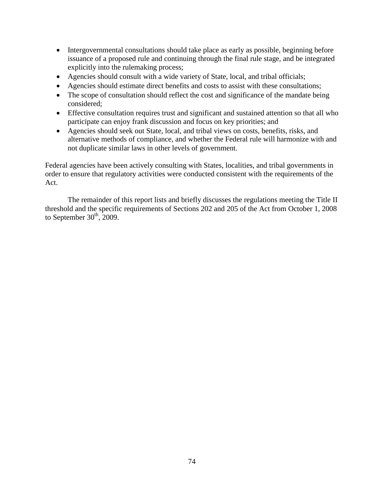- Intergovernmental consultations should take place as early as possible, beginning before issuance of a proposed rule and continuing through the final rule stage, and be integrated explicitly into the rulemaking process;
- Agencies should consult with a wide variety of State, local, and tribal officials;
- Agencies should estimate direct benefits and costs to assist with these consultations;
- The scope of consultation should reflect the cost and significance of the mandate being considered;
- Effective consultation requires trust and significant and sustained attention so that all who participate can enjoy frank discussion and focus on key priorities; and
- Agencies should seek out State, local, and tribal views on costs, benefits, risks, and alternative methods of compliance, and whether the Federal rule will harmonize with and not duplicate similar laws in other levels of government.

Federal agencies have been actively consulting with States, localities, and tribal governments in order to ensure that regulatory activities were conducted consistent with the requirements of the Act.

The remainder of this report lists and briefly discusses the regulations meeting the Title II threshold and the specific requirements of Sections 202 and 205 of the Act from October 1, 2008 to September  $30<sup>th</sup>$ , 2009.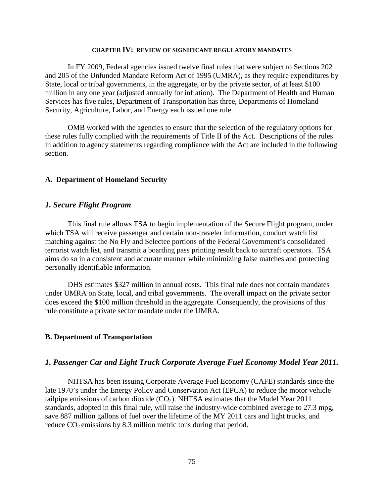#### **CHAPTER IV: REVIEW OF SIGNIFICANT REGULATORY MANDATES**

In FY 2009, Federal agencies issued twelve final rules that were subject to Sections 202 and 205 of the Unfunded Mandate Reform Act of 1995 (UMRA), as they require expenditures by State, local or tribal governments, in the aggregate, or by the private sector, of at least \$100 million in any one year (adjusted annually for inflation). The Department of Health and Human Services has five rules, Department of Transportation has three, Departments of Homeland Security, Agriculture, Labor, and Energy each issued one rule.

OMB worked with the agencies to ensure that the selection of the regulatory options for these rules fully complied with the requirements of Title II of the Act. Descriptions of the rules in addition to agency statements regarding compliance with the Act are included in the following section.

#### **A. Department of Homeland Security**

## *1. Secure Flight Program*

 This final rule allows TSA to begin implementation of the Secure Flight program, under which TSA will receive passenger and certain non-traveler information, conduct watch list matching against the No Fly and Selectee portions of the Federal Government's consolidated terrorist watch list, and transmit a boarding pass printing result back to aircraft operators. TSA aims do so in a consistent and accurate manner while minimizing false matches and protecting personally identifiable information.

DHS estimates \$327 million in annual costs. This final rule does not contain mandates under UMRA on State, local, and tribal governments. The overall impact on the private sector does exceed the \$100 million threshold in the aggregate. Consequently, the provisions of this rule constitute a private sector mandate under the UMRA.

#### **B. Department of Transportation**

## *1. Passenger Car and Light Truck Corporate Average Fuel Economy Model Year 2011.*

NHTSA has been issuing Corporate Average Fuel Economy (CAFE) standards since the late 1970's under the Energy Policy and Conservation Act (EPCA) to reduce the motor vehicle tailpipe emissions of carbon dioxide  $(CO<sub>2</sub>)$ . NHTSA estimates that the Model Year 2011 standards, adopted in this final rule, will raise the industry-wide combined average to 27.3 mpg, save 887 million gallons of fuel over the lifetime of the MY 2011 cars and light trucks, and reduce  $CO<sub>2</sub>$  emissions by 8.3 million metric tons during that period.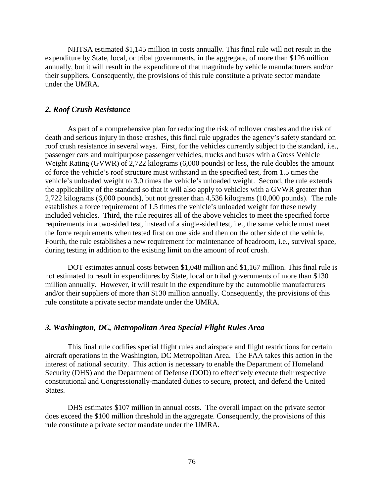NHTSA estimated \$1,145 million in costs annually. This final rule will not result in the expenditure by State, local, or tribal governments, in the aggregate, of more than \$126 million annually, but it will result in the expenditure of that magnitude by vehicle manufacturers and/or their suppliers. Consequently, the provisions of this rule constitute a private sector mandate under the UMRA.

#### *2. Roof Crush Resistance*

As part of a comprehensive plan for reducing the risk of rollover crashes and the risk of death and serious injury in those crashes, this final rule upgrades the agency's safety standard on roof crush resistance in several ways. First, for the vehicles currently subject to the standard, i.e., passenger cars and multipurpose passenger vehicles, trucks and buses with a Gross Vehicle Weight Rating (GVWR) of 2,722 kilograms (6,000 pounds) or less, the rule doubles the amount of force the vehicle's roof structure must withstand in the specified test, from 1.5 times the vehicle's unloaded weight to 3.0 times the vehicle's unloaded weight. Second, the rule extends the applicability of the standard so that it will also apply to vehicles with a GVWR greater than 2,722 kilograms (6,000 pounds), but not greater than 4,536 kilograms (10,000 pounds). The rule establishes a force requirement of 1.5 times the vehicle's unloaded weight for these newly included vehicles. Third, the rule requires all of the above vehicles to meet the specified force requirements in a two-sided test, instead of a single-sided test, i.e., the same vehicle must meet the force requirements when tested first on one side and then on the other side of the vehicle. Fourth, the rule establishes a new requirement for maintenance of headroom, i.e., survival space, during testing in addition to the existing limit on the amount of roof crush.

DOT estimates annual costs between \$1,048 million and \$1,167 million. This final rule is not estimated to result in expenditures by State, local or tribal governments of more than \$130 million annually. However, it will result in the expenditure by the automobile manufacturers and/or their suppliers of more than \$130 million annually. Consequently, the provisions of this rule constitute a private sector mandate under the UMRA.

## *3. Washington, DC, Metropolitan Area Special Flight Rules Area*

This final rule codifies special flight rules and airspace and flight restrictions for certain aircraft operations in the Washington, DC Metropolitan Area. The FAA takes this action in the interest of national security. This action is necessary to enable the Department of Homeland Security (DHS) and the Department of Defense (DOD) to effectively execute their respective constitutional and Congressionally-mandated duties to secure, protect, and defend the United States.

DHS estimates \$107 million in annual costs. The overall impact on the private sector does exceed the \$100 million threshold in the aggregate. Consequently, the provisions of this rule constitute a private sector mandate under the UMRA.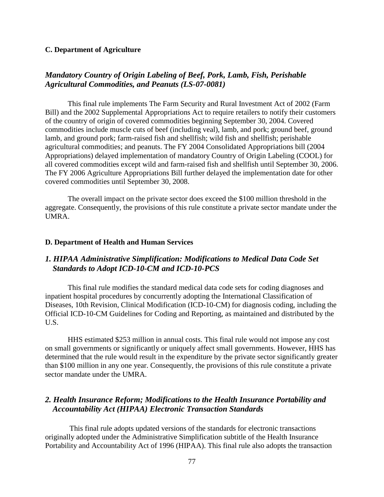#### **C. Department of Agriculture**

# *Mandatory Country of Origin Labeling of Beef, Pork, Lamb, Fish, Perishable Agricultural Commodities, and Peanuts (LS-07-0081)*

This final rule implements The Farm Security and Rural Investment Act of 2002 (Farm Bill) and the 2002 Supplemental Appropriations Act to require retailers to notify their customers of the country of origin of covered commodities beginning September 30, 2004. Covered commodities include muscle cuts of beef (including veal), lamb, and pork; ground beef, ground lamb, and ground pork; farm-raised fish and shellfish; wild fish and shellfish; perishable agricultural commodities; and peanuts. The FY 2004 Consolidated Appropriations bill (2004 Appropriations) delayed implementation of mandatory Country of Origin Labeling (COOL) for all covered commodities except wild and farm-raised fish and shellfish until September 30, 2006. The FY 2006 Agriculture Appropriations Bill further delayed the implementation date for other covered commodities until September 30, 2008.

The overall impact on the private sector does exceed the \$100 million threshold in the aggregate. Consequently, the provisions of this rule constitute a private sector mandate under the UMRA.

#### **D. Department of Health and Human Services**

# *1. HIPAA Administrative Simplification: Modifications to Medical Data Code Set Standards to Adopt ICD-10-CM and ICD-10-PCS*

This final rule modifies the standard medical data code sets for coding diagnoses and inpatient hospital procedures by concurrently adopting the International Classification of Diseases, 10th Revision, Clinical Modification (ICD-10-CM) for diagnosis coding, including the Official ICD-10-CM Guidelines for Coding and Reporting, as maintained and distributed by the U.S.

HHS estimated \$253 million in annual costs. This final rule would not impose any cost on small governments or significantly or uniquely affect small governments. However, HHS has determined that the rule would result in the expenditure by the private sector significantly greater than \$100 million in any one year. Consequently, the provisions of this rule constitute a private sector mandate under the UMRA.

# *2. Health Insurance Reform; Modifications to the Health Insurance Portability and Accountability Act (HIPAA) Electronic Transaction Standards*

 This final rule adopts updated versions of the standards for electronic transactions originally adopted under the Administrative Simplification subtitle of the Health Insurance Portability and Accountability Act of 1996 (HIPAA). This final rule also adopts the transaction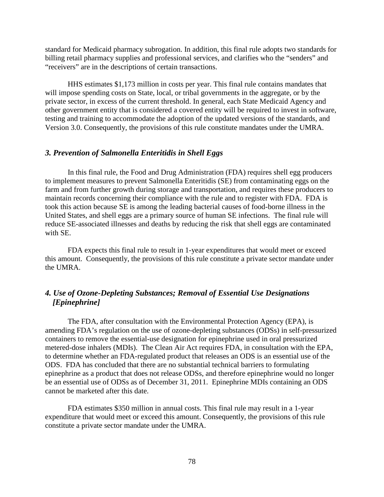standard for Medicaid pharmacy subrogation. In addition, this final rule adopts two standards for billing retail pharmacy supplies and professional services, and clarifies who the "senders" and "receivers" are in the descriptions of certain transactions.

HHS estimates \$1,173 million in costs per year. This final rule contains mandates that will impose spending costs on State, local, or tribal governments in the aggregate, or by the private sector, in excess of the current threshold. In general, each State Medicaid Agency and other government entity that is considered a covered entity will be required to invest in software, testing and training to accommodate the adoption of the updated versions of the standards, and Version 3.0. Consequently, the provisions of this rule constitute mandates under the UMRA.

## *3. Prevention of Salmonella Enteritidis in Shell Eggs*

In this final rule, the Food and Drug Administration (FDA) requires shell egg producers to implement measures to prevent Salmonella Enteritidis (SE) from contaminating eggs on the farm and from further growth during storage and transportation, and requires these producers to maintain records concerning their compliance with the rule and to register with FDA. FDA is took this action because SE is among the leading bacterial causes of food-borne illness in the United States, and shell eggs are a primary source of human SE infections. The final rule will reduce SE-associated illnesses and deaths by reducing the risk that shell eggs are contaminated with SE.

FDA expects this final rule to result in 1-year expenditures that would meet or exceed this amount. Consequently, the provisions of this rule constitute a private sector mandate under the UMRA.

# *4. Use of Ozone-Depleting Substances; Removal of Essential Use Designations [Epinephrine]*

The FDA, after consultation with the Environmental Protection Agency (EPA), is amending FDA's regulation on the use of ozone-depleting substances (ODSs) in self-pressurized containers to remove the essential-use designation for epinephrine used in oral pressurized metered-dose inhalers (MDIs). The Clean Air Act requires FDA, in consultation with the EPA, to determine whether an FDA-regulated product that releases an ODS is an essential use of the ODS. FDA has concluded that there are no substantial technical barriers to formulating epinephrine as a product that does not release ODSs, and therefore epinephrine would no longer be an essential use of ODSs as of December 31, 2011. Epinephrine MDIs containing an ODS cannot be marketed after this date.

FDA estimates \$350 million in annual costs. This final rule may result in a 1-year expenditure that would meet or exceed this amount. Consequently, the provisions of this rule constitute a private sector mandate under the UMRA.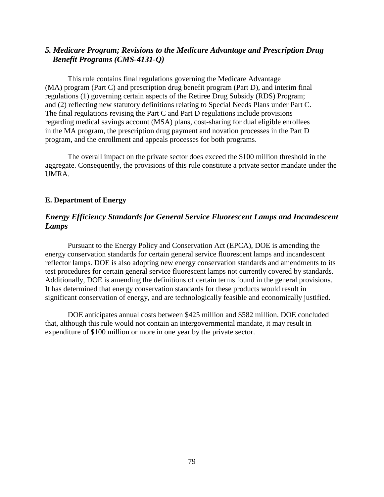# *5. Medicare Program; Revisions to the Medicare Advantage and Prescription Drug Benefit Programs (CMS-4131-Q)*

 This rule contains final regulations governing the Medicare Advantage (MA) program (Part C) and prescription drug benefit program (Part D), and interim final regulations (1) governing certain aspects of the Retiree Drug Subsidy (RDS) Program; and (2) reflecting new statutory definitions relating to Special Needs Plans under Part C. The final regulations revising the Part C and Part D regulations include provisions regarding medical savings account (MSA) plans, cost-sharing for dual eligible enrollees in the MA program, the prescription drug payment and novation processes in the Part D program, and the enrollment and appeals processes for both programs.

The overall impact on the private sector does exceed the \$100 million threshold in the aggregate. Consequently, the provisions of this rule constitute a private sector mandate under the UMRA.

## **E. Department of Energy**

# *Energy Efficiency Standards for General Service Fluorescent Lamps and Incandescent Lamps*

Pursuant to the Energy Policy and Conservation Act (EPCA), DOE is amending the energy conservation standards for certain general service fluorescent lamps and incandescent reflector lamps. DOE is also adopting new energy conservation standards and amendments to its test procedures for certain general service fluorescent lamps not currently covered by standards. Additionally, DOE is amending the definitions of certain terms found in the general provisions. It has determined that energy conservation standards for these products would result in significant conservation of energy, and are technologically feasible and economically justified.

DOE anticipates annual costs between \$425 million and \$582 million. DOE concluded that, although this rule would not contain an intergovernmental mandate, it may result in expenditure of \$100 million or more in one year by the private sector.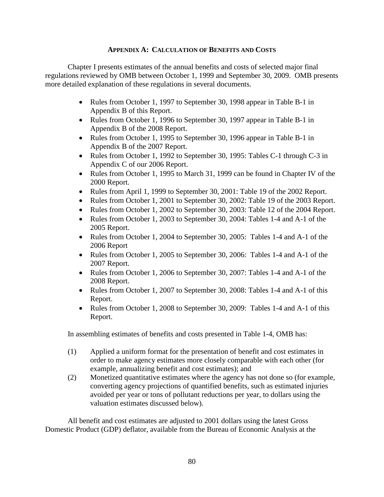## **APPENDIX A: CALCULATION OF BENEFITS AND COSTS**

Chapter I presents estimates of the annual benefits and costs of selected major final regulations reviewed by OMB between October 1, 1999 and September 30, 2009. OMB presents more detailed explanation of these regulations in several documents.

- Rules from October 1, 1997 to September 30, 1998 appear in Table B-1 in Appendix B of this Report.
- Rules from October 1, 1996 to September 30, 1997 appear in Table B-1 in Appendix B of the 2008 Report.
- Rules from October 1, 1995 to September 30, 1996 appear in Table B-1 in Appendix B of the 2007 Report.
- Rules from October 1, 1992 to September 30, 1995: Tables C-1 through C-3 in Appendix C of our 2006 Report.
- Rules from October 1, 1995 to March 31, 1999 can be found in Chapter IV of the 2000 Report.
- Rules from April 1, 1999 to September 30, 2001: Table 19 of the 2002 Report.
- Rules from October 1, 2001 to September 30, 2002: Table 19 of the 2003 Report.
- Rules from October 1, 2002 to September 30, 2003: Table 12 of the 2004 Report.
- Rules from October 1, 2003 to September 30, 2004: Tables 1-4 and A-1 of the 2005 Report.
- Rules from October 1, 2004 to September 30, 2005: Tables 1-4 and A-1 of the 2006 Report
- Rules from October 1, 2005 to September 30, 2006: Tables 1-4 and A-1 of the 2007 Report.
- Rules from October 1, 2006 to September 30, 2007: Tables 1-4 and A-1 of the 2008 Report.
- Rules from October 1, 2007 to September 30, 2008: Tables 1-4 and A-1 of this Report.
- Rules from October 1, 2008 to September 30, 2009: Tables 1-4 and A-1 of this Report.

In assembling estimates of benefits and costs presented in Table 1-4, OMB has:

- (1) Applied a uniform format for the presentation of benefit and cost estimates in order to make agency estimates more closely comparable with each other (for example, annualizing benefit and cost estimates); and
- (2) Monetized quantitative estimates where the agency has not done so (for example, converting agency projections of quantified benefits, such as estimated injuries avoided per year or tons of pollutant reductions per year, to dollars using the valuation estimates discussed below).

All benefit and cost estimates are adjusted to 2001 dollars using the latest Gross Domestic Product (GDP) deflator, available from the Bureau of Economic Analysis at the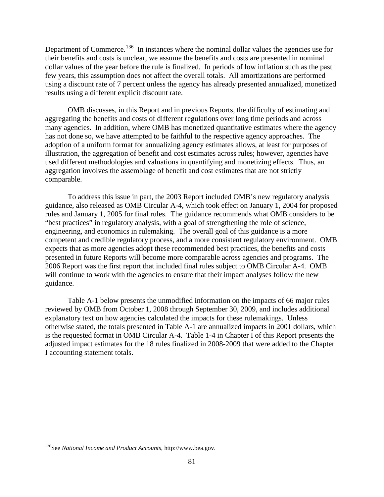Department of Commerce.<sup>[136](#page-81-0)</sup> In instances where the nominal dollar values the agencies use for their benefits and costs is unclear, we assume the benefits and costs are presented in nominal dollar values of the year before the rule is finalized. In periods of low inflation such as the past few years, this assumption does not affect the overall totals. All amortizations are performed using a discount rate of 7 percent unless the agency has already presented annualized, monetized results using a different explicit discount rate.

 OMB discusses, in this Report and in previous Reports, the difficulty of estimating and aggregating the benefits and costs of different regulations over long time periods and across many agencies. In addition, where OMB has monetized quantitative estimates where the agency has not done so, we have attempted to be faithful to the respective agency approaches. The adoption of a uniform format for annualizing agency estimates allows, at least for purposes of illustration, the aggregation of benefit and cost estimates across rules; however, agencies have used different methodologies and valuations in quantifying and monetizing effects. Thus, an aggregation involves the assemblage of benefit and cost estimates that are not strictly comparable.

 To address this issue in part, the 2003 Report included OMB's new regulatory analysis guidance, also released as OMB Circular A-4, which took effect on January 1, 2004 for proposed rules and January 1, 2005 for final rules. The guidance recommends what OMB considers to be "best practices" in regulatory analysis, with a goal of strengthening the role of science, engineering, and economics in rulemaking. The overall goal of this guidance is a more competent and credible regulatory process, and a more consistent regulatory environment. OMB expects that as more agencies adopt these recommended best practices, the benefits and costs presented in future Reports will become more comparable across agencies and programs. The 2006 Report was the first report that included final rules subject to OMB Circular A-4. OMB will continue to work with the agencies to ensure that their impact analyses follow the new guidance.

Table A-1 below presents the unmodified information on the impacts of 66 major rules reviewed by OMB from October 1, 2008 through September 30, 2009, and includes additional explanatory text on how agencies calculated the impacts for these rulemakings. Unless otherwise stated, the totals presented in Table A-1 are annualized impacts in 2001 dollars, which is the requested format in OMB Circular A-4. Table 1-4 in Chapter I of this Report presents the adjusted impact estimates for the 18 rules finalized in 2008-2009 that were added to the Chapter I accounting statement totals.

 $\overline{a}$ 

<span id="page-81-0"></span><sup>136</sup>See *National Income and Product Accounts*, http://www.bea.gov.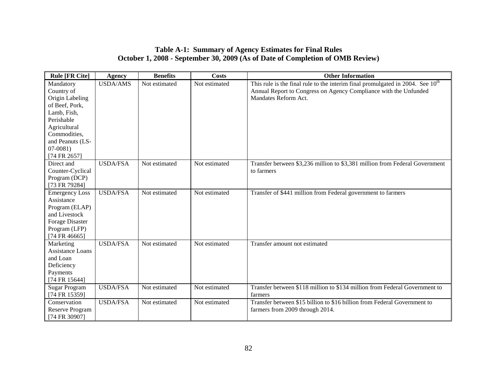## **Table A-1: Summary of Agency Estimates for Final Rules October 1, 2008 - September 30, 2009 (As of Date of Completion of OMB Review)**

| <b>Rule [FR Cite]</b>                                                                                                                                                      | <b>Agency</b>   | <b>Benefits</b> | <b>Costs</b>  | <b>Other Information</b>                                                                                                                                                     |
|----------------------------------------------------------------------------------------------------------------------------------------------------------------------------|-----------------|-----------------|---------------|------------------------------------------------------------------------------------------------------------------------------------------------------------------------------|
| Mandatory<br>Country of<br>Origin Labeling<br>of Beef, Pork,<br>Lamb, Fish,<br>Perishable<br>Agricultural<br>Commodities,<br>and Peanuts (LS-<br>$07-0081$<br>[74 FR 2657] | <b>USDA/AMS</b> | Not estimated   | Not estimated | This rule is the final rule to the interim final promulgated in 2004. See $10th$<br>Annual Report to Congress on Agency Compliance with the Unfunded<br>Mandates Reform Act. |
| Direct and<br>Counter-Cyclical<br>Program (DCP)<br>[73 FR 79284]                                                                                                           | <b>USDA/FSA</b> | Not estimated   | Not estimated | Transfer between \$3,236 million to \$3,381 million from Federal Government<br>to farmers                                                                                    |
| <b>Emergency Loss</b><br>Assistance<br>Program (ELAP)<br>and Livestock<br>Forage Disaster<br>Program (LFP)<br>[74 FR 46665]                                                | <b>USDA/FSA</b> | Not estimated   | Not estimated | Transfer of \$441 million from Federal government to farmers                                                                                                                 |
| Marketing<br><b>Assistance Loans</b><br>and Loan<br>Deficiency<br>Payments<br>[74 FR 15644]                                                                                | <b>USDA/FSA</b> | Not estimated   | Not estimated | Transfer amount not estimated                                                                                                                                                |
| <b>Sugar Program</b><br>[74 FR 15359]                                                                                                                                      | <b>USDA/FSA</b> | Not estimated   | Not estimated | Transfer between \$118 million to \$134 million from Federal Government to<br>farmers                                                                                        |
| Conservation<br>Reserve Program<br>[74 FR 30907]                                                                                                                           | <b>USDA/FSA</b> | Not estimated   | Not estimated | Transfer between \$15 billion to \$16 billion from Federal Government to<br>farmers from 2009 through 2014.                                                                  |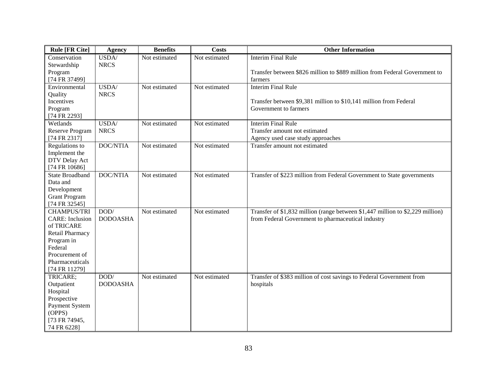| <b>Rule [FR Cite]</b>             | <b>Agency</b>   | <b>Benefits</b> | <b>Costs</b>  | <b>Other Information</b>                                                          |
|-----------------------------------|-----------------|-----------------|---------------|-----------------------------------------------------------------------------------|
| Conservation                      | USDA/           | Not estimated   | Not estimated | <b>Interim Final Rule</b>                                                         |
| Stewardship                       | <b>NRCS</b>     |                 |               |                                                                                   |
| Program                           |                 |                 |               | Transfer between \$826 million to \$889 million from Federal Government to        |
| [74 FR 37499]                     |                 |                 |               | farmers                                                                           |
| Environmental                     | USDA/           | Not estimated   | Not estimated | <b>Interim Final Rule</b>                                                         |
| Quality                           | <b>NRCS</b>     |                 |               |                                                                                   |
| Incentives                        |                 |                 |               | Transfer between \$9,381 million to \$10,141 million from Federal                 |
| Program                           |                 |                 |               | Government to farmers                                                             |
| [74 FR 2293]                      |                 |                 |               |                                                                                   |
| Wetlands                          | USDA/           | Not estimated   | Not estimated | <b>Interim Final Rule</b>                                                         |
| <b>Reserve Program</b>            | <b>NRCS</b>     |                 |               | Transfer amount not estimated                                                     |
| [74 FR 2317]                      |                 |                 |               | Agency used case study approaches                                                 |
| Regulations to                    | <b>DOC/NTIA</b> | Not estimated   | Not estimated | Transfer amount not estimated                                                     |
| Implement the                     |                 |                 |               |                                                                                   |
| DTV Delay Act                     |                 |                 |               |                                                                                   |
| [74 FR 10686]                     |                 |                 |               |                                                                                   |
| <b>State Broadband</b>            | <b>DOC/NTIA</b> | Not estimated   | Not estimated | Transfer of \$223 million from Federal Government to State governments            |
| Data and                          |                 |                 |               |                                                                                   |
| Development                       |                 |                 |               |                                                                                   |
| <b>Grant Program</b>              |                 |                 |               |                                                                                   |
| [74 FR 32545]                     |                 |                 |               |                                                                                   |
| <b>CHAMPUS/TRI</b>                | DOD/            | Not estimated   | Not estimated | Transfer of \$1,832 million (range between \$1,447 million to \$2,229 million)    |
| <b>CARE:</b> Inclusion            | <b>DODOASHA</b> |                 |               | from Federal Government to pharmaceutical industry                                |
| of TRICARE                        |                 |                 |               |                                                                                   |
| Retail Pharmacy                   |                 |                 |               |                                                                                   |
| Program in                        |                 |                 |               |                                                                                   |
| Federal                           |                 |                 |               |                                                                                   |
| Procurement of<br>Pharmaceuticals |                 |                 |               |                                                                                   |
| [74 FR 11279]                     |                 |                 |               |                                                                                   |
| TRICARE;                          | DOD/            | Not estimated   | Not estimated |                                                                                   |
| Outpatient                        | <b>DODOASHA</b> |                 |               | Transfer of \$383 million of cost savings to Federal Government from<br>hospitals |
| Hospital                          |                 |                 |               |                                                                                   |
| Prospective                       |                 |                 |               |                                                                                   |
| Payment System                    |                 |                 |               |                                                                                   |
| (OPPS)                            |                 |                 |               |                                                                                   |
| [73 FR 74945,                     |                 |                 |               |                                                                                   |
| 74 FR 6228]                       |                 |                 |               |                                                                                   |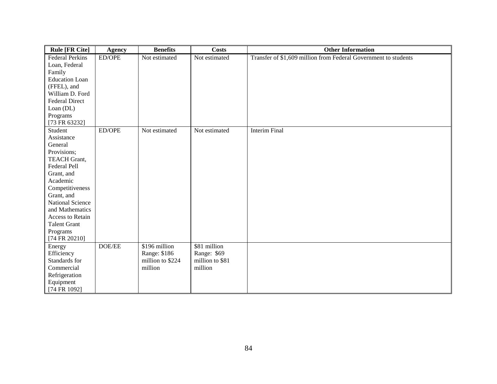| <b>Rule [FR Cite]</b>   | <b>Agency</b> | <b>Benefits</b>  | <b>Costs</b>    | <b>Other Information</b>                                        |
|-------------------------|---------------|------------------|-----------------|-----------------------------------------------------------------|
| <b>Federal Perkins</b>  | ED/OPE        | Not estimated    | Not estimated   | Transfer of \$1,609 million from Federal Government to students |
| Loan, Federal           |               |                  |                 |                                                                 |
| Family                  |               |                  |                 |                                                                 |
| <b>Education Loan</b>   |               |                  |                 |                                                                 |
| (FFEL), and             |               |                  |                 |                                                                 |
| William D. Ford         |               |                  |                 |                                                                 |
| <b>Federal Direct</b>   |               |                  |                 |                                                                 |
| Loan (DL)               |               |                  |                 |                                                                 |
| Programs                |               |                  |                 |                                                                 |
| [73 FR 63232]           |               |                  |                 |                                                                 |
| Student                 | ED/OPE        | Not estimated    | Not estimated   | <b>Interim Final</b>                                            |
| Assistance              |               |                  |                 |                                                                 |
| General                 |               |                  |                 |                                                                 |
| Provisions;             |               |                  |                 |                                                                 |
| <b>TEACH Grant,</b>     |               |                  |                 |                                                                 |
| Federal Pell            |               |                  |                 |                                                                 |
| Grant, and              |               |                  |                 |                                                                 |
| Academic                |               |                  |                 |                                                                 |
| Competitiveness         |               |                  |                 |                                                                 |
| Grant, and              |               |                  |                 |                                                                 |
| <b>National Science</b> |               |                  |                 |                                                                 |
| and Mathematics         |               |                  |                 |                                                                 |
| Access to Retain        |               |                  |                 |                                                                 |
| <b>Talent Grant</b>     |               |                  |                 |                                                                 |
| Programs                |               |                  |                 |                                                                 |
| [74 FR 20210]           |               |                  |                 |                                                                 |
| Energy                  | DOE/EE        | \$196 million    | \$81 million    |                                                                 |
| Efficiency              |               | Range: \$186     | Range: \$69     |                                                                 |
| Standards for           |               | million to \$224 | million to \$81 |                                                                 |
| Commercial              |               | million          | million         |                                                                 |
| Refrigeration           |               |                  |                 |                                                                 |
| Equipment               |               |                  |                 |                                                                 |
| [74 FR 1092]            |               |                  |                 |                                                                 |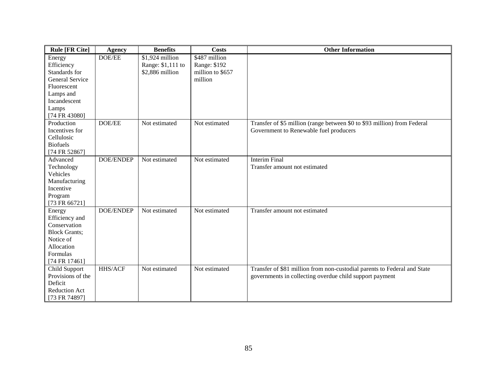| <b>Rule [FR Cite]</b>                                                                                                    | <b>Agency</b>    | <b>Benefits</b>                                         | <b>Costs</b>                                                 | <b>Other Information</b>                                                                                                            |
|--------------------------------------------------------------------------------------------------------------------------|------------------|---------------------------------------------------------|--------------------------------------------------------------|-------------------------------------------------------------------------------------------------------------------------------------|
| Energy<br>Efficiency<br>Standards for<br><b>General Service</b><br>Fluorescent<br>Lamps and<br>Incandescent<br>Lamps     | DOE/EE           | \$1,924 million<br>Range: \$1,111 to<br>\$2,886 million | \$487 million<br>Range: \$192<br>million to \$657<br>million |                                                                                                                                     |
| [74 FR 43080]<br>Production<br>Incentives for<br>Cellulosic<br><b>Biofuels</b><br>[74 FR 52867]                          | DOE/EE           | Not estimated                                           | Not estimated                                                | Transfer of \$5 million (range between \$0 to \$93 million) from Federal<br>Government to Renewable fuel producers                  |
| Advanced<br>Technology<br>Vehicles<br>Manufacturing<br>Incentive<br>Program<br>[73 FR 66721]                             | <b>DOE/ENDEP</b> | Not estimated                                           | Not estimated                                                | <b>Interim Final</b><br>Transfer amount not estimated                                                                               |
| Energy<br>Efficiency and<br>Conservation<br><b>Block Grants;</b><br>Notice of<br>Allocation<br>Formulas<br>[74 FR 17461] | <b>DOE/ENDEP</b> | Not estimated                                           | Not estimated                                                | Transfer amount not estimated                                                                                                       |
| Child Support<br>Provisions of the<br>Deficit<br><b>Reduction Act</b><br>[73 FR 74897]                                   | HHS/ACF          | Not estimated                                           | Not estimated                                                | Transfer of \$81 million from non-custodial parents to Federal and State<br>governments in collecting overdue child support payment |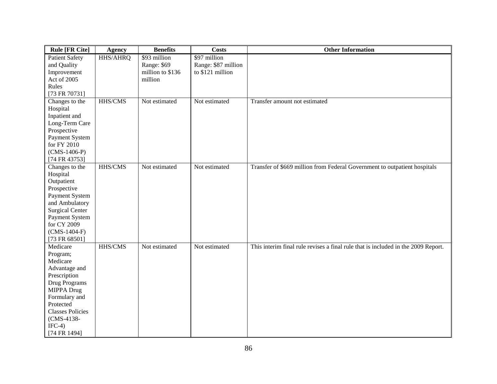| <b>Rule [FR Cite]</b>   | <b>Agency</b> | <b>Benefits</b>  | <b>Costs</b>        | <b>Other Information</b>                                                          |
|-------------------------|---------------|------------------|---------------------|-----------------------------------------------------------------------------------|
| <b>Patient Safety</b>   | HHS/AHRQ      | \$93 million     | \$97 million        |                                                                                   |
| and Quality             |               | Range: \$69      | Range: \$87 million |                                                                                   |
| Improvement             |               | million to \$136 | to \$121 million    |                                                                                   |
| Act of 2005             |               | million          |                     |                                                                                   |
| Rules                   |               |                  |                     |                                                                                   |
| [73 FR 70731]           |               |                  |                     |                                                                                   |
| Changes to the          | HHS/CMS       | Not estimated    | Not estimated       | Transfer amount not estimated                                                     |
| Hospital                |               |                  |                     |                                                                                   |
| Inpatient and           |               |                  |                     |                                                                                   |
| Long-Term Care          |               |                  |                     |                                                                                   |
| Prospective             |               |                  |                     |                                                                                   |
| Payment System          |               |                  |                     |                                                                                   |
| for FY 2010             |               |                  |                     |                                                                                   |
| $(CMS-1406-P)$          |               |                  |                     |                                                                                   |
| [74 FR 43753]           |               |                  |                     |                                                                                   |
| Changes to the          | HHS/CMS       | Not estimated    | Not estimated       | Transfer of \$669 million from Federal Government to outpatient hospitals         |
| Hospital                |               |                  |                     |                                                                                   |
| Outpatient              |               |                  |                     |                                                                                   |
| Prospective             |               |                  |                     |                                                                                   |
| Payment System          |               |                  |                     |                                                                                   |
| and Ambulatory          |               |                  |                     |                                                                                   |
| <b>Surgical Center</b>  |               |                  |                     |                                                                                   |
| Payment System          |               |                  |                     |                                                                                   |
| for CY 2009             |               |                  |                     |                                                                                   |
| $(CMS-1404-F)$          |               |                  |                     |                                                                                   |
| [73 FR 68501]           |               |                  |                     |                                                                                   |
| Medicare                | HHS/CMS       | Not estimated    | Not estimated       | This interim final rule revises a final rule that is included in the 2009 Report. |
| Program;                |               |                  |                     |                                                                                   |
| Medicare                |               |                  |                     |                                                                                   |
| Advantage and           |               |                  |                     |                                                                                   |
| Prescription            |               |                  |                     |                                                                                   |
| Drug Programs           |               |                  |                     |                                                                                   |
| MIPPA Drug              |               |                  |                     |                                                                                   |
| Formulary and           |               |                  |                     |                                                                                   |
| Protected               |               |                  |                     |                                                                                   |
| <b>Classes Policies</b> |               |                  |                     |                                                                                   |
| (CMS-4138-              |               |                  |                     |                                                                                   |
| $IFC-4)$                |               |                  |                     |                                                                                   |
| [74 FR 1494]            |               |                  |                     |                                                                                   |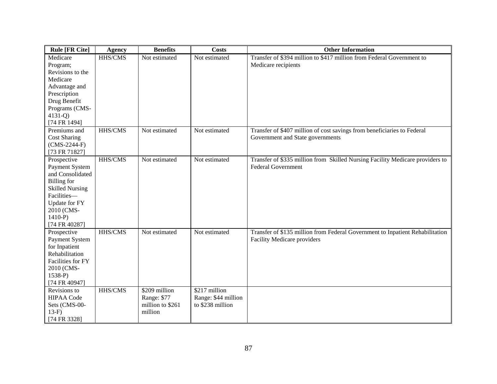| <b>Rule [FR Cite]</b>                                                                                                                                                               | <b>Agency</b>  | <b>Benefits</b>                                             | <b>Costs</b>                                              | <b>Other Information</b>                                                                                     |
|-------------------------------------------------------------------------------------------------------------------------------------------------------------------------------------|----------------|-------------------------------------------------------------|-----------------------------------------------------------|--------------------------------------------------------------------------------------------------------------|
| Medicare<br>Program;<br>Revisions to the<br>Medicare<br>Advantage and<br>Prescription<br>Drug Benefit<br>Programs (CMS-<br>$4131 - Q$ )<br>[74 FR 1494]                             | HHS/CMS        | Not estimated                                               | Not estimated                                             | Transfer of \$394 million to \$417 million from Federal Government to<br>Medicare recipients                 |
| Premiums and<br><b>Cost Sharing</b><br>$(CMS-2244-F)$<br>[73 FR 71827]                                                                                                              | HHS/CMS        | Not estimated                                               | Not estimated                                             | Transfer of \$407 million of cost savings from beneficiaries to Federal<br>Government and State governments  |
| Prospective<br>Payment System<br>and Consolidated<br><b>Billing</b> for<br><b>Skilled Nursing</b><br>Facilities-<br><b>Update for FY</b><br>2010 (CMS-<br>$1410-P$<br>[74 FR 40287] | <b>HHS/CMS</b> | Not estimated                                               | Not estimated                                             | Transfer of \$335 million from Skilled Nursing Facility Medicare providers to<br><b>Federal Government</b>   |
| Prospective<br>Payment System<br>for Inpatient<br>Rehabilitation<br>Facilities for FY<br>2010 (CMS-<br>$1538-P$<br>[74 FR 40947]                                                    | HHS/CMS        | Not estimated                                               | Not estimated                                             | Transfer of \$135 million from Federal Government to Inpatient Rehabilitation<br>Facility Medicare providers |
| Revisions to<br><b>HIPAA Code</b><br>Sets (CMS-00-<br>$13-F$<br>[74 FR 3328]                                                                                                        | HHS/CMS        | \$209 million<br>Range: \$77<br>million to \$261<br>million | $$217$ million<br>Range: \$44 million<br>to \$238 million |                                                                                                              |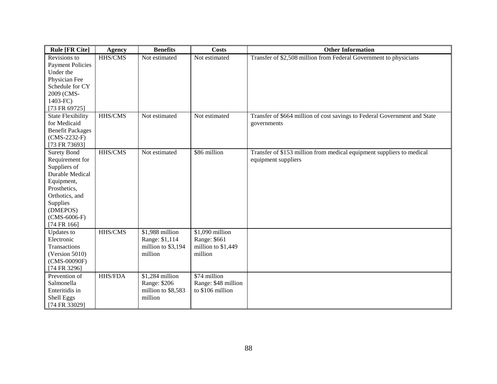| <b>Rule [FR Cite]</b>    | <b>Agency</b>  | <b>Benefits</b>    | <b>Costs</b>        | <b>Other Information</b>                                                  |
|--------------------------|----------------|--------------------|---------------------|---------------------------------------------------------------------------|
| Revisions to             | HHS/CMS        | Not estimated      | Not estimated       | Transfer of \$2,508 million from Federal Government to physicians         |
| <b>Payment Policies</b>  |                |                    |                     |                                                                           |
| Under the                |                |                    |                     |                                                                           |
| Physician Fee            |                |                    |                     |                                                                           |
| Schedule for CY          |                |                    |                     |                                                                           |
| 2009 (CMS-               |                |                    |                     |                                                                           |
| 1403-FC)                 |                |                    |                     |                                                                           |
| [73 FR 69725]            |                |                    |                     |                                                                           |
| <b>State Flexibility</b> | <b>HHS/CMS</b> | Not estimated      | Not estimated       | Transfer of \$664 million of cost savings to Federal Government and State |
| for Medicaid             |                |                    |                     | governments                                                               |
| <b>Benefit Packages</b>  |                |                    |                     |                                                                           |
| $(CMS-2232-F)$           |                |                    |                     |                                                                           |
| [73 FR 73693]            |                |                    |                     |                                                                           |
| <b>Surety Bond</b>       | HHS/CMS        | Not estimated      | \$86 million        | Transfer of \$153 million from medical equipment suppliers to medical     |
| Requirement for          |                |                    |                     | equipment suppliers                                                       |
| Suppliers of             |                |                    |                     |                                                                           |
| Durable Medical          |                |                    |                     |                                                                           |
| Equipment,               |                |                    |                     |                                                                           |
| Prosthetics,             |                |                    |                     |                                                                           |
| Orthotics, and           |                |                    |                     |                                                                           |
| Supplies                 |                |                    |                     |                                                                           |
| (DMEPOS)                 |                |                    |                     |                                                                           |
| $(CMS-6006-F)$           |                |                    |                     |                                                                           |
| [74 FR 166]              |                |                    |                     |                                                                           |
| Updates to               | <b>HHS/CMS</b> | \$1,988 million    | $$1,090$ million    |                                                                           |
| Electronic               |                | Range: \$1,114     | Range: \$661        |                                                                           |
| Transactions             |                | million to \$3,194 | million to \$1,449  |                                                                           |
| (Version 5010)           |                | million            | million             |                                                                           |
| (CMS-00090F)             |                |                    |                     |                                                                           |
| [74 FR 3296]             |                |                    |                     |                                                                           |
| Prevention of            | <b>HHS/FDA</b> | \$1,284 million    | \$74 million        |                                                                           |
| Salmonella               |                | Range: \$206       | Range: \$48 million |                                                                           |
| Enteritidis in           |                | million to \$8,583 | to \$106 million    |                                                                           |
| Shell Eggs               |                | million            |                     |                                                                           |
| [74 FR 33029]            |                |                    |                     |                                                                           |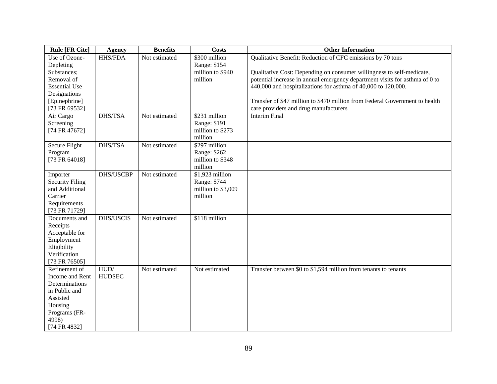| <b>Rule [FR Cite]</b>                                                                                                                                                        | Agency                        | <b>Benefits</b>                | <b>Costs</b>                                                                                                      | <b>Other Information</b>                                                                                                                                                                                                                                                                                                                                                                                                            |
|------------------------------------------------------------------------------------------------------------------------------------------------------------------------------|-------------------------------|--------------------------------|-------------------------------------------------------------------------------------------------------------------|-------------------------------------------------------------------------------------------------------------------------------------------------------------------------------------------------------------------------------------------------------------------------------------------------------------------------------------------------------------------------------------------------------------------------------------|
| Use of Ozone-<br>Depleting<br>Substances;<br>Removal of<br><b>Essential Use</b><br>Designations<br>[Epinephrine]<br>[73 FR 69532]<br>Air Cargo<br>Screening<br>[74 FR 47672] | <b>HHS/FDA</b><br>DHS/TSA     | Not estimated<br>Not estimated | \$300 million<br>Range: \$154<br>million to \$940<br>million<br>\$231 million<br>Range: \$191<br>million to \$273 | Qualitative Benefit: Reduction of CFC emissions by 70 tons<br>Qualitative Cost: Depending on consumer willingness to self-medicate,<br>potential increase in annual emergency department visits for asthma of 0 to<br>440,000 and hospitalizations for asthma of 40,000 to 120,000.<br>Transfer of \$47 million to \$470 million from Federal Government to health<br>care providers and drug manufacturers<br><b>Interim Final</b> |
|                                                                                                                                                                              |                               |                                | million                                                                                                           |                                                                                                                                                                                                                                                                                                                                                                                                                                     |
| Secure Flight<br>Program<br>[73 FR 64018]                                                                                                                                    | DHS/TSA                       | Not estimated                  | \$297 million<br>Range: \$262<br>million to \$348<br>million                                                      |                                                                                                                                                                                                                                                                                                                                                                                                                                     |
| Importer<br><b>Security Filing</b><br>and Additional<br>Carrier<br>Requirements<br>[73 FR 71729]                                                                             | DHS/USCBP                     | Not estimated                  | $$1,923$ million<br>Range: \$744<br>million to \$3,009<br>million                                                 |                                                                                                                                                                                                                                                                                                                                                                                                                                     |
| Documents and<br>Receipts<br>Acceptable for<br>Employment<br>Eligibility<br>Verification<br>[73 FR 76505]                                                                    | <b>DHS/USCIS</b>              | Not estimated                  | \$118 million                                                                                                     |                                                                                                                                                                                                                                                                                                                                                                                                                                     |
| Refinement of<br>Income and Rent<br>Determinations<br>in Public and<br>Assisted<br>Housing<br>Programs (FR-<br>4998)<br>[74 FR 4832]                                         | ${\rm HUD}/$<br><b>HUDSEC</b> | Not estimated                  | Not estimated                                                                                                     | Transfer between \$0 to \$1,594 million from tenants to tenants                                                                                                                                                                                                                                                                                                                                                                     |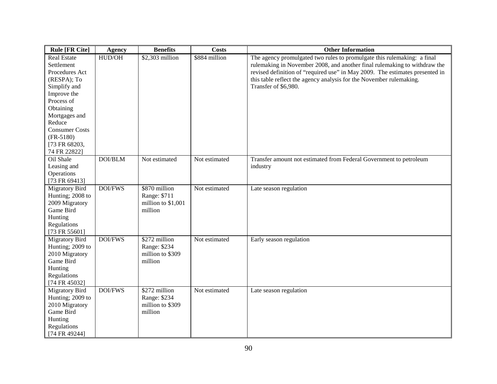| <b>Rule [FR Cite]</b>                                                                                                                                                                                                           | <b>Agency</b>  | <b>Benefits</b>                                                | <b>Costs</b>  | <b>Other Information</b>                                                                                                                                                                                                                                                                                                            |
|---------------------------------------------------------------------------------------------------------------------------------------------------------------------------------------------------------------------------------|----------------|----------------------------------------------------------------|---------------|-------------------------------------------------------------------------------------------------------------------------------------------------------------------------------------------------------------------------------------------------------------------------------------------------------------------------------------|
| <b>Real Estate</b><br>Settlement<br>Procedures Act<br>(RESPA); To<br>Simplify and<br>Improve the<br>Process of<br>Obtaining<br>Mortgages and<br>Reduce<br><b>Consumer Costs</b><br>$(FR-5180)$<br>[73 FR 68203,<br>74 FR 22822] | HUD/OH         | \$2,303 million                                                | \$884 million | The agency promulgated two rules to promulgate this rulemaking: a final<br>rulemaking in November 2008, and another final rulemaking to withdraw the<br>revised definition of "required use" in May 2009. The estimates presented in<br>this table reflect the agency analysis for the November rulemaking.<br>Transfer of \$6,980. |
| Oil Shale<br>Leasing and<br>Operations<br>[73 FR 69413]                                                                                                                                                                         | <b>DOI/BLM</b> | Not estimated                                                  | Not estimated | Transfer amount not estimated from Federal Government to petroleum<br>industry                                                                                                                                                                                                                                                      |
| <b>Migratory Bird</b><br>Hunting; 2008 to<br>2009 Migratory<br>Game Bird<br>Hunting<br>Regulations<br>[73 FR 55601]                                                                                                             | <b>DOI/FWS</b> | \$870 million<br>Range: \$711<br>million to \$1,001<br>million | Not estimated | Late season regulation                                                                                                                                                                                                                                                                                                              |
| <b>Migratory Bird</b><br>Hunting; 2009 to<br>2010 Migratory<br>Game Bird<br>Hunting<br>Regulations<br>[74 FR 45032]                                                                                                             | <b>DOI/FWS</b> | \$272 million<br>Range: \$234<br>million to \$309<br>million   | Not estimated | Early season regulation                                                                                                                                                                                                                                                                                                             |
| <b>Migratory Bird</b><br>Hunting; 2009 to<br>2010 Migratory<br>Game Bird<br>Hunting<br>Regulations<br>[74 FR 49244]                                                                                                             | <b>DOI/FWS</b> | \$272 million<br>Range: \$234<br>million to \$309<br>million   | Not estimated | Late season regulation                                                                                                                                                                                                                                                                                                              |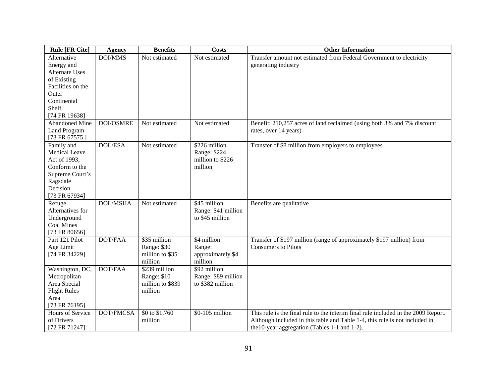| <b>Rule [FR Cite]</b>                                                                                                            | <b>Agency</b>    | <b>Benefits</b>                                             | <b>Costs</b>                                                 | <b>Other Information</b>                                                                                                                                                                                           |
|----------------------------------------------------------------------------------------------------------------------------------|------------------|-------------------------------------------------------------|--------------------------------------------------------------|--------------------------------------------------------------------------------------------------------------------------------------------------------------------------------------------------------------------|
| Alternative<br>Energy and<br><b>Alternate Uses</b><br>of Existing                                                                | DOI/MMS          | Not estimated                                               | Not estimated                                                | Transfer amount not estimated from Federal Government to electricity<br>generating industry                                                                                                                        |
| Facilities on the<br>Outer<br>Continental<br>Shelf                                                                               |                  |                                                             |                                                              |                                                                                                                                                                                                                    |
| [74 FR 19638]                                                                                                                    |                  |                                                             |                                                              |                                                                                                                                                                                                                    |
| Abandoned Mine<br>Land Program<br>[73 FR 67575]                                                                                  | <b>DOI/OSMRE</b> | Not estimated                                               | Not estimated                                                | Benefit: 210,257 acres of land reclaimed (using both 3% and 7% discount<br>rates, over 14 years)                                                                                                                   |
| Family and<br><b>Medical Leave</b><br>Act of 1993;<br>Conform to the<br>Supreme Court's<br>Ragsdale<br>Decision<br>[73 FR 67934] | <b>DOL/ESA</b>   | Not estimated                                               | \$226 million<br>Range: \$224<br>million to \$226<br>million | Transfer of \$8 million from employers to employees                                                                                                                                                                |
| Refuge<br>Alternatives for<br>Underground<br><b>Coal Mines</b><br>[73 FR 80656]                                                  | <b>DOL/MSHA</b>  | Not estimated                                               | \$45 million<br>Range: \$41 million<br>to \$45 million       | Benefits are qualitative                                                                                                                                                                                           |
| Part 121 Pilot<br>Age Limit<br>[74 FR 34229]                                                                                     | <b>DOT/FAA</b>   | \$35 million<br>Range: \$30<br>million to \$35<br>million   | \$4 million<br>Range:<br>approximately \$4<br>million        | Transfer of \$197 million (range of approximately \$197 million) from<br><b>Consumers to Pilots</b>                                                                                                                |
| Washington, DC,<br>Metropolitan<br>Area Special<br><b>Flight Rules</b><br>Area<br>[73 FR 76195]                                  | <b>DOT/FAA</b>   | \$239 million<br>Range: \$10<br>million to \$839<br>million | \$92 million<br>Range: \$89 million<br>to \$382 million      |                                                                                                                                                                                                                    |
| Hours of Service<br>of Drivers<br>[72 FR 71247]                                                                                  | DOT/FMCSA        | \$0 to \$1,760<br>million                                   | \$0-105 million                                              | This rule is the final rule to the interim final rule included in the 2009 Report.<br>Although included in this table and Table 1-4, this rule is not included in<br>the 10-year aggregation (Tables 1-1 and 1-2). |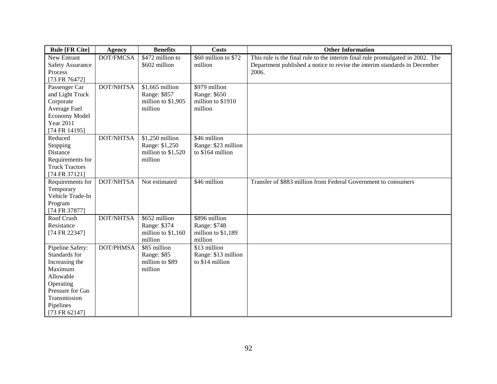| <b>Rule [FR Cite]</b>                                                                                                                                      | <b>Agency</b>    | <b>Benefits</b>                                                    | <b>Costs</b>                                                   | <b>Other Information</b>                                                                                                                                             |
|------------------------------------------------------------------------------------------------------------------------------------------------------------|------------------|--------------------------------------------------------------------|----------------------------------------------------------------|----------------------------------------------------------------------------------------------------------------------------------------------------------------------|
| New Entrant<br><b>Safety Assurance</b><br>Process                                                                                                          | DOT/FMCSA        | \$472 million to<br>\$602 million                                  | \$60 million to \$72<br>million                                | This rule is the final rule to the interim final rule promulgated in 2002. The<br>Department published a notice to revise the interim standards in December<br>2006. |
| [73 FR 76472]                                                                                                                                              |                  |                                                                    |                                                                |                                                                                                                                                                      |
| Passenger Car<br>and Light Truck<br>Corporate<br>Average Fuel<br>Economy Model<br><b>Year 2011</b><br>[74 FR 14195]                                        | <b>DOT/NHTSA</b> | \$1,665 million<br>Range: \$857<br>million to \$1,905<br>million   | \$979 million<br>Range: \$650<br>million to \$1910<br>million  |                                                                                                                                                                      |
| Reduced<br>Stopping<br>Distance<br>Requirements for<br><b>Truck Tractors</b><br>[74 FR 37121]                                                              | <b>DOT/NHTSA</b> | \$1,250 million<br>Range: \$1,250<br>million to \$1,520<br>million | \$46 million<br>Range: \$23 million<br>to \$164 million        |                                                                                                                                                                      |
| Requirements for<br>Temporary<br>Vehicle Trade-In<br>Program<br>[74 FR 37877]                                                                              | DOT/NHTSA        | Not estimated                                                      | \$46 million                                                   | Transfer of \$883 million from Federal Government to consumers                                                                                                       |
| Roof Crush<br>Resistance<br>[74 FR 22347]                                                                                                                  | <b>DOT/NHTSA</b> | \$652 million<br>Range: \$374<br>million to \$1,160<br>million     | \$896 million<br>Range: \$748<br>million to \$1,189<br>million |                                                                                                                                                                      |
| Pipeline Safety:<br>Standards for<br>Increasing the<br>Maximum<br>Allowable<br>Operating<br>Pressure for Gas<br>Transmission<br>Pipelines<br>[73 FR 62147] | DOT/PHMSA        | \$85 million<br>Range: \$85<br>million to \$89<br>million          | \$13 million<br>Range: \$13 million<br>to \$14 million         |                                                                                                                                                                      |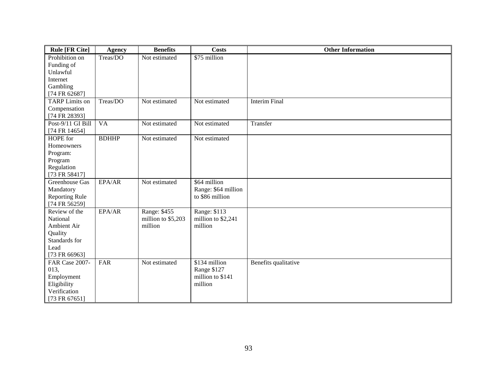| <b>Rule [FR Cite]</b> | <b>Agency</b>   | <b>Benefits</b>    | <b>Costs</b>        | <b>Other Information</b> |
|-----------------------|-----------------|--------------------|---------------------|--------------------------|
| Prohibition on        | Treas/DO        | Not estimated      | \$75 million        |                          |
| Funding of            |                 |                    |                     |                          |
| Unlawful              |                 |                    |                     |                          |
| Internet              |                 |                    |                     |                          |
| Gambling              |                 |                    |                     |                          |
| [74 FR 62687]         |                 |                    |                     |                          |
| <b>TARP</b> Limits on | Treas/DO        | Not estimated      | Not estimated       | <b>Interim Final</b>     |
| Compensation          |                 |                    |                     |                          |
| [74 FR 28393]         |                 |                    |                     |                          |
| Post-9/11 GI Bill     | $\overline{VA}$ | Not estimated      | Not estimated       | Transfer                 |
| [74 FR 14654]         |                 |                    |                     |                          |
| HOPE for              | <b>BDHHP</b>    | Not estimated      | Not estimated       |                          |
| Homeowners            |                 |                    |                     |                          |
| Program:              |                 |                    |                     |                          |
| Program               |                 |                    |                     |                          |
| Regulation            |                 |                    |                     |                          |
| [73 FR 58417]         |                 |                    |                     |                          |
| Greenhouse Gas        | EPA/AR          | Not estimated      | \$64 million        |                          |
| Mandatory             |                 |                    | Range: \$64 million |                          |
| <b>Reporting Rule</b> |                 |                    | to \$86 million     |                          |
| [74 FR 56259]         |                 |                    |                     |                          |
| Review of the         | EPA/AR          | Range: \$455       | Range: \$113        |                          |
| National              |                 | million to \$5,203 | million to \$2,241  |                          |
| Ambient Air           |                 | million            | million             |                          |
| Quality               |                 |                    |                     |                          |
| Standards for         |                 |                    |                     |                          |
| Lead                  |                 |                    |                     |                          |
| [73 FR 66963]         |                 |                    |                     |                          |
| FAR Case 2007-        | FAR             | Not estimated      | \$134 million       | Benefits qualitative     |
| 013,                  |                 |                    | Range \$127         |                          |
| Employment            |                 |                    | million to \$141    |                          |
| Eligibility           |                 |                    | million             |                          |
| Verification          |                 |                    |                     |                          |
| [73 FR 67651]         |                 |                    |                     |                          |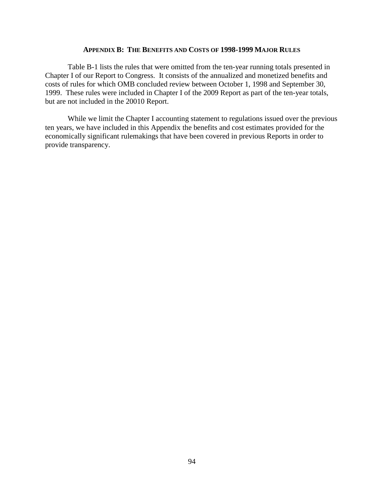#### **APPENDIX B: THE BENEFITS AND COSTS OF 1998-1999 MAJOR RULES**

Table B-1 lists the rules that were omitted from the ten-year running totals presented in Chapter I of our Report to Congress. It consists of the annualized and monetized benefits and costs of rules for which OMB concluded review between October 1, 1998 and September 30, 1999. These rules were included in Chapter I of the 2009 Report as part of the ten-year totals, but are not included in the 20010 Report.

While we limit the Chapter I accounting statement to regulations issued over the previous ten years, we have included in this Appendix the benefits and cost estimates provided for the economically significant rulemakings that have been covered in previous Reports in order to provide transparency.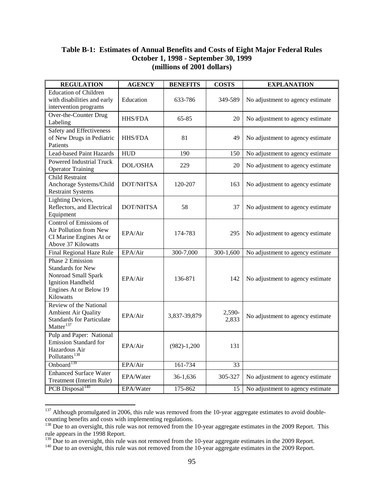# **Table B-1: Estimates of Annual Benefits and Costs of Eight Major Federal Rules October 1, 1998 - September 30, 1999 (millions of 2001 dollars)**

| <b>REGULATION</b>                                                                                                                      | <b>AGENCY</b>    | <b>BENEFITS</b> | <b>COSTS</b>    | <b>EXPLANATION</b>               |
|----------------------------------------------------------------------------------------------------------------------------------------|------------------|-----------------|-----------------|----------------------------------|
| <b>Education of Children</b><br>with disabilities and early<br>intervention programs                                                   | Education        | 633-786         | 349-589         | No adjustment to agency estimate |
| Over-the-Counter Drug<br>Labeling                                                                                                      | <b>HHS/FDA</b>   | 65-85           | 20              | No adjustment to agency estimate |
| Safety and Effectiveness<br>of New Drugs in Pediatric<br>Patients                                                                      | <b>HHS/FDA</b>   | 81              | 49              | No adjustment to agency estimate |
| Lead-based Paint Hazards                                                                                                               | <b>HUD</b>       | 190             | 150             | No adjustment to agency estimate |
| <b>Powered Industrial Truck</b><br><b>Operator Training</b>                                                                            | <b>DOL/OSHA</b>  | 229             | 20              | No adjustment to agency estimate |
| Child Restraint<br>Anchorage Systems/Child<br><b>Restraint Systems</b>                                                                 | DOT/NHTSA        | 120-207         | 163             | No adjustment to agency estimate |
| <b>Lighting Devices,</b><br>Reflectors, and Electrical<br>Equipment                                                                    | <b>DOT/NHTSA</b> | 58              | 37              | No adjustment to agency estimate |
| Control of Emissions of<br>Air Pollution from New<br>CI Marine Engines At or<br>Above 37 Kilowatts                                     | EPA/Air          | 174-783         | 295             | No adjustment to agency estimate |
| Final Regional Haze Rule                                                                                                               | EPA/Air          | 300-7,000       | 300-1,600       | No adjustment to agency estimate |
| Phase 2 Emission<br><b>Standards for New</b><br>Nonroad Small Spark<br><b>Ignition Handheld</b><br>Engines At or Below 19<br>Kilowatts | EPA/Air          | 136-871         | 142             | No adjustment to agency estimate |
| <b>Review of the National</b><br><b>Ambient Air Quality</b><br><b>Standards for Particulate</b><br>$Matter$ <sup>137</sup>             | EPA/Air          | 3,837-39,879    | 2,590-<br>2,833 | No adjustment to agency estimate |
| Pulp and Paper: National<br><b>Emission Standard for</b><br>Hazardous Air<br>Pollutants <sup>138</sup>                                 | EPA/Air          | $(982)-1,200$   | 131             |                                  |
| Onboard <sup>139</sup>                                                                                                                 | EPA/Air          | 161-734         | 33              |                                  |
| <b>Enhanced Surface Water</b><br>Treatment (Interim Rule)                                                                              | EPA/Water        | 36-1,636        | 305-327         | No adjustment to agency estimate |
| PCB Disposal <sup>140</sup>                                                                                                            | EPA/Water        | 175-862         | 15              | No adjustment to agency estimate |

<span id="page-95-0"></span><sup>&</sup>lt;sup>137</sup> Although promulgated in 2006, this rule was removed from the 10-year aggregate estimates to avoid doublecounting benefits and costs with implementing regulations.

 $\overline{a}$ 

<span id="page-95-1"></span> $138$  Due to an oversight, this rule was not removed from the 10-year aggregate estimates in the 2009 Report. This rule appears in the 1998 Report.<br>
<sup>139</sup> Due to an oversight, this rule was not removed from the 10-year aggregate estimates in the 2009 Report.

<span id="page-95-3"></span><span id="page-95-2"></span><sup>&</sup>lt;sup>140</sup> Due to an oversight, this rule was not removed from the 10-year aggregate estimates in the 2009 Report.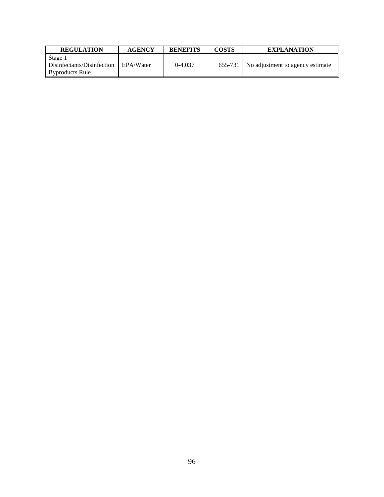| <b>REGULATION</b>                                        | <b>AGENCY</b> | <b>BENEFITS</b> | <b>COSTS</b> | <b>EXPLANATION</b>                         |
|----------------------------------------------------------|---------------|-----------------|--------------|--------------------------------------------|
| Stage 1<br>Disinfectants/Disinfection<br>Byproducts Rule | EPA/Water     | $0-4.037$       |              | $655-731$ No adjustment to agency estimate |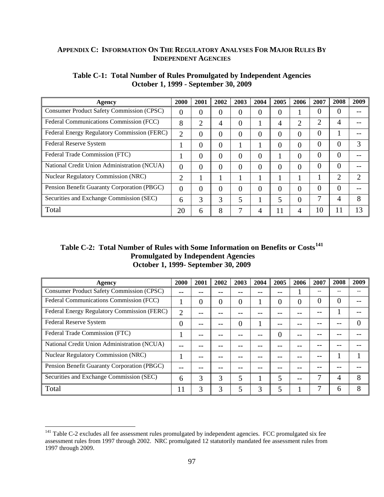# **APPENDIX C: INFORMATION ON THE REGULATORY ANALYSES FOR MAJOR RULES BY INDEPENDENT AGENCIES**

| Agency                                      | 2000     | 2001           | 2002 | 2003           | 2004     | 2005     | 2006 | 2007           | 2008 | 2009 |
|---------------------------------------------|----------|----------------|------|----------------|----------|----------|------|----------------|------|------|
| Consumer Product Safety Commission (CPSC)   | $\theta$ | $\overline{0}$ | 0    | $\overline{0}$ | 0        | 0        |      | 0              | 0    |      |
| Federal Communications Commission (FCC)     | 8        | $\overline{2}$ | 4    | $\overline{0}$ |          | 4        | ◠    | $\overline{2}$ | 4    |      |
| Federal Energy Regulatory Commission (FERC) | C        | 0              | 0    | $\theta$       | 0        | 0        | 0    | 0              |      |      |
| Federal Reserve System                      |          | 0              | 0    |                |          | 0        | 0    | $\overline{0}$ | 0    | 3    |
| Federal Trade Commission (FTC)              |          | $\theta$       | 0    | $\theta$       | 0        |          | 0    | $\overline{0}$ | 0    |      |
| National Credit Union Administration (NCUA) | $\theta$ | $\theta$       | 0    | $\theta$       | $\theta$ | $\theta$ | 0    | 0              | 0    |      |
| <b>Nuclear Regulatory Commission (NRC)</b>  | ↑        |                |      |                |          |          |      |                | 2    | ∍    |
| Pension Benefit Guaranty Corporation (PBGC) | $\Omega$ | $\theta$       | 0    | $\theta$       | 0        | $\theta$ | 0    | 0              | 0    |      |
| Securities and Exchange Commission (SEC)    | 6        | 3              | 3    | 5              |          | 5        | 0    | 7              | 4    | 8    |
| Total                                       | 20       | 6              | 8    | ⇁              | 4        | 11       |      | 10             | 11   | 13   |

## **Table C-1: Total Number of Rules Promulgated by Independent Agencies October 1, 1999 - September 30, 2009**

# **Table C-2: Total Number of Rules with Some Information on Benefits or Costs[141](#page-97-0) Promulgated by Independent Agencies October 1, 1999- September 30, 2009**

| Agency                                           | 2000  | 2001 | 2002 | 2003     | 2004 | 2005     | 2006 | 2007           | 2008 | 2009 |
|--------------------------------------------------|-------|------|------|----------|------|----------|------|----------------|------|------|
| <b>Consumer Product Safety Commission (CPSC)</b> | $- -$ | --   |      |          |      | --       |      | $- -$          |      |      |
| Federal Communications Commission (FCC)          |       | 0    | O    | 0        |      | 0        | 0    | $\overline{0}$ | 0    |      |
| Federal Energy Regulatory Commission (FERC)      | 2     |      |      |          |      |          |      |                |      |      |
| Federal Reserve System                           | 0     | --   |      | $\theta$ |      |          |      |                |      |      |
| Federal Trade Commission (FTC)                   |       | --   |      |          |      | $\theta$ |      |                |      |      |
| National Credit Union Administration (NCUA)      |       |      |      |          |      |          |      |                |      |      |
| <b>Nuclear Regulatory Commission (NRC)</b>       |       |      |      |          |      |          |      |                |      |      |
| Pension Benefit Guaranty Corporation (PBGC)      |       |      |      |          |      |          |      |                |      |      |
| Securities and Exchange Commission (SEC)         | 6     | 3    | 3    | 5        |      | 5        |      |                | 4    | 8    |
| Total                                            | 11    | 3    | 3    | 5        | 3    | 5        |      | 7              | 6    | 8    |

<span id="page-97-0"></span> $\overline{a}$  $141$  Table C-2 excludes all fee assessment rules promulgated by independent agencies. FCC promulgated six fee assessment rules from 1997 through 2002. NRC promulgated 12 statutorily mandated fee assessment rules from 1997 through 2009.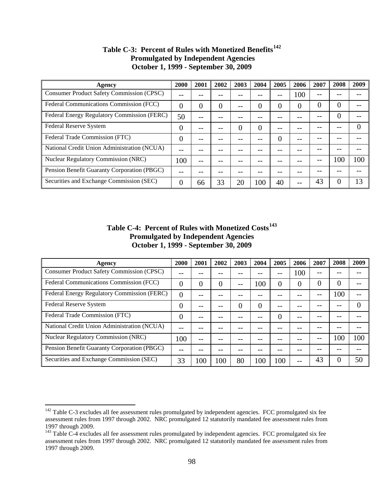| Agency                                           | 2000     | 2001 | 2002 | 2003     | 2004 | 2005           | 2006 | 2007 | 2008 | 2009 |
|--------------------------------------------------|----------|------|------|----------|------|----------------|------|------|------|------|
| <b>Consumer Product Safety Commission (CPSC)</b> |          |      |      |          |      |                | 100  |      |      |      |
| Federal Communications Commission (FCC)          | 0        | 0    |      | --       | 0    | 0              |      | 0    | 0    |      |
| Federal Energy Regulatory Commission (FERC)      | 50       |      |      |          |      |                |      |      | 0    |      |
| <b>Federal Reserve System</b>                    | $\theta$ |      |      | $\Omega$ | 0    |                |      |      |      |      |
| Federal Trade Commission (FTC)                   | 0        |      |      |          |      | $\overline{0}$ |      |      |      |      |
| National Credit Union Administration (NCUA)      |          |      |      |          |      |                |      |      |      |      |
| <b>Nuclear Regulatory Commission (NRC)</b>       | 100      | --   |      |          |      |                |      |      | 100  | 100  |
| Pension Benefit Guaranty Corporation (PBGC)      |          |      |      |          |      |                |      |      |      |      |
| Securities and Exchange Commission (SEC)         | 0        | 66   | 33   | 20       | 100  | 40             |      | 43   | 0    |      |

# **Table C-3: Percent of Rules with Monetized Benefits[142](#page-98-0) Promulgated by Independent Agencies October 1, 1999 - September 30, 2009**

# **Table C-4: Percent of Rules with Monetized Costs[143](#page-98-1) Promulgated by Independent Agencies October 1, 1999 - September 30, 2009**

| Agency                                           | 2000     | 2001  | 2002   | 2003 | 2004 | 2005 | 2006 | 2007 | 2008 | 2009 |
|--------------------------------------------------|----------|-------|--------|------|------|------|------|------|------|------|
| <b>Consumer Product Safety Commission (CPSC)</b> |          |       |        |      |      | --   | 100  | --   |      |      |
| Federal Communications Commission (FCC)          |          | 0     | $\cup$ | --   | 100  | 0    |      | 0    | 0    |      |
| Federal Energy Regulatory Commission (FERC)      | $\theta$ |       |        |      |      |      |      | --   | 100  |      |
| Federal Reserve System                           | $\theta$ |       |        | 0    | 0    |      |      |      |      |      |
| Federal Trade Commission (FTC)                   | $\Omega$ | --    |        |      |      | 0    |      |      |      |      |
| National Credit Union Administration (NCUA)      |          |       |        |      |      |      |      |      |      |      |
| <b>Nuclear Regulatory Commission (NRC)</b>       | 100      | $- -$ |        |      |      |      |      |      | 100  | 100  |
| Pension Benefit Guaranty Corporation (PBGC)      |          |       |        |      |      |      |      |      |      |      |
| Securities and Exchange Commission (SEC)         | 33       | 100   | 100    | 80   | 100  | 100  |      | 43   | 0    | 50   |

 $\overline{a}$ 

<span id="page-98-0"></span> $142$  Table C-3 excludes all fee assessment rules promulgated by independent agencies. FCC promulgated six fee assessment rules from 1997 through 2002. NRC promulgated 12 statutorily mandated fee assessment rules from 1997 through 2009.

<span id="page-98-1"></span><sup>&</sup>lt;sup>143</sup> Table C-4 excludes all fee assessment rules promulgated by independent agencies. FCC promulgated six fee assessment rules from 1997 through 2002. NRC promulgated 12 statutorily mandated fee assessment rules from 1997 through 2009.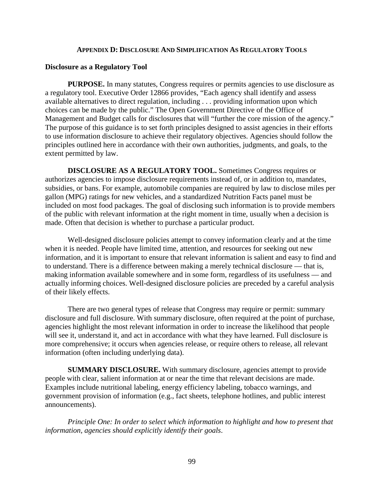#### **APPENDIX D: DISCLOSURE AND SIMPLIFICATION AS REGULATORY TOOLS**

#### **Disclosure as a Regulatory Tool**

**PURPOSE.** In many statutes, Congress requires or permits agencies to use disclosure as a regulatory tool. Executive Order 12866 provides, "Each agency shall identify and assess available alternatives to direct regulation, including . . . providing information upon which choices can be made by the public." The Open Government Directive of the Office of Management and Budget calls for disclosures that will "further the core mission of the agency." The purpose of this guidance is to set forth principles designed to assist agencies in their efforts to use information disclosure to achieve their regulatory objectives. Agencies should follow the principles outlined here in accordance with their own authorities, judgments, and goals, to the extent permitted by law.

**DISCLOSURE AS A REGULATORY TOOL.** Sometimes Congress requires or authorizes agencies to impose disclosure requirements instead of, or in addition to, mandates, subsidies, or bans. For example, automobile companies are required by law to disclose miles per gallon (MPG) ratings for new vehicles, and a standardized Nutrition Facts panel must be included on most food packages. The goal of disclosing such information is to provide members of the public with relevant information at the right moment in time, usually when a decision is made. Often that decision is whether to purchase a particular product.

Well-designed disclosure policies attempt to convey information clearly and at the time when it is needed. People have limited time, attention, and resources for seeking out new information, and it is important to ensure that relevant information is salient and easy to find and to understand. There is a difference between making a merely technical disclosure — that is, making information available somewhere and in some form, regardless of its usefulness — and actually informing choices. Well-designed disclosure policies are preceded by a careful analysis of their likely effects.

There are two general types of release that Congress may require or permit: summary disclosure and full disclosure. With summary disclosure, often required at the point of purchase, agencies highlight the most relevant information in order to increase the likelihood that people will see it, understand it, and act in accordance with what they have learned. Full disclosure is more comprehensive; it occurs when agencies release, or require others to release, all relevant information (often including underlying data).

**SUMMARY DISCLOSURE.** With summary disclosure, agencies attempt to provide people with clear, salient information at or near the time that relevant decisions are made. Examples include nutritional labeling, energy efficiency labeling, tobacco warnings, and government provision of information (e.g., fact sheets, telephone hotlines, and public interest announcements).

*Principle One: In order to select which information to highlight and how to present that information, agencies should explicitly identify their goals*.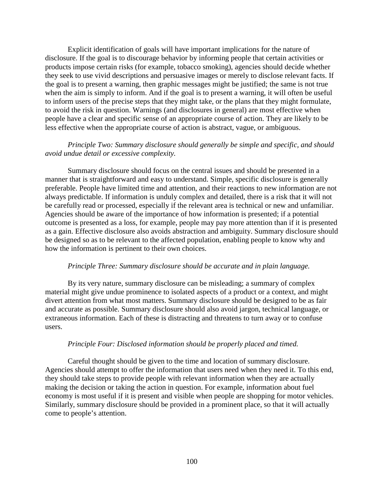Explicit identification of goals will have important implications for the nature of disclosure. If the goal is to discourage behavior by informing people that certain activities or products impose certain risks (for example, tobacco smoking), agencies should decide whether they seek to use vivid descriptions and persuasive images or merely to disclose relevant facts. If the goal is to present a warning, then graphic messages might be justified; the same is not true when the aim is simply to inform. And if the goal is to present a warning, it will often be useful to inform users of the precise steps that they might take, or the plans that they might formulate, to avoid the risk in question. Warnings (and disclosures in general) are most effective when people have a clear and specific sense of an appropriate course of action. They are likely to be less effective when the appropriate course of action is abstract, vague, or ambiguous.

## *Principle Two: Summary disclosure should generally be simple and specific, and should avoid undue detail or excessive complexity.*

Summary disclosure should focus on the central issues and should be presented in a manner that is straightforward and easy to understand. Simple, specific disclosure is generally preferable. People have limited time and attention, and their reactions to new information are not always predictable. If information is unduly complex and detailed, there is a risk that it will not be carefully read or processed, especially if the relevant area is technical or new and unfamiliar. Agencies should be aware of the importance of how information is presented; if a potential outcome is presented as a loss, for example, people may pay more attention than if it is presented as a gain. Effective disclosure also avoids abstraction and ambiguity. Summary disclosure should be designed so as to be relevant to the affected population, enabling people to know why and how the information is pertinent to their own choices.

#### *Principle Three: Summary disclosure should be accurate and in plain language.*

By its very nature, summary disclosure can be misleading; a summary of complex material might give undue prominence to isolated aspects of a product or a context, and might divert attention from what most matters. Summary disclosure should be designed to be as fair and accurate as possible. Summary disclosure should also avoid jargon, technical language, or extraneous information. Each of these is distracting and threatens to turn away or to confuse users.

#### *Principle Four: Disclosed information should be properly placed and timed.*

Careful thought should be given to the time and location of summary disclosure. Agencies should attempt to offer the information that users need when they need it. To this end, they should take steps to provide people with relevant information when they are actually making the decision or taking the action in question. For example, information about fuel economy is most useful if it is present and visible when people are shopping for motor vehicles. Similarly, summary disclosure should be provided in a prominent place, so that it will actually come to people's attention.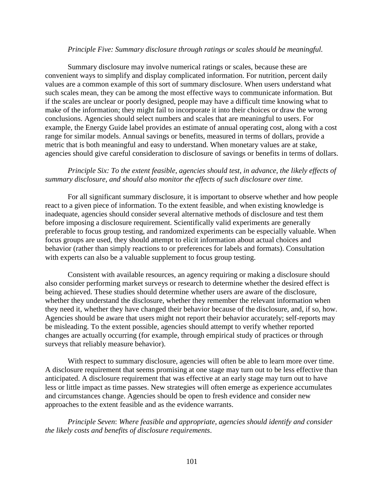#### *Principle Five: Summary disclosure through ratings or scales should be meaningful.*

Summary disclosure may involve numerical ratings or scales, because these are convenient ways to simplify and display complicated information. For nutrition, percent daily values are a common example of this sort of summary disclosure. When users understand what such scales mean, they can be among the most effective ways to communicate information. But if the scales are unclear or poorly designed, people may have a difficult time knowing what to make of the information; they might fail to incorporate it into their choices or draw the wrong conclusions. Agencies should select numbers and scales that are meaningful to users. For example, the Energy Guide label provides an estimate of annual operating cost, along with a cost range for similar models. Annual savings or benefits, measured in terms of dollars, provide a metric that is both meaningful and easy to understand. When monetary values are at stake, agencies should give careful consideration to disclosure of savings or benefits in terms of dollars.

## *Principle Six: To the extent feasible, agencies should test, in advance, the likely effects of summary disclosure, and should also monitor the effects of such disclosure over time.*

For all significant summary disclosure, it is important to observe whether and how people react to a given piece of information. To the extent feasible, and when existing knowledge is inadequate, agencies should consider several alternative methods of disclosure and test them before imposing a disclosure requirement. Scientifically valid experiments are generally preferable to focus group testing, and randomized experiments can be especially valuable. When focus groups are used, they should attempt to elicit information about actual choices and behavior (rather than simply reactions to or preferences for labels and formats). Consultation with experts can also be a valuable supplement to focus group testing.

Consistent with available resources, an agency requiring or making a disclosure should also consider performing market surveys or research to determine whether the desired effect is being achieved. These studies should determine whether users are aware of the disclosure, whether they understand the disclosure, whether they remember the relevant information when they need it, whether they have changed their behavior because of the disclosure, and, if so, how. Agencies should be aware that users might not report their behavior accurately; self-reports may be misleading. To the extent possible, agencies should attempt to verify whether reported changes are actually occurring (for example, through empirical study of practices or through surveys that reliably measure behavior).

With respect to summary disclosure, agencies will often be able to learn more over time. A disclosure requirement that seems promising at one stage may turn out to be less effective than anticipated. A disclosure requirement that was effective at an early stage may turn out to have less or little impact as time passes. New strategies will often emerge as experience accumulates and circumstances change. Agencies should be open to fresh evidence and consider new approaches to the extent feasible and as the evidence warrants.

*Principle Seven*: *Where feasible and appropriate*, *agencies should identify and consider the likely costs and benefits of disclosure requirements*.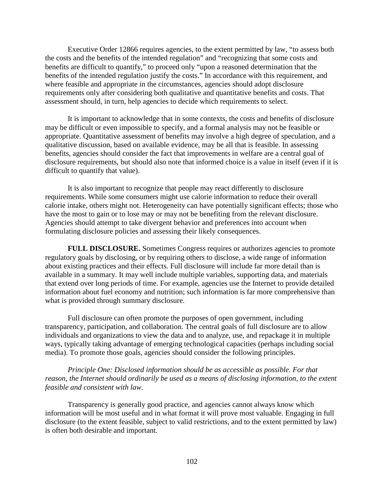Executive Order 12866 requires agencies, to the extent permitted by law, "to assess both the costs and the benefits of the intended regulation" and "recognizing that some costs and benefits are difficult to quantify," to proceed only "upon a reasoned determination that the benefits of the intended regulation justify the costs." In accordance with this requirement, and where feasible and appropriate in the circumstances, agencies should adopt disclosure requirements only after considering both qualitative and quantitative benefits and costs. That assessment should, in turn, help agencies to decide which requirements to select.

It is important to acknowledge that in some contexts, the costs and benefits of disclosure may be difficult or even impossible to specify, and a formal analysis may not be feasible or appropriate. Quantitative assessment of benefits may involve a high degree of speculation, and a qualitative discussion, based on available evidence, may be all that is feasible. In assessing benefits, agencies should consider the fact that improvements in welfare are a central goal of disclosure requirements, but should also note that informed choice is a value in itself (even if it is difficult to quantify that value).

It is also important to recognize that people may react differently to disclosure requirements. While some consumers might use calorie information to reduce their overall calorie intake, others might not. Heterogeneity can have potentially significant effects; those who have the most to gain or to lose may or may not be benefiting from the relevant disclosure. Agencies should attempt to take divergent behavior and preferences into account when formulating disclosure policies and assessing their likely consequences.

**FULL DISCLOSURE.** Sometimes Congress requires or authorizes agencies to promote regulatory goals by disclosing, or by requiring others to disclose, a wide range of information about existing practices and their effects. Full disclosure will include far more detail than is available in a summary. It may well include multiple variables, supporting data, and materials that extend over long periods of time. For example, agencies use the Internet to provide detailed information about fuel economy and nutrition; such information is far more comprehensive than what is provided through summary disclosure.

Full disclosure can often promote the purposes of open government, including transparency, participation, and collaboration. The central goals of full disclosure are to allow individuals and organizations to view the data and to analyze, use, and repackage it in multiple ways, typically taking advantage of emerging technological capacities (perhaps including social media). To promote those goals, agencies should consider the following principles.

*Principle One: Disclosed information should be as accessible as possible. For that reason, the Internet should ordinarily be used as a means of disclosing information, to the extent feasible and consistent with law.* 

Transparency is generally good practice, and agencies cannot always know which information will be most useful and in what format it will prove most valuable. Engaging in full disclosure (to the extent feasible, subject to valid restrictions, and to the extent permitted by law) is often both desirable and important.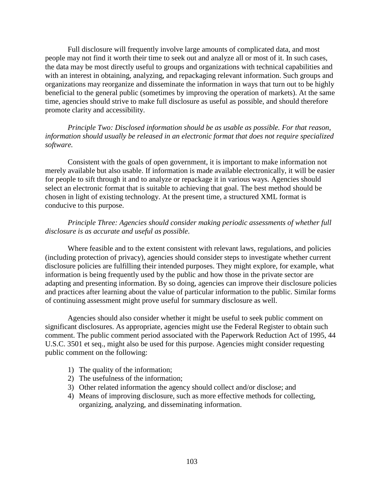Full disclosure will frequently involve large amounts of complicated data, and most people may not find it worth their time to seek out and analyze all or most of it. In such cases, the data may be most directly useful to groups and organizations with technical capabilities and with an interest in obtaining, analyzing, and repackaging relevant information. Such groups and organizations may reorganize and disseminate the information in ways that turn out to be highly beneficial to the general public (sometimes by improving the operation of markets). At the same time, agencies should strive to make full disclosure as useful as possible, and should therefore promote clarity and accessibility.

*Principle Two: Disclosed information should be as usable as possible. For that reason, information should usually be released in an electronic format that does not require specialized software.* 

Consistent with the goals of open government, it is important to make information not merely available but also usable. If information is made available electronically, it will be easier for people to sift through it and to analyze or repackage it in various ways. Agencies should select an electronic format that is suitable to achieving that goal. The best method should be chosen in light of existing technology. At the present time, a structured XML format is conducive to this purpose.

# *Principle Three: Agencies should consider making periodic assessments of whether full disclosure is as accurate and useful as possible*.

Where feasible and to the extent consistent with relevant laws, regulations, and policies (including protection of privacy), agencies should consider steps to investigate whether current disclosure policies are fulfilling their intended purposes. They might explore, for example, what information is being frequently used by the public and how those in the private sector are adapting and presenting information. By so doing, agencies can improve their disclosure policies and practices after learning about the value of particular information to the public. Similar forms of continuing assessment might prove useful for summary disclosure as well.

Agencies should also consider whether it might be useful to seek public comment on significant disclosures. As appropriate, agencies might use the Federal Register to obtain such comment. The public comment period associated with the Paperwork Reduction Act of 1995, 44 U.S.C. 3501 et seq., might also be used for this purpose. Agencies might consider requesting public comment on the following:

- 1) The quality of the information;
- 2) The usefulness of the information;
- 3) Other related information the agency should collect and/or disclose; and
- 4) Means of improving disclosure, such as more effective methods for collecting, organizing, analyzing, and disseminating information.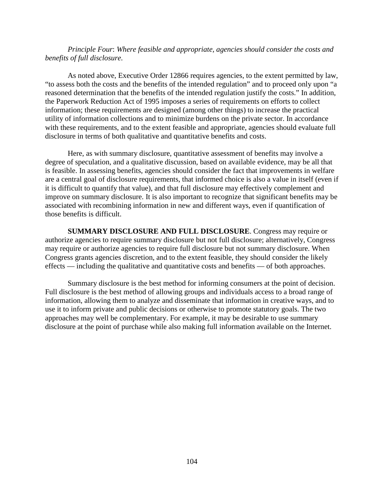*Principle Four*: *Where feasible and appropriate, agencies should consider the costs and benefits of full disclosure*.

As noted above, Executive Order 12866 requires agencies, to the extent permitted by law, "to assess both the costs and the benefits of the intended regulation" and to proceed only upon "a reasoned determination that the benefits of the intended regulation justify the costs." In addition, the Paperwork Reduction Act of 1995 imposes a series of requirements on efforts to collect information; these requirements are designed (among other things) to increase the practical utility of information collections and to minimize burdens on the private sector. In accordance with these requirements, and to the extent feasible and appropriate, agencies should evaluate full disclosure in terms of both qualitative and quantitative benefits and costs.

Here, as with summary disclosure, quantitative assessment of benefits may involve a degree of speculation, and a qualitative discussion, based on available evidence, may be all that is feasible. In assessing benefits, agencies should consider the fact that improvements in welfare are a central goal of disclosure requirements, that informed choice is also a value in itself (even if it is difficult to quantify that value), and that full disclosure may effectively complement and improve on summary disclosure. It is also important to recognize that significant benefits may be associated with recombining information in new and different ways, even if quantification of those benefits is difficult.

**SUMMARY DISCLOSURE AND FULL DISCLOSURE**. Congress may require or authorize agencies to require summary disclosure but not full disclosure; alternatively, Congress may require or authorize agencies to require full disclosure but not summary disclosure. When Congress grants agencies discretion, and to the extent feasible, they should consider the likely effects — including the qualitative and quantitative costs and benefits — of both approaches.

Summary disclosure is the best method for informing consumers at the point of decision. Full disclosure is the best method of allowing groups and individuals access to a broad range of information, allowing them to analyze and disseminate that information in creative ways, and to use it to inform private and public decisions or otherwise to promote statutory goals. The two approaches may well be complementary. For example, it may be desirable to use summary disclosure at the point of purchase while also making full information available on the Internet.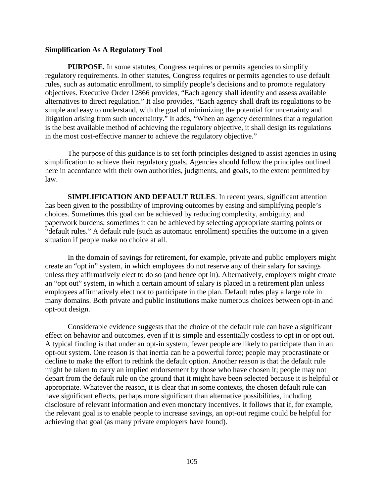#### **Simplification As A Regulatory Tool**

**PURPOSE.** In some statutes, Congress requires or permits agencies to simplify regulatory requirements. In other statutes, Congress requires or permits agencies to use default rules, such as automatic enrollment, to simplify people's decisions and to promote regulatory objectives. Executive Order 12866 provides, "Each agency shall identify and assess available alternatives to direct regulation." It also provides, "Each agency shall draft its regulations to be simple and easy to understand, with the goal of minimizing the potential for uncertainty and litigation arising from such uncertainty." It adds, "When an agency determines that a regulation is the best available method of achieving the regulatory objective, it shall design its regulations in the most cost-effective manner to achieve the regulatory objective."

The purpose of this guidance is to set forth principles designed to assist agencies in using simplification to achieve their regulatory goals. Agencies should follow the principles outlined here in accordance with their own authorities, judgments, and goals, to the extent permitted by law.

**SIMPLIFICATION AND DEFAULT RULES**. In recent years, significant attention has been given to the possibility of improving outcomes by easing and simplifying people's choices. Sometimes this goal can be achieved by reducing complexity, ambiguity, and paperwork burdens; sometimes it can be achieved by selecting appropriate starting points or "default rules." A default rule (such as automatic enrollment) specifies the outcome in a given situation if people make no choice at all.

In the domain of savings for retirement, for example, private and public employers might create an "opt in" system, in which employees do not reserve any of their salary for savings unless they affirmatively elect to do so (and hence opt in). Alternatively, employers might create an "opt out" system, in which a certain amount of salary is placed in a retirement plan unless employees affirmatively elect not to participate in the plan. Default rules play a large role in many domains. Both private and public institutions make numerous choices between opt-in and opt-out design.

Considerable evidence suggests that the choice of the default rule can have a significant effect on behavior and outcomes, even if it is simple and essentially costless to opt in or opt out. A typical finding is that under an opt-in system, fewer people are likely to participate than in an opt-out system. One reason is that inertia can be a powerful force; people may procrastinate or decline to make the effort to rethink the default option. Another reason is that the default rule might be taken to carry an implied endorsement by those who have chosen it; people may not depart from the default rule on the ground that it might have been selected because it is helpful or appropriate. Whatever the reason, it is clear that in some contexts, the chosen default rule can have significant effects, perhaps more significant than alternative possibilities, including disclosure of relevant information and even monetary incentives. It follows that if, for example, the relevant goal is to enable people to increase savings, an opt-out regime could be helpful for achieving that goal (as many private employers have found).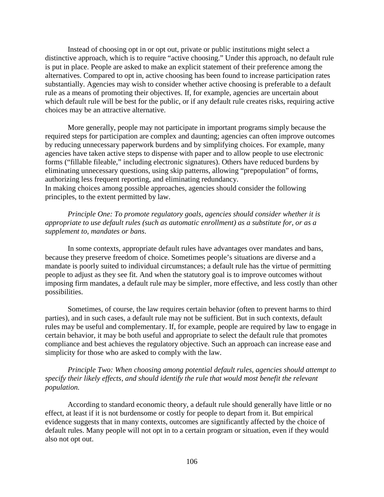Instead of choosing opt in or opt out, private or public institutions might select a distinctive approach, which is to require "active choosing." Under this approach, no default rule is put in place. People are asked to make an explicit statement of their preference among the alternatives. Compared to opt in, active choosing has been found to increase participation rates substantially. Agencies may wish to consider whether active choosing is preferable to a default rule as a means of promoting their objectives. If, for example, agencies are uncertain about which default rule will be best for the public, or if any default rule creates risks, requiring active choices may be an attractive alternative.

More generally, people may not participate in important programs simply because the required steps for participation are complex and daunting; agencies can often improve outcomes by reducing unnecessary paperwork burdens and by simplifying choices. For example, many agencies have taken active steps to dispense with paper and to allow people to use electronic forms ("fillable fileable," including electronic signatures). Others have reduced burdens by eliminating unnecessary questions, using skip patterns, allowing "prepopulation" of forms, authorizing less frequent reporting, and eliminating redundancy. In making choices among possible approaches, agencies should consider the following principles, to the extent permitted by law.

*Principle One: To promote regulatory goals, agencies should consider whether it is appropriate to use default rules (such as automatic enrollment) as a substitute for, or as a supplement to, mandates or bans*.

In some contexts, appropriate default rules have advantages over mandates and bans, because they preserve freedom of choice. Sometimes people's situations are diverse and a mandate is poorly suited to individual circumstances; a default rule has the virtue of permitting people to adjust as they see fit. And when the statutory goal is to improve outcomes without imposing firm mandates, a default rule may be simpler, more effective, and less costly than other possibilities.

Sometimes, of course, the law requires certain behavior (often to prevent harms to third parties), and in such cases, a default rule may not be sufficient. But in such contexts, default rules may be useful and complementary. If, for example, people are required by law to engage in certain behavior, it may be both useful and appropriate to select the default rule that promotes compliance and best achieves the regulatory objective. Such an approach can increase ease and simplicity for those who are asked to comply with the law.

*Principle Two: When choosing among potential default rules, agencies should attempt to specify their likely effects, and should identify the rule that would most benefit the relevant population.* 

According to standard economic theory, a default rule should generally have little or no effect, at least if it is not burdensome or costly for people to depart from it. But empirical evidence suggests that in many contexts, outcomes are significantly affected by the choice of default rules. Many people will not opt in to a certain program or situation, even if they would also not opt out.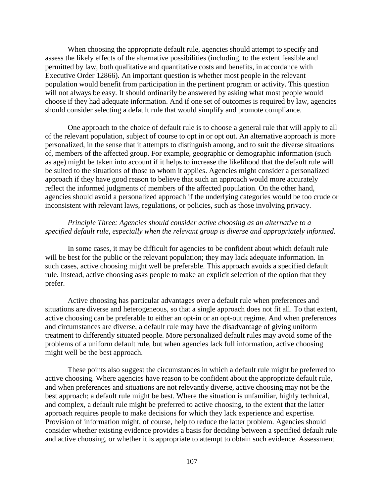When choosing the appropriate default rule, agencies should attempt to specify and assess the likely effects of the alternative possibilities (including, to the extent feasible and permitted by law, both qualitative and quantitative costs and benefits, in accordance with Executive Order 12866). An important question is whether most people in the relevant population would benefit from participation in the pertinent program or activity. This question will not always be easy. It should ordinarily be answered by asking what most people would choose if they had adequate information. And if one set of outcomes is required by law, agencies should consider selecting a default rule that would simplify and promote compliance.

One approach to the choice of default rule is to choose a general rule that will apply to all of the relevant population, subject of course to opt in or opt out. An alternative approach is more personalized, in the sense that it attempts to distinguish among, and to suit the diverse situations of, members of the affected group. For example, geographic or demographic information (such as age) might be taken into account if it helps to increase the likelihood that the default rule will be suited to the situations of those to whom it applies. Agencies might consider a personalized approach if they have good reason to believe that such an approach would more accurately reflect the informed judgments of members of the affected population. On the other hand, agencies should avoid a personalized approach if the underlying categories would be too crude or inconsistent with relevant laws, regulations, or policies, such as those involving privacy.

## *Principle Three: Agencies should consider active choosing as an alternative to a specified default rule, especially when the relevant group is diverse and appropriately informed.*

In some cases, it may be difficult for agencies to be confident about which default rule will be best for the public or the relevant population; they may lack adequate information. In such cases, active choosing might well be preferable. This approach avoids a specified default rule. Instead, active choosing asks people to make an explicit selection of the option that they prefer.

Active choosing has particular advantages over a default rule when preferences and situations are diverse and heterogeneous, so that a single approach does not fit all. To that extent, active choosing can be preferable to either an opt-in or an opt-out regime. And when preferences and circumstances are diverse, a default rule may have the disadvantage of giving uniform treatment to differently situated people. More personalized default rules may avoid some of the problems of a uniform default rule, but when agencies lack full information, active choosing might well be the best approach.

These points also suggest the circumstances in which a default rule might be preferred to active choosing. Where agencies have reason to be confident about the appropriate default rule, and when preferences and situations are not relevantly diverse, active choosing may not be the best approach; a default rule might be best. Where the situation is unfamiliar, highly technical, and complex, a default rule might be preferred to active choosing, to the extent that the latter approach requires people to make decisions for which they lack experience and expertise. Provision of information might, of course, help to reduce the latter problem. Agencies should consider whether existing evidence provides a basis for deciding between a specified default rule and active choosing, or whether it is appropriate to attempt to obtain such evidence. Assessment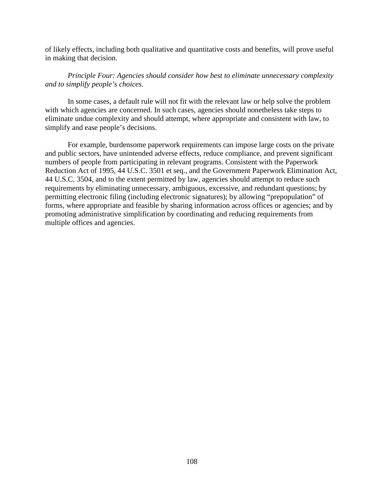of likely effects, including both qualitative and quantitative costs and benefits, will prove useful in making that decision.

#### *Principle Four: Agencies should consider how best to eliminate unnecessary complexity and to simplify people's choices*.

In some cases, a default rule will not fit with the relevant law or help solve the problem with which agencies are concerned. In such cases, agencies should nonetheless take steps to eliminate undue complexity and should attempt, where appropriate and consistent with law, to simplify and ease people's decisions.

For example, burdensome paperwork requirements can impose large costs on the private and public sectors, have unintended adverse effects, reduce compliance, and prevent significant numbers of people from participating in relevant programs. Consistent with the Paperwork Reduction Act of 1995, 44 U.S.C. 3501 et seq., and the Government Paperwork Elimination Act, 44 U.S.C. 3504, and to the extent permitted by law, agencies should attempt to reduce such requirements by eliminating unnecessary, ambiguous, excessive, and redundant questions; by permitting electronic filing (including electronic signatures); by allowing "prepopulation" of forms, where appropriate and feasible by sharing information across offices or agencies; and by promoting administrative simplification by coordinating and reducing requirements from multiple offices and agencies.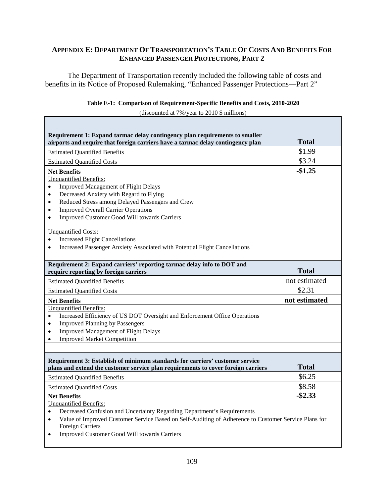### **APPENDIX E: DEPARTMENT OF TRANSPORTATION'S TABLE OF COSTS AND BENEFITS FOR ENHANCED PASSENGER PROTECTIONS, PART 2**

The Department of Transportation recently included the following table of costs and benefits in its Notice of Proposed Rulemaking, "Enhanced Passenger Protections—Part 2"

|  |  | Table E-1: Comparison of Requirement-Specific Benefits and Costs, 2010-2020 |  |
|--|--|-----------------------------------------------------------------------------|--|
|  |  |                                                                             |  |

(discounted at 7%/year to 2010 \$ millions)

| Requirement 1: Expand tarmac delay contingency plan requirements to smaller<br>airports and require that foreign carriers have a tarmac delay contingency plan                                                                                                                                                                                                                                                                                                                                                            | <b>Total</b>  |
|---------------------------------------------------------------------------------------------------------------------------------------------------------------------------------------------------------------------------------------------------------------------------------------------------------------------------------------------------------------------------------------------------------------------------------------------------------------------------------------------------------------------------|---------------|
| <b>Estimated Quantified Benefits</b>                                                                                                                                                                                                                                                                                                                                                                                                                                                                                      | \$1.99        |
| <b>Estimated Quantified Costs</b>                                                                                                                                                                                                                                                                                                                                                                                                                                                                                         | \$3.24        |
| <b>Net Benefits</b>                                                                                                                                                                                                                                                                                                                                                                                                                                                                                                       | $-$1.25$      |
| <b>Unquantified Benefits:</b><br><b>Improved Management of Flight Delays</b><br>$\bullet$<br>Decreased Anxiety with Regard to Flying<br>$\bullet$<br>Reduced Stress among Delayed Passengers and Crew<br>$\bullet$<br><b>Improved Overall Carrier Operations</b><br>$\bullet$<br>Improved Customer Good Will towards Carriers<br>$\bullet$<br><b>Unquantified Costs:</b><br><b>Increased Flight Cancellations</b><br>$\bullet$<br>Increased Passenger Anxiety Associated with Potential Flight Cancellations<br>$\bullet$ |               |
| Requirement 2: Expand carriers' reporting tarmac delay info to DOT and<br>require reporting by foreign carriers                                                                                                                                                                                                                                                                                                                                                                                                           | <b>Total</b>  |
| <b>Estimated Quantified Benefits</b>                                                                                                                                                                                                                                                                                                                                                                                                                                                                                      | not estimated |
| <b>Estimated Quantified Costs</b>                                                                                                                                                                                                                                                                                                                                                                                                                                                                                         | \$2.31        |
| <b>Net Benefits</b>                                                                                                                                                                                                                                                                                                                                                                                                                                                                                                       | not estimated |
| <b>Unquantified Benefits:</b><br>Increased Efficiency of US DOT Oversight and Enforcement Office Operations<br>$\bullet$<br><b>Improved Planning by Passengers</b><br>$\bullet$<br>Improved Management of Flight Delays<br>$\bullet$<br><b>Improved Market Competition</b><br>$\bullet$                                                                                                                                                                                                                                   |               |
| Requirement 3: Establish of minimum standards for carriers' customer service<br>plans and extend the customer service plan requirements to cover foreign carriers                                                                                                                                                                                                                                                                                                                                                         | <b>Total</b>  |
| <b>Estimated Quantified Benefits</b>                                                                                                                                                                                                                                                                                                                                                                                                                                                                                      | \$6.25        |
| <b>Estimated Quantified Costs</b>                                                                                                                                                                                                                                                                                                                                                                                                                                                                                         | \$8.58        |
| <b>Net Benefits</b>                                                                                                                                                                                                                                                                                                                                                                                                                                                                                                       | $-$ \$2.33    |
| <b>Unquantified Benefits:</b><br>Decreased Confusion and Uncertainty Regarding Department's Requirements<br>$\bullet$<br>Value of Improved Customer Service Based on Self-Auditing of Adherence to Customer Service Plans for<br>$\bullet$<br><b>Foreign Carriers</b><br>Improved Customer Good Will towards Carriers<br>$\bullet$                                                                                                                                                                                        |               |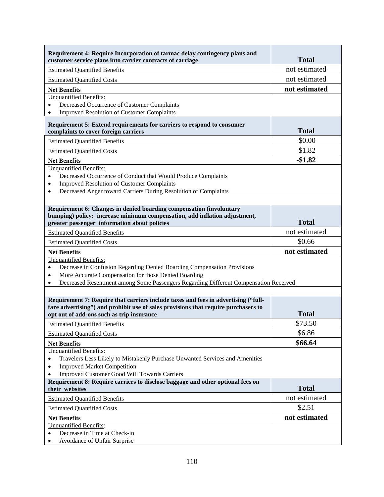| Requirement 4: Require Incorporation of tarmac delay contingency plans and<br>customer service plans into carrier contracts of carriage                                  | <b>Total</b>  |
|--------------------------------------------------------------------------------------------------------------------------------------------------------------------------|---------------|
| <b>Estimated Quantified Benefits</b>                                                                                                                                     | not estimated |
| <b>Estimated Quantified Costs</b>                                                                                                                                        | not estimated |
| <b>Net Benefits</b>                                                                                                                                                      | not estimated |
| <b>Unquantified Benefits:</b>                                                                                                                                            |               |
| Decreased Occurrence of Customer Complaints<br>$\bullet$                                                                                                                 |               |
| <b>Improved Resolution of Customer Complaints</b><br>$\bullet$                                                                                                           |               |
| Requirement 5: Extend requirements for carriers to respond to consumer<br>complaints to cover foreign carriers                                                           | <b>Total</b>  |
| <b>Estimated Quantified Benefits</b>                                                                                                                                     | \$0.00        |
| <b>Estimated Quantified Costs</b>                                                                                                                                        | \$1.82        |
| <b>Net Benefits</b>                                                                                                                                                      | $-$1.82$      |
| <b>Unquantified Benefits:</b>                                                                                                                                            |               |
| Decreased Occurrence of Conduct that Would Produce Complaints<br>$\bullet$                                                                                               |               |
| <b>Improved Resolution of Customer Complaints</b><br>$\bullet$                                                                                                           |               |
| Decreased Anger toward Carriers During Resolution of Complaints<br>$\bullet$                                                                                             |               |
|                                                                                                                                                                          |               |
| Requirement 6: Changes in denied boarding compensation (involuntary<br>bumping) policy: increase minimum compensation, add inflation adjustment,                         |               |
| greater passenger information about policies                                                                                                                             | <b>Total</b>  |
| <b>Estimated Quantified Benefits</b>                                                                                                                                     | not estimated |
|                                                                                                                                                                          | \$0.66        |
|                                                                                                                                                                          |               |
| <b>Estimated Quantified Costs</b>                                                                                                                                        |               |
| <b>Net Benefits</b>                                                                                                                                                      | not estimated |
| <b>Unquantified Benefits:</b><br>Decrease in Confusion Regarding Denied Boarding Compensation Provisions<br>$\bullet$                                                    |               |
| More Accurate Compensation for those Denied Boarding<br>$\bullet$                                                                                                        |               |
| Decreased Resentment among Some Passengers Regarding Different Compensation Received<br>$\bullet$                                                                        |               |
|                                                                                                                                                                          |               |
| Requirement 7: Require that carriers include taxes and fees in advertising ("full-<br>fare advertising") and prohibit use of sales provisions that require purchasers to | <b>Total</b>  |
| opt out of add-ons such as trip insurance                                                                                                                                |               |
| <b>Estimated Quantified Benefits</b>                                                                                                                                     | \$73.50       |
| <b>Estimated Quantified Costs</b>                                                                                                                                        | \$6.86        |
| <b>Net Benefits</b>                                                                                                                                                      | \$66.64       |
| <b>Unquantified Benefits:</b><br>Travelers Less Likely to Mistakenly Purchase Unwanted Services and Amenities<br>$\bullet$                                               |               |
| <b>Improved Market Competition</b><br>٠                                                                                                                                  |               |
| <b>Improved Customer Good Will Towards Carriers</b><br>٠                                                                                                                 |               |
| Requirement 8: Require carriers to disclose baggage and other optional fees on<br>their websites                                                                         | <b>Total</b>  |
| <b>Estimated Quantified Benefits</b>                                                                                                                                     | not estimated |
| <b>Estimated Quantified Costs</b>                                                                                                                                        | \$2.51        |
| <b>Net Benefits</b>                                                                                                                                                      | not estimated |
| <b>Unquantified Benefits:</b>                                                                                                                                            |               |
| Decrease in Time at Check-in<br>$\bullet$<br>Avoidance of Unfair Surprise                                                                                                |               |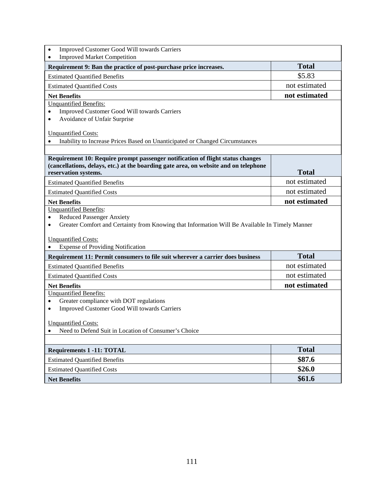| Improved Customer Good Will towards Carriers<br>$\bullet$                                                    |               |
|--------------------------------------------------------------------------------------------------------------|---------------|
| <b>Improved Market Competition</b><br>$\bullet$                                                              |               |
| Requirement 9: Ban the practice of post-purchase price increases.                                            | <b>Total</b>  |
| <b>Estimated Quantified Benefits</b>                                                                         | \$5.83        |
| <b>Estimated Quantified Costs</b>                                                                            | not estimated |
| <b>Net Benefits</b>                                                                                          | not estimated |
| <b>Unquantified Benefits:</b>                                                                                |               |
| Improved Customer Good Will towards Carriers<br>$\bullet$<br>Avoidance of Unfair Surprise<br>$\bullet$       |               |
|                                                                                                              |               |
| <b>Unquantified Costs:</b>                                                                                   |               |
| Inability to Increase Prices Based on Unanticipated or Changed Circumstances                                 |               |
|                                                                                                              |               |
| Requirement 10: Require prompt passenger notification of flight status changes                               |               |
| (cancellations, delays, etc.) at the boarding gate area, on website and on telephone<br>reservation systems. | <b>Total</b>  |
| <b>Estimated Quantified Benefits</b>                                                                         | not estimated |
| <b>Estimated Quantified Costs</b>                                                                            | not estimated |
| <b>Net Benefits</b>                                                                                          | not estimated |
| <b>Unquantified Benefits:</b>                                                                                |               |
| <b>Reduced Passenger Anxiety</b><br>$\bullet$                                                                |               |
| Greater Comfort and Certainty from Knowing that Information Will Be Available In Timely Manner<br>$\bullet$  |               |
| <b>Unquantified Costs:</b>                                                                                   |               |
| <b>Expense of Providing Notification</b>                                                                     |               |
| Requirement 11: Permit consumers to file suit wherever a carrier does business                               | <b>Total</b>  |
| <b>Estimated Quantified Benefits</b>                                                                         | not estimated |
| <b>Estimated Quantified Costs</b>                                                                            | not estimated |
| <b>Net Benefits</b>                                                                                          | not estimated |
| <b>Unquantified Benefits:</b>                                                                                |               |
| Greater compliance with DOT regulations<br>$\bullet$                                                         |               |
| Improved Customer Good Will towards Carriers<br>$\bullet$                                                    |               |
| <b>Unquantified Costs:</b>                                                                                   |               |
| Need to Defend Suit in Location of Consumer's Choice<br>$\bullet$                                            |               |
|                                                                                                              |               |
| <b>Requirements 1 -11: TOTAL</b>                                                                             | <b>Total</b>  |
| <b>Estimated Quantified Benefits</b>                                                                         | \$87.6        |
| <b>Estimated Quantified Costs</b>                                                                            | \$26.0        |
| <b>Net Benefits</b>                                                                                          | \$61.6        |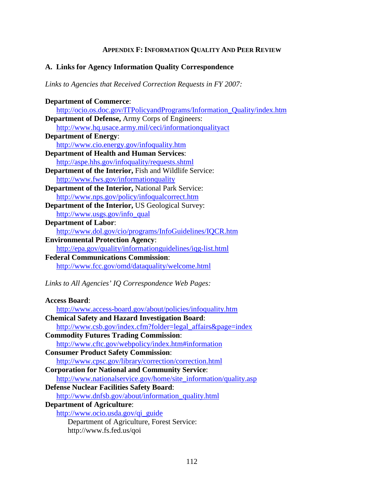## **APPENDIX F: INFORMATION QUALITY AND PEER REVIEW**

### **A. Links for Agency Information Quality Correspondence**

*Links to Agencies that Received Correction Requests in FY 2007:*

| <b>Department of Commerce:</b>                                           |
|--------------------------------------------------------------------------|
| http://ocio.os.doc.gov/ITPolicyandPrograms/Information_Quality/index.htm |
| Department of Defense, Army Corps of Engineers:                          |
| http://www.hq.usace.army.mil/ceci/informationqualityact                  |
| <b>Department of Energy:</b>                                             |
| http://www.cio.energy.gov/infoquality.htm                                |
| <b>Department of Health and Human Services:</b>                          |
| http://aspe.hhs.gov/infoquality/requests.shtml                           |
| Department of the Interior, Fish and Wildlife Service:                   |
| http://www.fws.gov/informationquality                                    |
| <b>Department of the Interior, National Park Service:</b>                |
| http://www.nps.gov/policy/infoqualcorrect.htm                            |
| Department of the Interior, US Geological Survey:                        |
| http://www.usgs.gov/info_qual                                            |
| <b>Department of Labor:</b>                                              |
| http://www.dol.gov/cio/programs/InfoGuidelines/IQCR.htm                  |
| <b>Environmental Protection Agency:</b>                                  |
| http://epa.gov/quality/informationguidelines/iqg-list.html               |
| <b>Federal Communications Commission:</b>                                |
| http://www.fcc.gov/omd/dataquality/welcome.html                          |
|                                                                          |
| Links to All Agencies' IQ Correspondence Web Pages:                      |
|                                                                          |
| <b>Access Board:</b>                                                     |
| http://www.access-board.gov/about/policies/infoquality.htm               |
| <b>Chemical Safety and Hazard Investigation Board:</b>                   |
| http://www.csb.gov/index.cfm?folder=legal_affairs&page=index             |
| <b>Commodity Futures Trading Commission:</b>                             |
| http://www.cftc.gov/webpolicy/index.htm#information                      |
| <b>Consumer Product Safety Commission:</b>                               |
| http://www.cpsc.gov/library/correction/correction.html                   |

**Corporation for National and Community Service**: [http://www.nationalservice.gov/home/site\\_information/quality.asp](http://www.nationalservice.gov/home/site_information/quality.asp)  **Defense Nuclear Facilities Safety Board**:

[http://www.dnfsb.gov/about/information\\_quality.html](http://www.dnfsb.gov/about/information_quality.html) 

- **Department of Agriculture**:
	- [http://www.ocio.usda.gov/qi\\_guide](http://www.ocio.usda.gov/qi_guide)

Department of Agriculture, Forest Service: http://www.fs.fed.us/qoi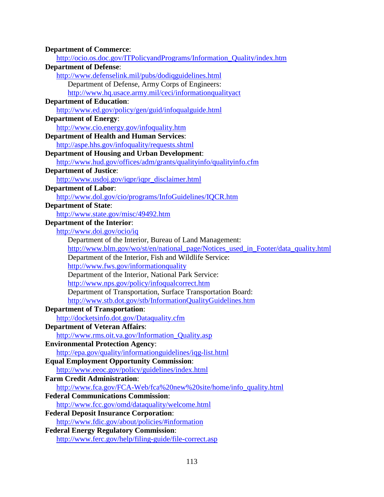| <b>Department of Commerce:</b>                                                     |
|------------------------------------------------------------------------------------|
| http://ocio.os.doc.gov/ITPolicyandPrograms/Information_Quality/index.htm           |
| <b>Department of Defense:</b>                                                      |
| http://www.defenselink.mil/pubs/dodiqguidelines.html                               |
| Department of Defense, Army Corps of Engineers:                                    |
| http://www.hq.usace.army.mil/ceci/informationqualityact                            |
| <b>Department of Education:</b>                                                    |
| http://www.ed.gov/policy/gen/guid/infoqualguide.html                               |
| <b>Department of Energy:</b>                                                       |
| http://www.cio.energy.gov/infoquality.htm                                          |
| <b>Department of Health and Human Services:</b>                                    |
| http://aspe.hhs.gov/infoquality/requests.shtml                                     |
| <b>Department of Housing and Urban Development:</b>                                |
| http://www.hud.gov/offices/adm/grants/qualityinfo/qualityinfo.cfm                  |
| <b>Department of Justice:</b>                                                      |
| http://www.usdoj.gov/iqpr/iqpr_disclaimer.html                                     |
| <b>Department of Labor:</b>                                                        |
| http://www.dol.gov/cio/programs/InfoGuidelines/IQCR.htm                            |
| <b>Department of State:</b>                                                        |
| http://www.state.gov/misc/49492.htm                                                |
| <b>Department of the Interior:</b>                                                 |
| http://www.doi.gov/ocio/iq                                                         |
| Department of the Interior, Bureau of Land Management:                             |
| http://www.blm.gov/wo/st/en/national_page/Notices_used_in_Footer/data_quality.html |
| Department of the Interior, Fish and Wildlife Service:                             |
| http://www.fws.gov/informationquality                                              |
| Department of the Interior, National Park Service:                                 |
| http://www.nps.gov/policy/infoqualcorrect.htm                                      |
| Department of Transportation, Surface Transportation Board:                        |
| http://www.stb.dot.gov/stb/InformationQualityGuidelines.htm                        |
| <b>Department of Transportation:</b>                                               |
| http://docketsinfo.dot.gov/Dataquality.cfm                                         |
| <b>Department of Veteran Affairs:</b>                                              |
| http://www.rms.oit.va.gov/Information_Quality.asp                                  |
| <b>Environmental Protection Agency:</b>                                            |
| http://epa.gov/quality/informationguidelines/iqg-list.html                         |
| <b>Equal Employment Opportunity Commission:</b>                                    |
| http://www.eeoc.gov/policy/guidelines/index.html                                   |
| <b>Farm Credit Administration:</b>                                                 |
| http://www.fca.gov/FCA-Web/fca%20new%20site/home/info_quality.html                 |
| <b>Federal Communications Commission:</b>                                          |
| http://www.fcc.gov/omd/dataquality/welcome.html                                    |
| <b>Federal Deposit Insurance Corporation:</b>                                      |
| http://www.fdic.gov/about/policies/#information                                    |
| <b>Federal Energy Regulatory Commission:</b>                                       |
| http://www.ferc.gov/help/filing-guide/file-correct.asp                             |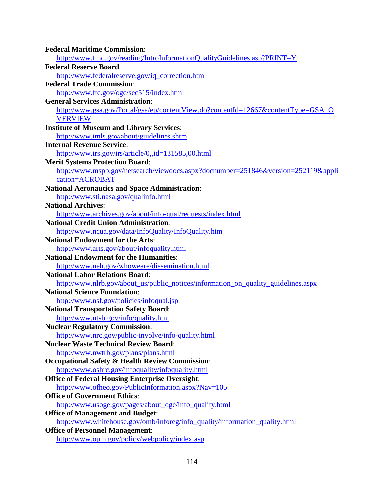| <b>Federal Maritime Commission:</b>                                                |
|------------------------------------------------------------------------------------|
| http://www.fmc.gov/reading/IntroInformationQualityGuidelines.asp?PRINT=Y           |
| <b>Federal Reserve Board:</b>                                                      |
| http://www.federalreserve.gov/iq_correction.htm                                    |
| <b>Federal Trade Commission:</b>                                                   |
| http://www.ftc.gov/ogc/sec515/index.htm                                            |
| <b>General Services Administration:</b>                                            |
| http://www.gsa.gov/Portal/gsa/ep/contentView.do?contentId=12667&contentType=GSA_O  |
| <b>VERVIEW</b>                                                                     |
| <b>Institute of Museum and Library Services:</b>                                   |
| http://www.imls.gov/about/guidelines.shtm                                          |
| <b>Internal Revenue Service:</b>                                                   |
| http://www.irs.gov/irs/article/0,,id=131585,00.html                                |
| <b>Merit Systems Protection Board:</b>                                             |
| http://www.mspb.gov/netsearch/viewdocs.aspx?docnumber=251846&version=252119&appli  |
| cation=ACROBAT                                                                     |
| <b>National Aeronautics and Space Administration:</b>                              |
| http://www.sti.nasa.gov/qualinfo.html                                              |
| <b>National Archives:</b>                                                          |
| http://www.archives.gov/about/info-qual/requests/index.html                        |
| <b>National Credit Union Administration:</b>                                       |
| http://www.ncua.gov/data/InfoQuality/InfoQuality.htm                               |
| <b>National Endowment for the Arts:</b>                                            |
| http://www.arts.gov/about/infoquality.html                                         |
| <b>National Endowment for the Humanities:</b>                                      |
| http://www.neh.gov/whoweare/dissemination.html                                     |
| <b>National Labor Relations Board:</b>                                             |
| http://www.nlrb.gov/about_us/public_notices/information_on_quality_guidelines.aspx |
| <b>National Science Foundation:</b>                                                |
| http://www.nsf.gov/policies/infoqual.jsp                                           |
| <b>National Transportation Safety Board:</b>                                       |
| http://www.ntsb.gov/info/quality.htm                                               |
| <b>Nuclear Regulatory Commission:</b>                                              |
| http://www.nrc.gov/public-involve/info-quality.html                                |
| <b>Nuclear Waste Technical Review Board:</b>                                       |
| http://www.nwtrb.gov/plans/plans.html                                              |
| <b>Occupational Safety &amp; Health Review Commission:</b>                         |
| http://www.oshrc.gov/infoquality/infoquality.html                                  |
| <b>Office of Federal Housing Enterprise Oversight:</b>                             |
| http://www.ofheo.gov/PublicInformation.aspx?Nav=105                                |
| <b>Office of Government Ethics:</b>                                                |
| http://www.usoge.gov/pages/about_oge/info_quality.html                             |
| <b>Office of Management and Budget:</b>                                            |
| http://www.whitehouse.gov/omb/inforeg/info_quality/information_quality.html        |
| <b>Office of Personnel Management:</b>                                             |
| http://www.opm.gov/policy/webpolicy/index.asp                                      |
|                                                                                    |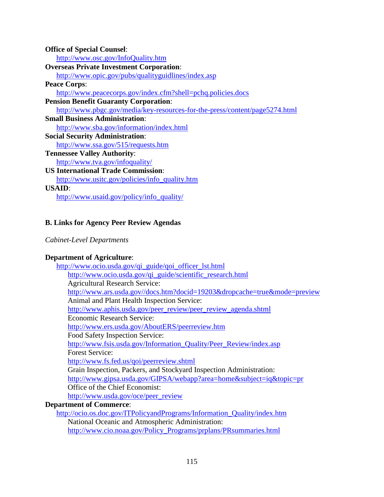| <b>Office of Special Counsel:</b>                                           |
|-----------------------------------------------------------------------------|
| http://www.osc.gov/InfoQuality.htm                                          |
| <b>Overseas Private Investment Corporation:</b>                             |
| http://www.opic.gov/pubs/qualityguidlines/index.asp                         |
| <b>Peace Corps:</b>                                                         |
| http://www.peacecorps.gov/index.cfm?shell=pchq.policies.docs                |
| <b>Pension Benefit Guaranty Corporation:</b>                                |
| http://www.pbgc.gov/media/key-resources-for-the-press/content/page5274.html |
| <b>Small Business Administration:</b>                                       |
| http://www.sba.gov/information/index.html                                   |
| <b>Social Security Administration:</b>                                      |
| http://www.ssa.gov/515/requests.htm                                         |
| <b>Tennessee Valley Authority:</b>                                          |
| http://www.tva.gov/infoquality/                                             |
| <b>US International Trade Commission:</b>                                   |
| http://www.usitc.gov/policies/info_quality.htm                              |
| USAID:                                                                      |
| http://www.usaid.gov/policy/info_quality/                                   |

# **B. Links for Agency Peer Review Agendas**

# *Cabinet-Level Departments*

# **Department of Agriculture**:

| http://www.ocio.usda.gov/qi_guide/qoi_officer_lst.html                    |
|---------------------------------------------------------------------------|
| http://www.ocio.usda.gov/qi_guide/scientific_research.html                |
| <b>Agricultural Research Service:</b>                                     |
| http://www.ars.usda.gov//docs.htm?docid=19203&dropcache=true&mode=preview |
| Animal and Plant Health Inspection Service:                               |
| http://www.aphis.usda.gov/peer_review/peer_review_agenda.shtml            |
| Economic Research Service:                                                |
| http://www.ers.usda.gov/AboutERS/peerreview.htm                           |
| Food Safety Inspection Service:                                           |
| http://www.fsis.usda.gov/Information_Quality/Peer_Review/index.asp        |
| <b>Forest Service:</b>                                                    |
| http://www.fs.fed.us/qoi/peerreview.shtml                                 |
| Grain Inspection, Packers, and Stockyard Inspection Administration:       |
| http://www.gipsa.usda.gov/GIPSA/webapp?area=home&subject=iq&topic=pr      |
| Office of the Chief Economist:                                            |
| http://www.usda.gov/oce/peer_review                                       |
| <b>Department of Commerce:</b>                                            |
| http://ogio.go.doo.gov/JTDoliavandDrograms/Information. Quality/index htm |

[http://ocio.os.doc.gov/ITPolicyandPrograms/Information\\_Quality/index.htm](http://ocio.os.doc.gov/ITPolicyandPrograms/Information_Quality/index.htm) National Oceanic and Atmospheric Administration: [http://www.cio.noaa.gov/Policy\\_Programs/prplans/PRsummaries.html](http://www.cio.noaa.gov/Policy_Programs/prplans/PRsummaries.html)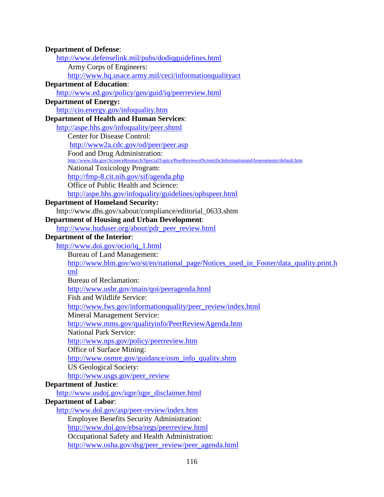| <b>Department of Defense:</b><br>http://www.defenselink.mil/pubs/dodiqguidelines.html<br>Army Corps of Engineers:<br>http://www.hq.usace.army.mil/ceci/informationqualityact<br><b>Department of Education:</b><br>http://www.ed.gov/policy/gen/guid/iq/peerreview.html<br><b>Department of Energy:</b><br>http://cio.energy.gov/infoquality.htm<br><b>Department of Health and Human Services:</b><br>http://aspe.hhs.gov/infoquality/peer.shtml<br><b>Center for Disease Control:</b><br>http://www2a.cdc.gov/od/peer/peer.asp<br>Food and Drug Administration:<br>http://www.fda.gov/ScienceResearch/SpecialTopics/PeerReviewofScientificInformationandAssessments/default.htm<br><b>National Toxicology Program:</b><br>http://fmp-8.cit.nih.gov/sif/agenda.php<br>Office of Public Health and Science:<br>http://aspe.hhs.gov/infoquality/guidelines/ophspeer.html<br><b>Department of Homeland Security:</b><br>http://www.dhs.gov/xabout/compliance/editorial_0633.shtm<br><b>Department of Housing and Urban Development:</b><br>http://www.huduser.org/about/pdr_peer_review.html |
|--------------------------------------------------------------------------------------------------------------------------------------------------------------------------------------------------------------------------------------------------------------------------------------------------------------------------------------------------------------------------------------------------------------------------------------------------------------------------------------------------------------------------------------------------------------------------------------------------------------------------------------------------------------------------------------------------------------------------------------------------------------------------------------------------------------------------------------------------------------------------------------------------------------------------------------------------------------------------------------------------------------------------------------------------------------------------------------------|
|                                                                                                                                                                                                                                                                                                                                                                                                                                                                                                                                                                                                                                                                                                                                                                                                                                                                                                                                                                                                                                                                                            |
|                                                                                                                                                                                                                                                                                                                                                                                                                                                                                                                                                                                                                                                                                                                                                                                                                                                                                                                                                                                                                                                                                            |
|                                                                                                                                                                                                                                                                                                                                                                                                                                                                                                                                                                                                                                                                                                                                                                                                                                                                                                                                                                                                                                                                                            |
|                                                                                                                                                                                                                                                                                                                                                                                                                                                                                                                                                                                                                                                                                                                                                                                                                                                                                                                                                                                                                                                                                            |
|                                                                                                                                                                                                                                                                                                                                                                                                                                                                                                                                                                                                                                                                                                                                                                                                                                                                                                                                                                                                                                                                                            |
|                                                                                                                                                                                                                                                                                                                                                                                                                                                                                                                                                                                                                                                                                                                                                                                                                                                                                                                                                                                                                                                                                            |
|                                                                                                                                                                                                                                                                                                                                                                                                                                                                                                                                                                                                                                                                                                                                                                                                                                                                                                                                                                                                                                                                                            |
|                                                                                                                                                                                                                                                                                                                                                                                                                                                                                                                                                                                                                                                                                                                                                                                                                                                                                                                                                                                                                                                                                            |
|                                                                                                                                                                                                                                                                                                                                                                                                                                                                                                                                                                                                                                                                                                                                                                                                                                                                                                                                                                                                                                                                                            |
|                                                                                                                                                                                                                                                                                                                                                                                                                                                                                                                                                                                                                                                                                                                                                                                                                                                                                                                                                                                                                                                                                            |
|                                                                                                                                                                                                                                                                                                                                                                                                                                                                                                                                                                                                                                                                                                                                                                                                                                                                                                                                                                                                                                                                                            |
|                                                                                                                                                                                                                                                                                                                                                                                                                                                                                                                                                                                                                                                                                                                                                                                                                                                                                                                                                                                                                                                                                            |
|                                                                                                                                                                                                                                                                                                                                                                                                                                                                                                                                                                                                                                                                                                                                                                                                                                                                                                                                                                                                                                                                                            |
|                                                                                                                                                                                                                                                                                                                                                                                                                                                                                                                                                                                                                                                                                                                                                                                                                                                                                                                                                                                                                                                                                            |
|                                                                                                                                                                                                                                                                                                                                                                                                                                                                                                                                                                                                                                                                                                                                                                                                                                                                                                                                                                                                                                                                                            |
|                                                                                                                                                                                                                                                                                                                                                                                                                                                                                                                                                                                                                                                                                                                                                                                                                                                                                                                                                                                                                                                                                            |
|                                                                                                                                                                                                                                                                                                                                                                                                                                                                                                                                                                                                                                                                                                                                                                                                                                                                                                                                                                                                                                                                                            |
|                                                                                                                                                                                                                                                                                                                                                                                                                                                                                                                                                                                                                                                                                                                                                                                                                                                                                                                                                                                                                                                                                            |
|                                                                                                                                                                                                                                                                                                                                                                                                                                                                                                                                                                                                                                                                                                                                                                                                                                                                                                                                                                                                                                                                                            |
|                                                                                                                                                                                                                                                                                                                                                                                                                                                                                                                                                                                                                                                                                                                                                                                                                                                                                                                                                                                                                                                                                            |
|                                                                                                                                                                                                                                                                                                                                                                                                                                                                                                                                                                                                                                                                                                                                                                                                                                                                                                                                                                                                                                                                                            |
| <b>Department of the Interior:</b>                                                                                                                                                                                                                                                                                                                                                                                                                                                                                                                                                                                                                                                                                                                                                                                                                                                                                                                                                                                                                                                         |
| http://www.doi.gov/ocio/iq_1.html                                                                                                                                                                                                                                                                                                                                                                                                                                                                                                                                                                                                                                                                                                                                                                                                                                                                                                                                                                                                                                                          |
| <b>Bureau of Land Management:</b>                                                                                                                                                                                                                                                                                                                                                                                                                                                                                                                                                                                                                                                                                                                                                                                                                                                                                                                                                                                                                                                          |
| http://www.blm.gov/wo/st/en/national_page/Notices_used_in_Footer/data_quality.print.h                                                                                                                                                                                                                                                                                                                                                                                                                                                                                                                                                                                                                                                                                                                                                                                                                                                                                                                                                                                                      |
| tml                                                                                                                                                                                                                                                                                                                                                                                                                                                                                                                                                                                                                                                                                                                                                                                                                                                                                                                                                                                                                                                                                        |
| <b>Bureau of Reclamation:</b>                                                                                                                                                                                                                                                                                                                                                                                                                                                                                                                                                                                                                                                                                                                                                                                                                                                                                                                                                                                                                                                              |
| http://www.usbr.gov/main/qoi/peeragenda.html                                                                                                                                                                                                                                                                                                                                                                                                                                                                                                                                                                                                                                                                                                                                                                                                                                                                                                                                                                                                                                               |
| Fish and Wildlife Service:                                                                                                                                                                                                                                                                                                                                                                                                                                                                                                                                                                                                                                                                                                                                                                                                                                                                                                                                                                                                                                                                 |
| http://www.fws.gov/informationquality/peer_review/index.html                                                                                                                                                                                                                                                                                                                                                                                                                                                                                                                                                                                                                                                                                                                                                                                                                                                                                                                                                                                                                               |
| <b>Mineral Management Service:</b>                                                                                                                                                                                                                                                                                                                                                                                                                                                                                                                                                                                                                                                                                                                                                                                                                                                                                                                                                                                                                                                         |
| http://www.mms.gov/qualityinfo/PeerReviewAgenda.htm                                                                                                                                                                                                                                                                                                                                                                                                                                                                                                                                                                                                                                                                                                                                                                                                                                                                                                                                                                                                                                        |
| <b>National Park Service:</b>                                                                                                                                                                                                                                                                                                                                                                                                                                                                                                                                                                                                                                                                                                                                                                                                                                                                                                                                                                                                                                                              |
| http://www.nps.gov/policy/peerreview.htm                                                                                                                                                                                                                                                                                                                                                                                                                                                                                                                                                                                                                                                                                                                                                                                                                                                                                                                                                                                                                                                   |
| Office of Surface Mining:                                                                                                                                                                                                                                                                                                                                                                                                                                                                                                                                                                                                                                                                                                                                                                                                                                                                                                                                                                                                                                                                  |
| http://www.osmre.gov/guidance/osm_info_quality.shtm                                                                                                                                                                                                                                                                                                                                                                                                                                                                                                                                                                                                                                                                                                                                                                                                                                                                                                                                                                                                                                        |
| <b>US Geological Society:</b>                                                                                                                                                                                                                                                                                                                                                                                                                                                                                                                                                                                                                                                                                                                                                                                                                                                                                                                                                                                                                                                              |
| http://www.usgs.gov/peer_review                                                                                                                                                                                                                                                                                                                                                                                                                                                                                                                                                                                                                                                                                                                                                                                                                                                                                                                                                                                                                                                            |
| <b>Department of Justice:</b>                                                                                                                                                                                                                                                                                                                                                                                                                                                                                                                                                                                                                                                                                                                                                                                                                                                                                                                                                                                                                                                              |
| http://www.usdoj.gov/iqpr/iqpr_disclaimer.html                                                                                                                                                                                                                                                                                                                                                                                                                                                                                                                                                                                                                                                                                                                                                                                                                                                                                                                                                                                                                                             |
| <b>Department of Labor:</b>                                                                                                                                                                                                                                                                                                                                                                                                                                                                                                                                                                                                                                                                                                                                                                                                                                                                                                                                                                                                                                                                |
| http://www.dol.gov/asp/peer-review/index.htm                                                                                                                                                                                                                                                                                                                                                                                                                                                                                                                                                                                                                                                                                                                                                                                                                                                                                                                                                                                                                                               |
| <b>Employee Benefits Security Administration:</b>                                                                                                                                                                                                                                                                                                                                                                                                                                                                                                                                                                                                                                                                                                                                                                                                                                                                                                                                                                                                                                          |
| http://www.dol.gov/ebsa/regs/peerreview.html                                                                                                                                                                                                                                                                                                                                                                                                                                                                                                                                                                                                                                                                                                                                                                                                                                                                                                                                                                                                                                               |
| Occupational Safety and Health Administration:                                                                                                                                                                                                                                                                                                                                                                                                                                                                                                                                                                                                                                                                                                                                                                                                                                                                                                                                                                                                                                             |
| http://www.osha.gov/dsg/peer_review/peer_agenda.html                                                                                                                                                                                                                                                                                                                                                                                                                                                                                                                                                                                                                                                                                                                                                                                                                                                                                                                                                                                                                                       |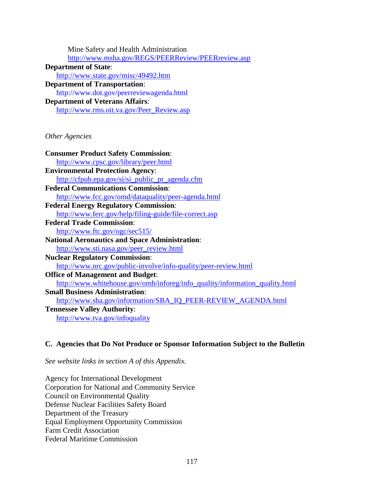| Mine Safety and Health Administration                                       |
|-----------------------------------------------------------------------------|
| http://www.msha.gov/REGS/PEERReview/PEERreview.asp                          |
| <b>Department of State:</b>                                                 |
| http://www.state.gov/misc/49492.htm                                         |
| <b>Department of Transportation:</b>                                        |
| http://www.dot.gov/peerreviewagenda.html                                    |
| <b>Department of Veterans Affairs:</b>                                      |
| http://www.rms.oit.va.gov/Peer_Review.asp                                   |
|                                                                             |
|                                                                             |
| Other Agencies                                                              |
| <b>Consumer Product Safety Commission:</b>                                  |
| http://www.cpsc.gov/library/peer.html                                       |
| <b>Environmental Protection Agency:</b>                                     |
| http://cfpub.epa.gov/si/si_public_pr_agenda.cfm                             |
| <b>Federal Communications Commission:</b>                                   |
| http://www.fcc.gov/omd/dataquality/peer-agenda.html                         |
| <b>Federal Energy Regulatory Commission:</b>                                |
| http://www.ferc.gov/help/filing-guide/file-correct.asp                      |
| <b>Federal Trade Commission:</b>                                            |
| http://www.ftc.gov/ogc/sec515/                                              |
| <b>National Aeronautics and Space Administration:</b>                       |
| http://www.sti.nasa.gov/peer_review.html                                    |
| <b>Nuclear Regulatory Commission:</b>                                       |
| http://www.nrc.gov/public-involve/info-quality/peer-review.html             |
| <b>Office of Management and Budget:</b>                                     |
| http://www.whitehouse.gov/omb/inforeg/info_quality/information_quality.html |
| <b>Small Business Administration:</b>                                       |
| http://www.sba.gov/information/SBA_IQ_PEER-REVIEW_AGENDA.html               |
| <b>Tennessee Valley Authority:</b>                                          |
| http://www.tva.gov/infoquality                                              |
|                                                                             |

## **C. Agencies that Do Not Produce or Sponsor Information Subject to the Bulletin**

*See website links in section A of this Appendix.* 

Agency for International Development Corporation for National and Community Service Council on Environmental Quality Defense Nuclear Facilities Safety Board Department of the Treasury Equal Employment Opportunity Commission Farm Credit Association Federal Maritime Commission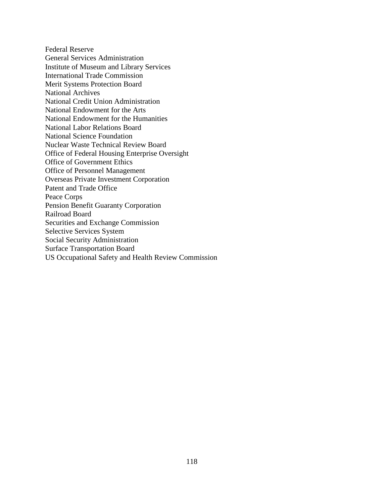Federal Reserve General Services Administration Institute of Museum and Library Services International Trade Commission Merit Systems Protection Board National Archives National Credit Union Administration National Endowment for the Arts National Endowment for the Humanities National Labor Relations Board National Science Foundation Nuclear Waste Technical Review Board Office of Federal Housing Enterprise Oversight Office of Government Ethics Office of Personnel Management Overseas Private Investment Corporation Patent and Trade Office Peace Corps Pension Benefit Guaranty Corporation Railroad Board Securities and Exchange Commission Selective Services System Social Security Administration Surface Transportation Board US Occupational Safety and Health Review Commission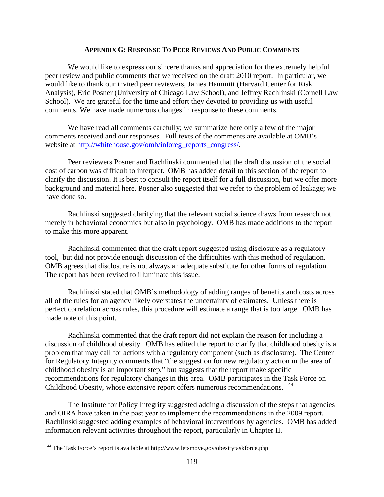#### **APPENDIX G: RESPONSE TO PEER REVIEWS AND PUBLIC COMMENTS**

 We would like to express our sincere thanks and appreciation for the extremely helpful peer review and public comments that we received on the draft 2010 report. In particular, we would like to thank our invited peer reviewers, James Hammitt (Harvard Center for Risk Analysis), Eric Posner (University of Chicago Law School), and Jeffrey Rachlinski (Cornell Law School). We are grateful for the time and effort they devoted to providing us with useful comments. We have made numerous changes in response to these comments.

We have read all comments carefully; we summarize here only a few of the major comments received and our responses. Full texts of the comments are available at OMB's website at [http://whitehouse.gov/omb/inforeg\\_reports\\_congress/.](http://whitehouse.gov/omb/inforeg_reports_congress/)

Peer reviewers Posner and Rachlinski commented that the draft discussion of the social cost of carbon was difficult to interpret. OMB has added detail to this section of the report to clarify the discussion. It is best to consult the report itself for a full discussion, but we offer more background and material here. Posner also suggested that we refer to the problem of leakage; we have done so.

 Rachlinski suggested clarifying that the relevant social science draws from research not merely in behavioral economics but also in psychology. OMB has made additions to the report to make this more apparent.

Rachlinski commented that the draft report suggested using disclosure as a regulatory tool, but did not provide enough discussion of the difficulties with this method of regulation. OMB agrees that disclosure is not always an adequate substitute for other forms of regulation. The report has been revised to illuminate this issue.

Rachlinski stated that OMB's methodology of adding ranges of benefits and costs across all of the rules for an agency likely overstates the uncertainty of estimates. Unless there is perfect correlation across rules, this procedure will estimate a range that is too large. OMB has made note of this point.

Rachlinski commented that the draft report did not explain the reason for including a discussion of childhood obesity. OMB has edited the report to clarify that childhood obesity is a problem that may call for actions with a regulatory component (such as disclosure). The Center for Regulatory Integrity comments that "the suggestion for new regulatory action in the area of childhood obesity is an important step," but suggests that the report make specific recommendations for regulatory changes in this area. OMB participates in the Task Force on Childhood Obesity, whose extensive report offers numerous recommendations. <sup>[144](#page-119-0)</sup>

The Institute for Policy Integrity suggested adding a discussion of the steps that agencies and OIRA have taken in the past year to implement the recommendations in the 2009 report. Rachlinski suggested adding examples of behavioral interventions by agencies. OMB has added information relevant activities throughout the report, particularly in Chapter II.

 $\overline{a}$ 

<span id="page-119-0"></span><sup>&</sup>lt;sup>144</sup> The Task Force's report is available at http://www.letsmove.gov/obesitytaskforce.php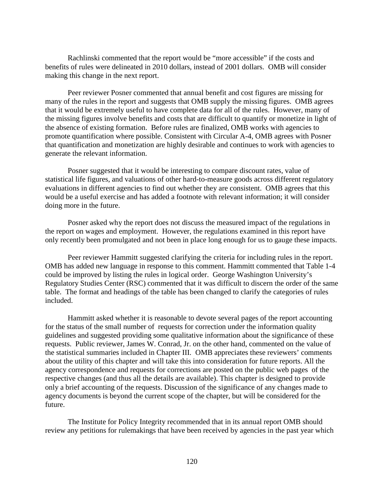Rachlinski commented that the report would be "more accessible" if the costs and benefits of rules were delineated in 2010 dollars, instead of 2001 dollars. OMB will consider making this change in the next report.

Peer reviewer Posner commented that annual benefit and cost figures are missing for many of the rules in the report and suggests that OMB supply the missing figures. OMB agrees that it would be extremely useful to have complete data for all of the rules. However, many of the missing figures involve benefits and costs that are difficult to quantify or monetize in light of the absence of existing formation. Before rules are finalized, OMB works with agencies to promote quantification where possible. Consistent with Circular A-4, OMB agrees with Posner that quantification and monetization are highly desirable and continues to work with agencies to generate the relevant information.

Posner suggested that it would be interesting to compare discount rates, value of statistical life figures, and valuations of other hard-to-measure goods across different regulatory evaluations in different agencies to find out whether they are consistent. OMB agrees that this would be a useful exercise and has added a footnote with relevant information; it will consider doing more in the future.

Posner asked why the report does not discuss the measured impact of the regulations in the report on wages and employment. However, the regulations examined in this report have only recently been promulgated and not been in place long enough for us to gauge these impacts.

Peer reviewer Hammitt suggested clarifying the criteria for including rules in the report. OMB has added new language in response to this comment. Hammitt commented that Table 1-4 could be improved by listing the rules in logical order. George Washington University's Regulatory Studies Center (RSC) commented that it was difficult to discern the order of the same table. The format and headings of the table has been changed to clarify the categories of rules included.

Hammitt asked whether it is reasonable to devote several pages of the report accounting for the status of the small number of requests for correction under the information quality guidelines and suggested providing some qualitative information about the significance of these requests. Public reviewer, James W. Conrad, Jr. on the other hand, commented on the value of the statistical summaries included in Chapter III. OMB appreciates these reviewers' comments about the utility of this chapter and will take this into consideration for future reports. All the agency correspondence and requests for corrections are posted on the public web pages of the respective changes (and thus all the details are available). This chapter is designed to provide only a brief accounting of the requests. Discussion of the significance of any changes made to agency documents is beyond the current scope of the chapter, but will be considered for the future.

The Institute for Policy Integrity recommended that in its annual report OMB should review any petitions for rulemakings that have been received by agencies in the past year which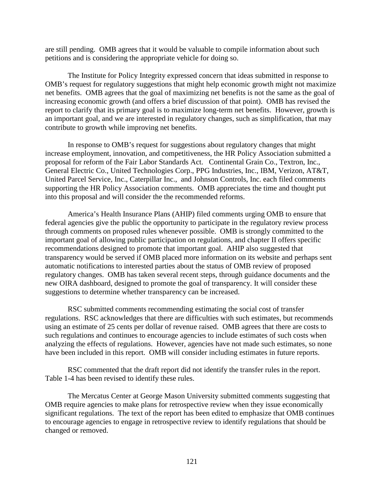are still pending. OMB agrees that it would be valuable to compile information about such petitions and is considering the appropriate vehicle for doing so.

The Institute for Policy Integrity expressed concern that ideas submitted in response to OMB's request for regulatory suggestions that might help economic growth might not maximize net benefits. OMB agrees that the goal of maximizing net benefits is not the same as the goal of increasing economic growth (and offers a brief discussion of that point). OMB has revised the report to clarify that its primary goal is to maximize long-term net benefits. However, growth is an important goal, and we are interested in regulatory changes, such as simplification, that may contribute to growth while improving net benefits.

In response to OMB's request for suggestions about regulatory changes that might increase employment, innovation, and competitiveness, the HR Policy Association submitted a proposal for reform of the Fair Labor Standards Act. Continental Grain Co., Textron, Inc., General Electric Co., United Technologies Corp., PPG Industries, Inc., IBM, Verizon, AT&T, United Parcel Service, Inc., Caterpillar Inc., and Johnson Controls, Inc. each filed comments supporting the HR Policy Association comments. OMB appreciates the time and thought put into this proposal and will consider the the recommended reforms.

America's Health Insurance Plans (AHIP) filed comments urging OMB to ensure that federal agencies give the public the opportunity to participate in the regulatory review process through comments on proposed rules whenever possible. OMB is strongly committed to the important goal of allowing public participation on regulations, and chapter II offers specific recommendations designed to promote that important goal. AHIP also suggested that transparency would be served if OMB placed more information on its website and perhaps sent automatic notifications to interested parties about the status of OMB review of proposed regulatory changes. OMB has taken several recent steps, through guidance documents and the new OIRA dashboard, designed to promote the goal of transparency. It will consider these suggestions to determine whether transparency can be increased.

RSC submitted comments recommending estimating the social cost of transfer regulations. RSC acknowledges that there are difficulties with such estimates, but recommends using an estimate of 25 cents per dollar of revenue raised. OMB agrees that there are costs to such regulations and continues to encourage agencies to include estimates of such costs when analyzing the effects of regulations. However, agencies have not made such estimates, so none have been included in this report. OMB will consider including estimates in future reports.

RSC commented that the draft report did not identify the transfer rules in the report. Table 1-4 has been revised to identify these rules.

The Mercatus Center at George Mason University submitted comments suggesting that OMB require agencies to make plans for retrospective review when they issue economically significant regulations. The text of the report has been edited to emphasize that OMB continues to encourage agencies to engage in retrospective review to identify regulations that should be changed or removed.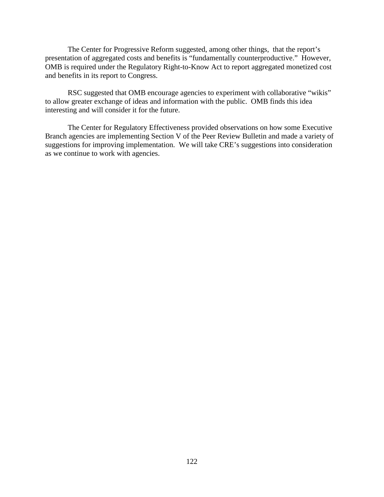The Center for Progressive Reform suggested, among other things, that the report's presentation of aggregated costs and benefits is "fundamentally counterproductive." However, OMB is required under the Regulatory Right-to-Know Act to report aggregated monetized cost and benefits in its report to Congress.

RSC suggested that OMB encourage agencies to experiment with collaborative "wikis" to allow greater exchange of ideas and information with the public. OMB finds this idea interesting and will consider it for the future.

The Center for Regulatory Effectiveness provided observations on how some Executive Branch agencies are implementing Section V of the Peer Review Bulletin and made a variety of suggestions for improving implementation. We will take CRE's suggestions into consideration as we continue to work with agencies.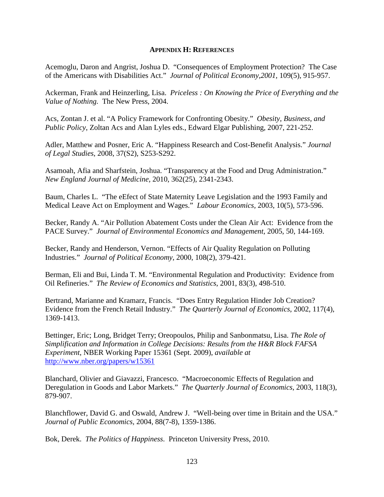#### **APPENDIX H: REFERENCES**

Acemoglu, Daron and Angrist, Joshua D. "Consequences of Employment Protection? The Case of the Americans with Disabilities Act." *Journal of Political Economy,2001,* 109(5), 915-957.

Ackerman, Frank and Heinzerling, Lisa. *Priceless : On Knowing the Price of Everything and the Value of Nothing.* The New Press, 2004.

Acs, Zontan J. et al. "A Policy Framework for Confronting Obesity." *Obesity, Business, and Public Policy*, Zoltan Acs and Alan Lyles eds., Edward Elgar Publishing, 2007, 221-252.

Adler, Matthew and Posner, Eric A. "Happiness Research and Cost-Benefit Analysis." *Journal of Legal Studies*, 2008, 37(S2), S253-S292.

Asamoah, Afia and Sharfstein, Joshua. "Transparency at the Food and Drug Administration." *New England Journal of Medicine,* 2010, 362(25), 2341-2343.

Baum, Charles L. "The eEfect of State Maternity Leave Legislation and the 1993 Family and Medical Leave Act on Employment and Wages." *Labour Economics,* 2003, 10(5), 573-596.

Becker, Randy A. "Air Pollution Abatement Costs under the Clean Air Act: Evidence from the PACE Survey." *Journal of Environmental Economics and Management*, 2005, 50, 144-169.

Becker, Randy and Henderson, Vernon. "Effects of Air Quality Regulation on Polluting Industries." *Journal of Political Economy*, 2000, 108(2), 379-421.

Berman, Eli and Bui, Linda T. M. "Environmental Regulation and Productivity: Evidence from Oil Refineries." *The Review of Economics and Statistics*, 2001, 83(3), 498-510.

Bertrand, Marianne and Kramarz, Francis. "Does Entry Regulation Hinder Job Creation? Evidence from the French Retail Industry." *The Quarterly Journal of Economics*, 2002, 117(4), 1369-1413.

Bettinger, Eric; Long, Bridget Terry; Oreopoulos, Philip and Sanbonmatsu, Lisa. *The Role of Simplification and Information in College Decisions: Results from the H&R Block FAFSA Experiment*, NBER Working Paper 15361 (Sept. 2009), *available at* <http://www.nber.org/papers/w15361>

Blanchard, Olivier and Giavazzi, Francesco. "Macroeconomic Effects of Regulation and Deregulation in Goods and Labor Markets." *The Quarterly Journal of Economics*, 2003, 118(3), 879-907.

Blanchflower, David G. and Oswald, Andrew J. "Well-being over time in Britain and the USA." *Journal of Public Economics,* 2004, 88(7-8), 1359-1386.

Bok, Derek. *The Politics of Happiness*. Princeton University Press, 2010.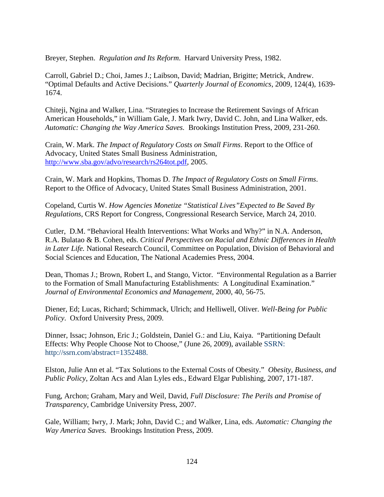Breyer, Stephen. *Regulation and Its Reform*. Harvard University Press, 1982.

Carroll, Gabriel D.; Choi, James J.; Laibson, David; Madrian, Brigitte; Metrick, Andrew. "Optimal Defaults and Active Decisions." *Quarterly Journal of Economics*, 2009, 124(4), 1639- 1674.

Chiteji, Ngina and Walker, Lina. "Strategies to Increase the Retirement Savings of African American Households," in William Gale, J. Mark Iwry, David C. John, and Lina Walker, eds. *Automatic: Changing the Way America Saves.* Brookings Institution Press, 2009, 231-260.

Crain, W. Mark. *The Impact of Regulatory Costs on Small Firms*. Report to the Office of Advocacy, United States Small Business Administration, [http://www.sba.gov/advo/research/rs264tot.pdf,](http://www.sba.gov/advo/research/rs264tot.pdf) 2005.

Crain, W. Mark and Hopkins, Thomas D. *The Impact of Regulatory Costs on Small Firms*. Report to the Office of Advocacy, United States Small Business Administration, 2001.

Copeland, Curtis W. *How Agencies Monetize "Statistical Lives"Expected to Be Saved By Regulations*, CRS Report for Congress, Congressional Research Service, March 24, 2010.

Cutler, D.M. "Behavioral Health Interventions: What Works and Why?" in N.A. Anderson, R.A. Bulatao & B. Cohen, eds. *Critical Perspectives on Racial and Ethnic Differences in Health in Later Life.* National Research Council, Committee on Population, Division of Behavioral and Social Sciences and Education, The National Academies Press, 2004.

Dean, Thomas J.; Brown, Robert L, and Stango, Victor. "Environmental Regulation as a Barrier to the Formation of Small Manufacturing Establishments: A Longitudinal Examination." *Journal of Environmental Economics and Management*, 2000, 40, 56-75.

Diener, Ed; Lucas, Richard; Schimmack, Ulrich; and Helliwell, Oliver. *Well-Being for Public Policy*. Oxford University Press, 2009.

Dinner, Issac; Johnson, Eric J.; Goldstein, Daniel G.: and Liu, Kaiya. "Partitioning Default Effects: Why People Choose Not to Choose," (June 26, 2009), available SSRN: http://ssrn.com/abstract=1352488.

Elston, Julie Ann et al. "Tax Solutions to the External Costs of Obesity." *Obesity, Business, and Public Policy*, Zoltan Acs and Alan Lyles eds., Edward Elgar Publishing, 2007, 171-187.

Fung, Archon; Graham, Mary and Weil, David, *Full Disclosure: The Perils and Promise of Transparency*, Cambridge University Press, 2007.

Gale, William; Iwry, J. Mark; John, David C.; and Walker, Lina, eds. *Automatic: Changing the Way America Saves.* Brookings Institution Press, 2009.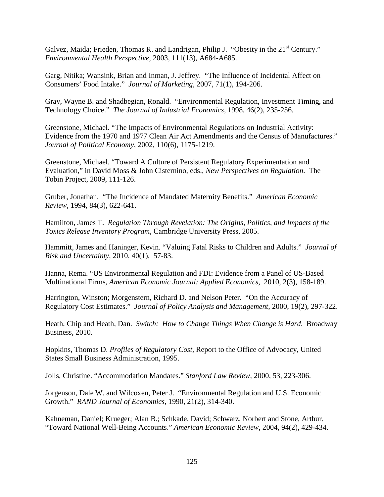Galvez, Maida; Frieden, Thomas R. and Landrigan, Philip J. "Obesity in the  $21<sup>st</sup>$  Century." *Environmental Health Perspective*, 2003, 111(13), A684-A685.

Garg, Nitika; Wansink, Brian and Inman, J. Jeffrey. "The Influence of Incidental Affect on Consumers' Food Intake." *Journal of Marketing*, 2007, 71(1), 194-206.

Gray, Wayne B. and Shadbegian, Ronald. "Environmental Regulation, Investment Timing, and Technology Choice." *The Journal of Industrial Economics*, 1998, 46(2), 235-256.

Greenstone, Michael. "The Impacts of Environmental Regulations on Industrial Activity: Evidence from the 1970 and 1977 Clean Air Act Amendments and the Census of Manufactures." *Journal of Political Economy*, 2002, 110(6), 1175-1219.

Greenstone, Michael. "Toward A Culture of Persistent Regulatory Experimentation and Evaluation," in David Moss & John Cisternino, eds., *New Perspectives on Regulation*. The Tobin Project, 2009, 111-126.

Gruber, Jonathan. "The Incidence of Mandated Maternity Benefits." *American Economic Review,* 1994, 84(3), 622-641.

Hamilton, James T. *Regulation Through Revelation: The Origins, Politics, and Impacts of the Toxics Release Inventory Program,* Cambridge University Press, 2005.

Hammitt, James and Haninger, Kevin. "Valuing Fatal Risks to Children and Adults." *Journal of Risk and Uncertainty*, 2010, 40(1), 57-83.

Hanna, Rema. "US Environmental Regulation and FDI: Evidence from a Panel of US-Based Multinational Firms, *American Economic Journal: Applied Economics,* 2010, 2(3), 158-189.

Harrington, Winston; Morgenstern, Richard D. and Nelson Peter. "On the Accuracy of Regulatory Cost Estimates." *Journal of Policy Analysis and Management*, 2000, 19(2), 297-322.

Heath, Chip and Heath, Dan. *Switch: How to Change Things When Change is Hard*. Broadway Business, 2010.

Hopkins, Thomas D. *Profiles of Regulatory Cost*, Report to the Office of Advocacy, United States Small Business Administration, 1995.

Jolls, Christine. "Accommodation Mandates." *Stanford Law Review*, 2000, 53, 223-306.

Jorgenson, Dale W. and Wilcoxen, Peter J. "Environmental Regulation and U.S. Economic Growth." *RAND Journal of Economics*, 1990, 21(2), 314-340.

Kahneman, Daniel; Krueger; Alan B.; Schkade, David; Schwarz, Norbert and Stone, Arthur. "Toward National Well-Being Accounts." *American Economic Review*, 2004, 94(2), 429-434.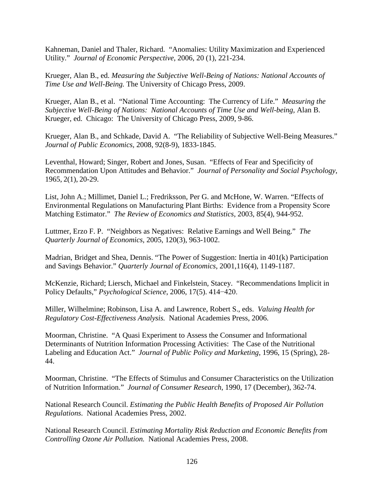Kahneman, Daniel and Thaler, Richard. "Anomalies: Utility Maximization and Experienced Utility." *Journal of Economic Perspective*, 2006, 20 (1), 221-234.

Krueger, Alan B., ed. *Measuring the Subjective Well-Being of Nations: National Accounts of Time Use and Well-Being.* The University of Chicago Press, 2009.

Krueger, Alan B., et al. "National Time Accounting: The Currency of Life." *Measuring the Subjective Well-Being of Nations: National Accounts of Time Use and Well-being,* Alan B. Krueger, ed. Chicago: The University of Chicago Press, 2009, 9-86.

Krueger, Alan B., and Schkade, David A. "The Reliability of Subjective Well-Being Measures." *Journal of Public Economics,* 2008, 92(8-9), 1833-1845.

Leventhal, Howard; Singer, Robert and Jones, Susan. "Effects of Fear and Specificity of Recommendation Upon Attitudes and Behavior." *Journal of Personality and Social Psychology*, 1965, 2(1), 20-29.

List, John A.; Millimet, Daniel L.; Fredriksson, Per G. and McHone, W. Warren. "Effects of Environmental Regulations on Manufacturing Plant Births: Evidence from a Propensity Score Matching Estimator." *The Review of Economics and Statistics*, 2003, 85(4), 944-952.

Luttmer, Erzo F. P. "Neighbors as Negatives: Relative Earnings and Well Being." *The Quarterly Journal of Economics,* 2005, 120(3), 963-1002.

Madrian, Bridget and Shea, Dennis. "The Power of Suggestion: Inertia in 401(k) Participation and Savings Behavior." *Quarterly Journal of Economics*, 2001,116(4), 1149-1187.

McKenzie, Richard; Liersch, Michael and Finkelstein, Stacey. "Recommendations Implicit in Policy Defaults," *Psychological Science*, 2006, 17(5). 414−420.

Miller, Wilhelmine; Robinson, Lisa A. and Lawrence, Robert S., eds. *Valuing Health for Regulatory Cost-Effectiveness Analysis.* National Academies Press, 2006.

Moorman, Christine. "A Quasi Experiment to Assess the Consumer and Informational Determinants of Nutrition Information Processing Activities: The Case of the Nutritional Labeling and Education Act." *Journal of Public Policy and Marketing*, 1996, 15 (Spring), 28- 44.

Moorman, Christine. "The Effects of Stimulus and Consumer Characteristics on the Utilization of Nutrition Information." *Journal of Consumer Research*, 1990, 17 (December), 362-74.

National Research Council. *Estimating the Public Health Benefits of Proposed Air Pollution Regulations*. National Academies Press, 2002.

National Research Council. *Estimating Mortality Risk Reduction and Economic Benefits from Controlling Ozone Air Pollution.* National Academies Press, 2008.